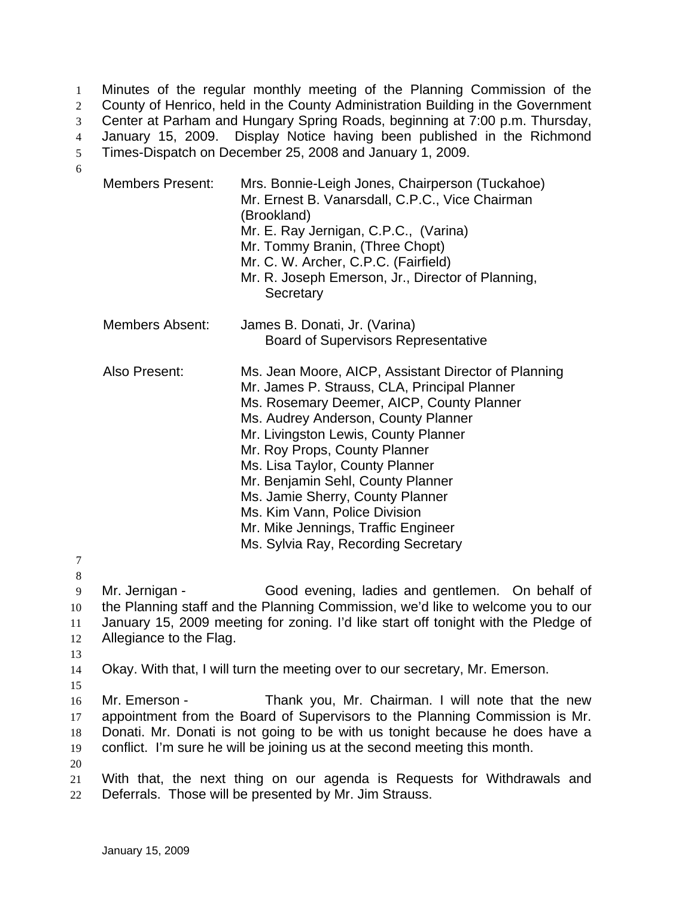Minutes of the regular monthly meeting of the Planning Commission of the County of Henrico, held in the County Administration Building in the Government Center at Parham and Hungary Spring Roads, beginning at 7:00 p.m. Thursday, January 15, 2009. Display Notice having been published in the Richmond Times-Dispatch on December 25, 2008 and January 1, 2009. 1 2 3 4 5 6

| <b>Members Present:</b>                   | Mrs. Bonnie-Leigh Jones, Chairperson (Tuckahoe)<br>Mr. Ernest B. Vanarsdall, C.P.C., Vice Chairman<br>(Brookland)<br>Mr. E. Ray Jernigan, C.P.C., (Varina)<br>Mr. Tommy Branin, (Three Chopt)<br>Mr. C. W. Archer, C.P.C. (Fairfield)<br>Mr. R. Joseph Emerson, Jr., Director of Planning,<br>Secretary                                                                                                                                                                                      |
|-------------------------------------------|----------------------------------------------------------------------------------------------------------------------------------------------------------------------------------------------------------------------------------------------------------------------------------------------------------------------------------------------------------------------------------------------------------------------------------------------------------------------------------------------|
| <b>Members Absent:</b>                    | James B. Donati, Jr. (Varina)<br><b>Board of Supervisors Representative</b>                                                                                                                                                                                                                                                                                                                                                                                                                  |
| Also Present:                             | Ms. Jean Moore, AICP, Assistant Director of Planning<br>Mr. James P. Strauss, CLA, Principal Planner<br>Ms. Rosemary Deemer, AICP, County Planner<br>Ms. Audrey Anderson, County Planner<br>Mr. Livingston Lewis, County Planner<br>Mr. Roy Props, County Planner<br>Ms. Lisa Taylor, County Planner<br>Mr. Benjamin Sehl, County Planner<br>Ms. Jamie Sherry, County Planner<br>Ms. Kim Vann, Police Division<br>Mr. Mike Jennings, Traffic Engineer<br>Ms. Sylvia Ray, Recording Secretary |
| Mr. Jernigan -<br>Allegiance to the Flag. | Good evening, ladies and gentlemen. On behalf of<br>the Planning staff and the Planning Commission, we'd like to welcome you to our<br>January 15, 2009 meeting for zoning. I'd like start off tonight with the Pledge of                                                                                                                                                                                                                                                                    |
|                                           | Okay. With that, I will turn the meeting over to our secretary, Mr. Emerson.                                                                                                                                                                                                                                                                                                                                                                                                                 |
| Mr. Emerson -                             | Thank you, Mr. Chairman. I will note that the new<br>appointment from the Board of Supervisors to the Planning Commission is Mr.<br>Donati. Mr. Donati is not going to be with us tonight because he does have a                                                                                                                                                                                                                                                                             |

19 conflict. I'm sure he will be joining us at the second meeting this month.

20

21 22 With that, the next thing on our agenda is Requests for Withdrawals and Deferrals. Those will be presented by Mr. Jim Strauss.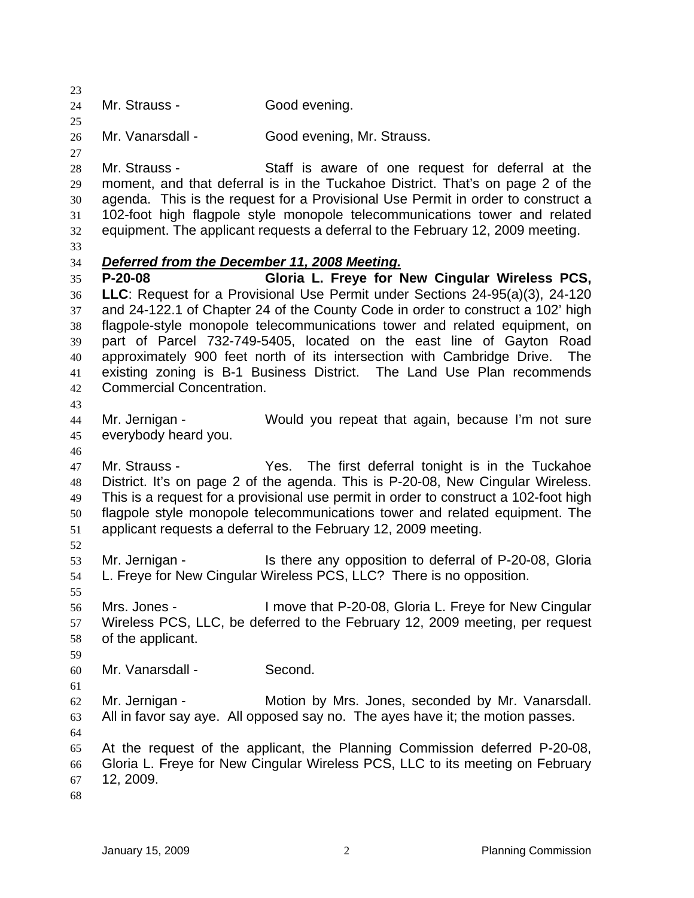23  $24$ 25 26 27 28 29 30 31 32 33 Mr. Strauss - Good evening. Mr. Vanarsdall - Good evening, Mr. Strauss. Mr. Strauss - Staff is aware of one request for deferral at the moment, and that deferral is in the Tuckahoe District. That's on page 2 of the agenda. This is the request for a Provisional Use Permit in order to construct a 102-foot high flagpole style monopole telecommunications tower and related equipment. The applicant requests a deferral to the February 12, 2009 meeting. 34 *Deferred from the December 11, 2008 Meeting.* 35 36 37 38 39 40 41 42 43 44 45 46 47 48 49 50 51 52 53 54 55 56 57 58 59 60 61 62 63 64 65 66 67 68 **P-20-08 Gloria L. Freye for New Cingular Wireless PCS, LLC**: Request for a Provisional Use Permit under Sections 24-95(a)(3), 24-120 and 24-122.1 of Chapter 24 of the County Code in order to construct a 102' high flagpole-style monopole telecommunications tower and related equipment, on part of Parcel 732-749-5405, located on the east line of Gayton Road approximately 900 feet north of its intersection with Cambridge Drive. The existing zoning is B-1 Business District. The Land Use Plan recommends Commercial Concentration. Mr. Jernigan - Would you repeat that again, because I'm not sure everybody heard you. Mr. Strauss - Yes. The first deferral tonight is in the Tuckahoe District. It's on page 2 of the agenda. This is P-20-08, New Cingular Wireless. This is a request for a provisional use permit in order to construct a 102-foot high flagpole style monopole telecommunications tower and related equipment. The applicant requests a deferral to the February 12, 2009 meeting. Mr. Jernigan - Is there any opposition to deferral of P-20-08, Gloria L. Freye for New Cingular Wireless PCS, LLC? There is no opposition. Mrs. Jones - I move that P-20-08, Gloria L. Freye for New Cingular Wireless PCS, LLC, be deferred to the February 12, 2009 meeting, per request of the applicant. Mr. Vanarsdall - Second. Mr. Jernigan - Motion by Mrs. Jones, seconded by Mr. Vanarsdall. All in favor say aye. All opposed say no. The ayes have it; the motion passes. At the request of the applicant, the Planning Commission deferred P-20-08, Gloria L. Freye for New Cingular Wireless PCS, LLC to its meeting on February 12, 2009.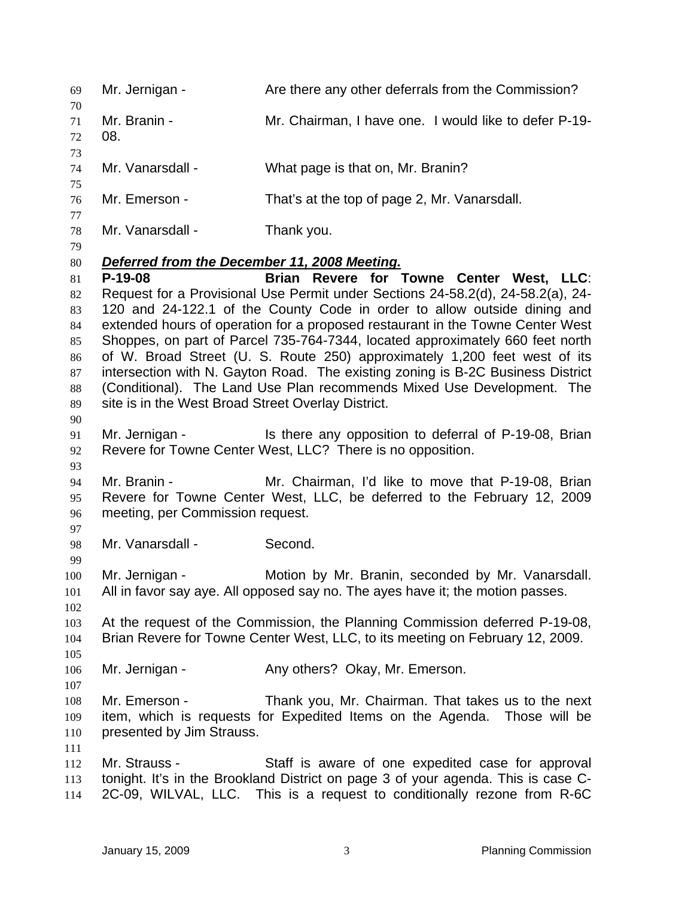| 69                                                                                                                                                                                | Mr. Jernigan -                                                                                                                                                                                                                                                                                                                                                                                                                                                                                                                                                                                                                                                                                                                          | Are there any other deferrals from the Commission?                                                                                                                                                                |
|-----------------------------------------------------------------------------------------------------------------------------------------------------------------------------------|-----------------------------------------------------------------------------------------------------------------------------------------------------------------------------------------------------------------------------------------------------------------------------------------------------------------------------------------------------------------------------------------------------------------------------------------------------------------------------------------------------------------------------------------------------------------------------------------------------------------------------------------------------------------------------------------------------------------------------------------|-------------------------------------------------------------------------------------------------------------------------------------------------------------------------------------------------------------------|
| 70<br>71<br>72<br>73                                                                                                                                                              | Mr. Branin -<br>08.                                                                                                                                                                                                                                                                                                                                                                                                                                                                                                                                                                                                                                                                                                                     | Mr. Chairman, I have one. I would like to defer P-19-                                                                                                                                                             |
| 74                                                                                                                                                                                | Mr. Vanarsdall -                                                                                                                                                                                                                                                                                                                                                                                                                                                                                                                                                                                                                                                                                                                        | What page is that on, Mr. Branin?                                                                                                                                                                                 |
| 75<br>76                                                                                                                                                                          | Mr. Emerson -                                                                                                                                                                                                                                                                                                                                                                                                                                                                                                                                                                                                                                                                                                                           | That's at the top of page 2, Mr. Vanarsdall.                                                                                                                                                                      |
| 77<br>78<br>79                                                                                                                                                                    | Mr. Vanarsdall -                                                                                                                                                                                                                                                                                                                                                                                                                                                                                                                                                                                                                                                                                                                        | Thank you.                                                                                                                                                                                                        |
| 80<br>81<br>82<br>83<br>84<br>85<br>86<br>87<br>88<br>89<br>90                                                                                                                    | Deferred from the December 11, 2008 Meeting.<br>$P-19-08$<br>Brian Revere for Towne Center West, LLC:<br>Request for a Provisional Use Permit under Sections 24-58.2(d), 24-58.2(a), 24-<br>120 and 24-122.1 of the County Code in order to allow outside dining and<br>extended hours of operation for a proposed restaurant in the Towne Center West<br>Shoppes, on part of Parcel 735-764-7344, located approximately 660 feet north<br>of W. Broad Street (U. S. Route 250) approximately 1,200 feet west of its<br>intersection with N. Gayton Road. The existing zoning is B-2C Business District<br>(Conditional). The Land Use Plan recommends Mixed Use Development. The<br>site is in the West Broad Street Overlay District. |                                                                                                                                                                                                                   |
| 91<br>92<br>93                                                                                                                                                                    |                                                                                                                                                                                                                                                                                                                                                                                                                                                                                                                                                                                                                                                                                                                                         | Mr. Jernigan - Is there any opposition to deferral of P-19-08, Brian<br>Revere for Towne Center West, LLC? There is no opposition.                                                                                |
| 94<br>95<br>96                                                                                                                                                                    | Mr. Branin -<br>meeting, per Commission request.                                                                                                                                                                                                                                                                                                                                                                                                                                                                                                                                                                                                                                                                                        | Mr. Chairman, I'd like to move that P-19-08, Brian<br>Revere for Towne Center West, LLC, be deferred to the February 12, 2009                                                                                     |
| 97<br>98                                                                                                                                                                          | Mr. Vanarsdall -                                                                                                                                                                                                                                                                                                                                                                                                                                                                                                                                                                                                                                                                                                                        | Second.                                                                                                                                                                                                           |
| 99<br>100<br>101<br>102                                                                                                                                                           | Mr. Jernigan -                                                                                                                                                                                                                                                                                                                                                                                                                                                                                                                                                                                                                                                                                                                          | Motion by Mr. Branin, seconded by Mr. Vanarsdall.<br>All in favor say aye. All opposed say no. The ayes have it; the motion passes.                                                                               |
| At the request of the Commission, the Planning Commission deferred P-19-08,<br>103<br>Brian Revere for Towne Center West, LLC, to its meeting on February 12, 2009.<br>104<br>105 |                                                                                                                                                                                                                                                                                                                                                                                                                                                                                                                                                                                                                                                                                                                                         |                                                                                                                                                                                                                   |
| 106                                                                                                                                                                               | Mr. Jernigan -                                                                                                                                                                                                                                                                                                                                                                                                                                                                                                                                                                                                                                                                                                                          | Any others? Okay, Mr. Emerson.                                                                                                                                                                                    |
| 107<br>108<br>109<br>110<br>111                                                                                                                                                   | Mr. Emerson -<br>presented by Jim Strauss.                                                                                                                                                                                                                                                                                                                                                                                                                                                                                                                                                                                                                                                                                              | Thank you, Mr. Chairman. That takes us to the next<br>item, which is requests for Expedited Items on the Agenda. Those will be                                                                                    |
| 112<br>113<br>114                                                                                                                                                                 | Mr. Strauss -                                                                                                                                                                                                                                                                                                                                                                                                                                                                                                                                                                                                                                                                                                                           | Staff is aware of one expedited case for approval<br>tonight. It's in the Brookland District on page 3 of your agenda. This is case C-<br>2C-09, WILVAL, LLC. This is a request to conditionally rezone from R-6C |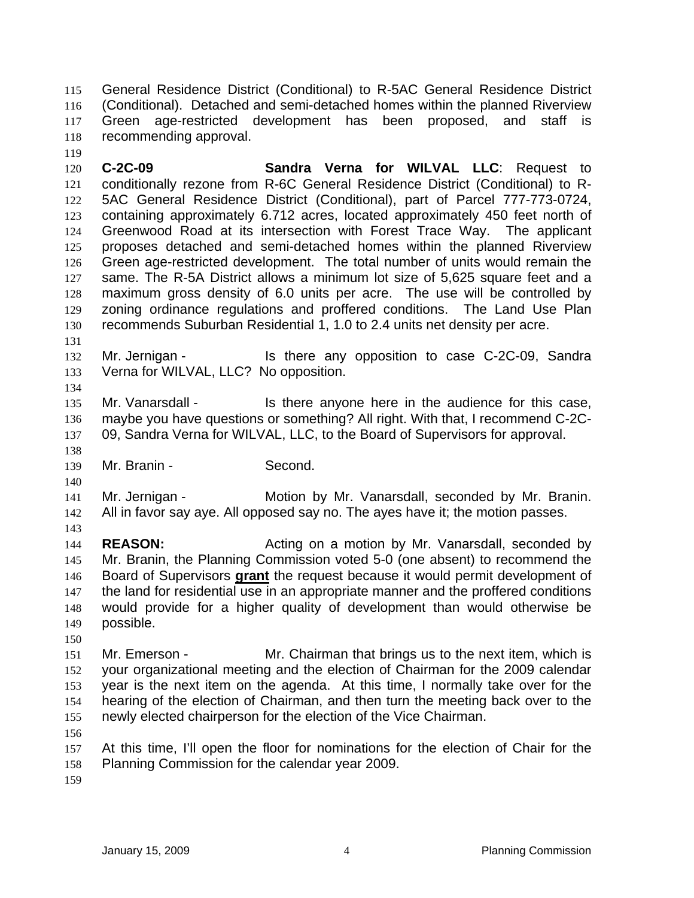General Residence District (Conditional) to R-5AC General Residence District (Conditional). Detached and semi-detached homes within the planned Riverview Green age-restricted development has been proposed, and staff is recommending approval. 115 116 117 118

120 121 122 123 124 125 126 127 128 129 130 **C-2C-09 Sandra Verna for WILVAL LLC**: Request to conditionally rezone from R-6C General Residence District (Conditional) to R-5AC General Residence District (Conditional), part of Parcel 777-773-0724, containing approximately 6.712 acres, located approximately 450 feet north of Greenwood Road at its intersection with Forest Trace Way. The applicant proposes detached and semi-detached homes within the planned Riverview Green age-restricted development. The total number of units would remain the same. The R-5A District allows a minimum lot size of 5,625 square feet and a maximum gross density of 6.0 units per acre. The use will be controlled by zoning ordinance regulations and proffered conditions. The Land Use Plan recommends Suburban Residential 1, 1.0 to 2.4 units net density per acre.

131

134

138

140

119

132 133 Mr. Jernigan - Is there any opposition to case C-2C-09, Sandra Verna for WILVAL, LLC? No opposition.

135 136 137 Mr. Vanarsdall - This there anyone here in the audience for this case, maybe you have questions or something? All right. With that, I recommend C-2C-09, Sandra Verna for WILVAL, LLC, to the Board of Supervisors for approval.

139 Mr. Branin - Second.

141 142 Mr. Jernigan - Motion by Mr. Vanarsdall, seconded by Mr. Branin. All in favor say aye. All opposed say no. The ayes have it; the motion passes.

143

144 145 **REASON: Acting on a motion by Mr. Vanarsdall, seconded by REASON:** Mr. Branin, the Planning Commission voted 5-0 (one absent) to recommend the Board of Supervisors **grant** the request because it would permit development of the land for residential use in an appropriate manner and the proffered conditions would provide for a higher quality of development than would otherwise be possible. 146 147 148 149

150

151 152 153 154 155 Mr. Emerson - The Mr. Chairman that brings us to the next item, which is your organizational meeting and the election of Chairman for the 2009 calendar year is the next item on the agenda. At this time, I normally take over for the hearing of the election of Chairman, and then turn the meeting back over to the newly elected chairperson for the election of the Vice Chairman.

156

157 158 At this time, I'll open the floor for nominations for the election of Chair for the Planning Commission for the calendar year 2009.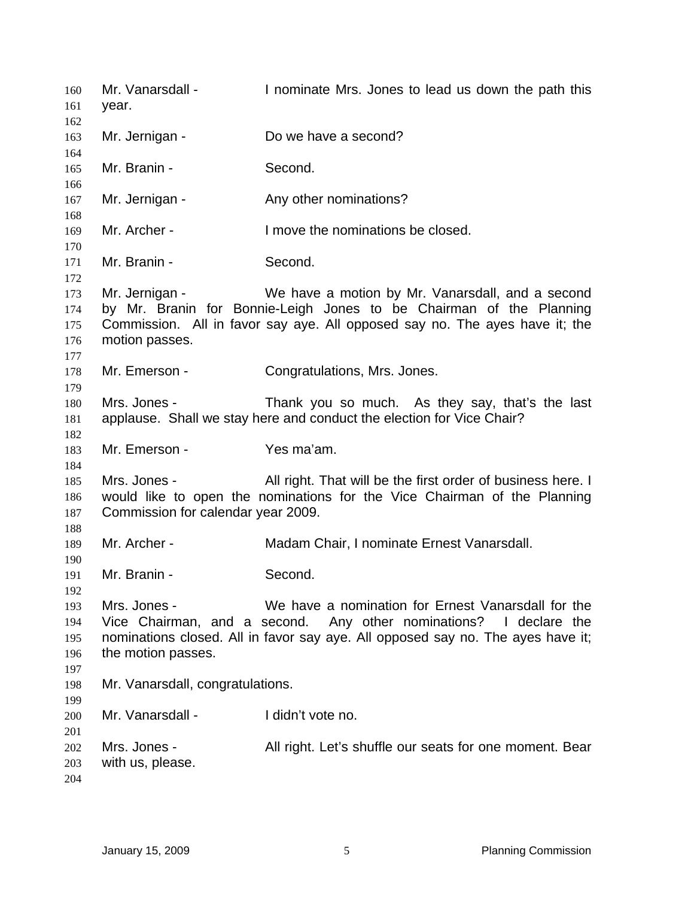Mr. Vanarsdall - I nominate Mrs. Jones to lead us down the path this year. Mr. Jernigan - Do we have a second? Mr. Branin - Second. Mr. Jernigan - The Any other nominations? Mr. Archer - I move the nominations be closed. Mr. Branin - Second. Mr. Jernigan - We have a motion by Mr. Vanarsdall, and a second by Mr. Branin for Bonnie-Leigh Jones to be Chairman of the Planning Commission. All in favor say aye. All opposed say no. The ayes have it; the motion passes. Mr. Emerson - Congratulations, Mrs. Jones. Mrs. Jones - Thank you so much. As they say, that's the last applause. Shall we stay here and conduct the election for Vice Chair? Mr. Emerson - Yes ma'am. Mrs. Jones - All right. That will be the first order of business here. I would like to open the nominations for the Vice Chairman of the Planning Commission for calendar year 2009. Mr. Archer - **Madam Chair, I nominate Ernest Vanarsdall.** Mr. Branin - Second. Mrs. Jones - We have a nomination for Ernest Vanarsdall for the Vice Chairman, and a second. Any other nominations? I declare the nominations closed. All in favor say aye. All opposed say no. The ayes have it; the motion passes. Mr. Vanarsdall, congratulations. Mr. Vanarsdall - I didn't vote no. Mrs. Jones - **All right.** Let's shuffle our seats for one moment. Bear with us, please.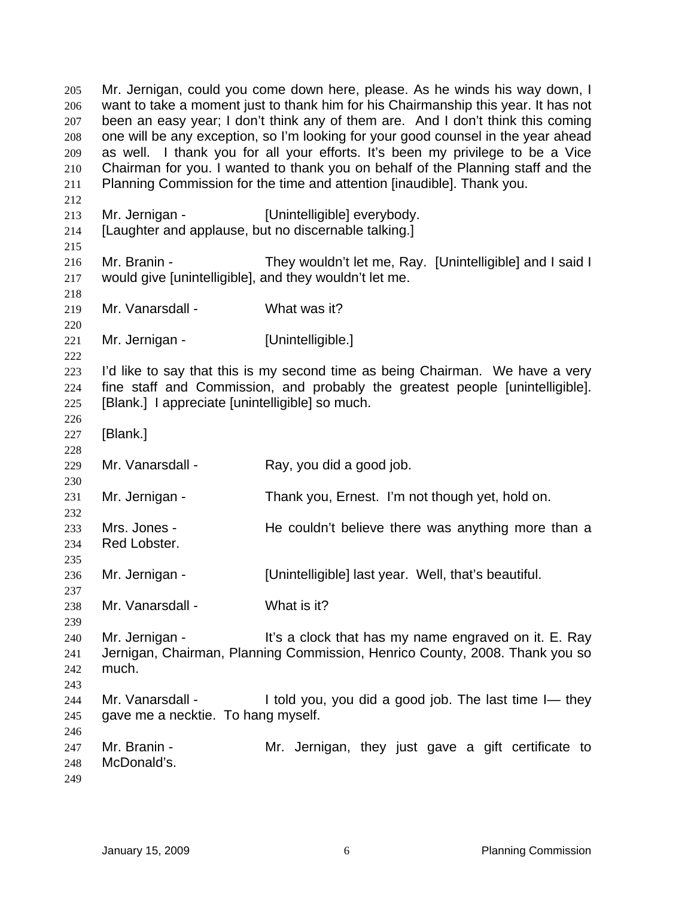Mr. Jernigan, could you come down here, please. As he winds his way down, I want to take a moment just to thank him for his Chairmanship this year. It has not been an easy year; I don't think any of them are. And I don't think this coming one will be any exception, so I'm looking for your good counsel in the year ahead as well. I thank you for all your efforts. It's been my privilege to be a Vice Chairman for you. I wanted to thank you on behalf of the Planning staff and the Planning Commission for the time and attention [inaudible]. Thank you. 205 206 207 208 209 210 211 212 213 214 215 216 217 218 219 220 221 222 223 224 225 226 227 228 229 230 231 232 233 234 235 236 237 238 239 240 241 242 243 244 245 246 247 248 249 Mr. Jernigan - **Example 1** [Unintelligible] everybody. [Laughter and applause, but no discernable talking.] Mr. Branin - They wouldn't let me, Ray. [Unintelligible] and I said I would give [unintelligible], and they wouldn't let me. Mr. Vanarsdall - What was it? Mr. Jernigan - [Unintelligible.] I'd like to say that this is my second time as being Chairman. We have a very fine staff and Commission, and probably the greatest people [unintelligible]. [Blank.] I appreciate [unintelligible] so much. [Blank.] Mr. Vanarsdall - Ray, you did a good job. Mr. Jernigan - Thank you, Ernest. I'm not though yet, hold on. Mrs. Jones - The couldn't believe there was anything more than a Red Lobster. Mr. Jernigan - [Unintelligible] last year. Well, that's beautiful. Mr. Vanarsdall - What is it? Mr. Jernigan - It's a clock that has my name engraved on it. E. Ray Jernigan, Chairman, Planning Commission, Henrico County, 2008. Thank you so much. Mr. Vanarsdall - I told you, you did a good job. The last time I- they gave me a necktie. To hang myself. Mr. Branin - The Mr. Jernigan, they just gave a gift certificate to McDonald's.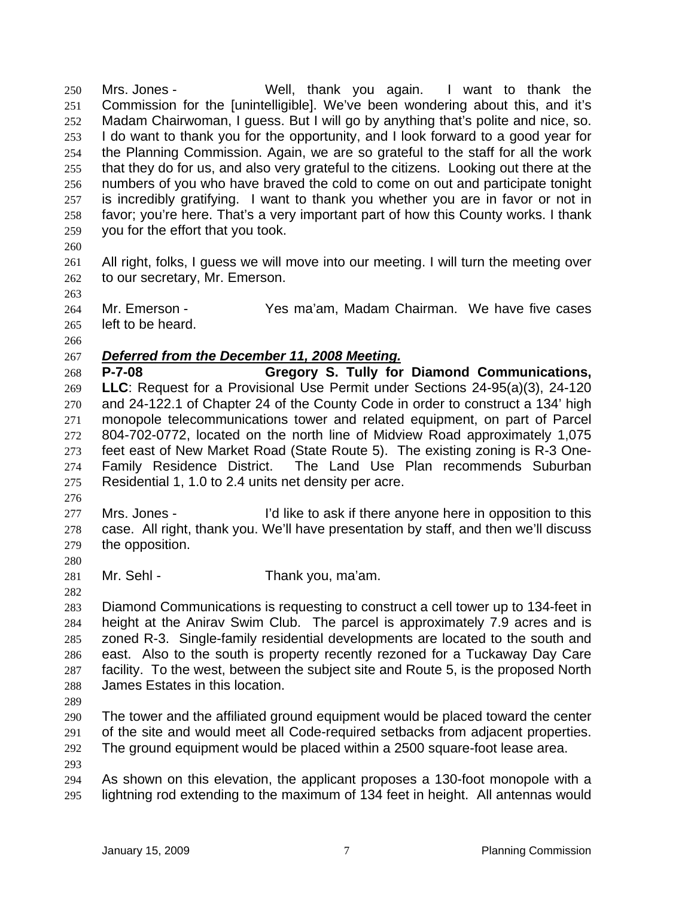Mrs. Jones - Well, thank you again. I want to thank the Commission for the [unintelligible]. We've been wondering about this, and it's Madam Chairwoman, I guess. But I will go by anything that's polite and nice, so. I do want to thank you for the opportunity, and I look forward to a good year for the Planning Commission. Again, we are so grateful to the staff for all the work that they do for us, and also very grateful to the citizens. Looking out there at the numbers of you who have braved the cold to come on out and participate tonight is incredibly gratifying. I want to thank you whether you are in favor or not in favor; you're here. That's a very important part of how this County works. I thank you for the effort that you took. 250 251 252 253 254 255 256 257 258 259

260

261 262 All right, folks, I guess we will move into our meeting. I will turn the meeting over to our secretary, Mr. Emerson.

264 265 Mr. Emerson - Yes ma'am, Madam Chairman. We have five cases left to be heard.

266

263

## 267 *Deferred from the December 11, 2008 Meeting.*

268 269 270 271 272 273 274 275 **P-7-08 Gregory S. Tully for Diamond Communications, LLC**: Request for a Provisional Use Permit under Sections 24-95(a)(3), 24-120 and 24-122.1 of Chapter 24 of the County Code in order to construct a 134' high monopole telecommunications tower and related equipment, on part of Parcel 804-702-0772, located on the north line of Midview Road approximately 1,075 feet east of New Market Road (State Route 5). The existing zoning is R-3 One-Family Residence District. The Land Use Plan recommends Suburban Residential 1, 1.0 to 2.4 units net density per acre.

276

280

282

277 278 279 Mrs. Jones - I'd like to ask if there anyone here in opposition to this case. All right, thank you. We'll have presentation by staff, and then we'll discuss the opposition.

281 Mr. Sehl - Thank you, ma'am.

283 284 285 286 287 288 Diamond Communications is requesting to construct a cell tower up to 134-feet in height at the Anirav Swim Club. The parcel is approximately 7.9 acres and is zoned R-3. Single-family residential developments are located to the south and east. Also to the south is property recently rezoned for a Tuckaway Day Care facility. To the west, between the subject site and Route 5, is the proposed North James Estates in this location.

289

290 291 The tower and the affiliated ground equipment would be placed toward the center of the site and would meet all Code-required setbacks from adjacent properties.

292 The ground equipment would be placed within a 2500 square-foot lease area.

293

294 295 As shown on this elevation, the applicant proposes a 130-foot monopole with a lightning rod extending to the maximum of 134 feet in height. All antennas would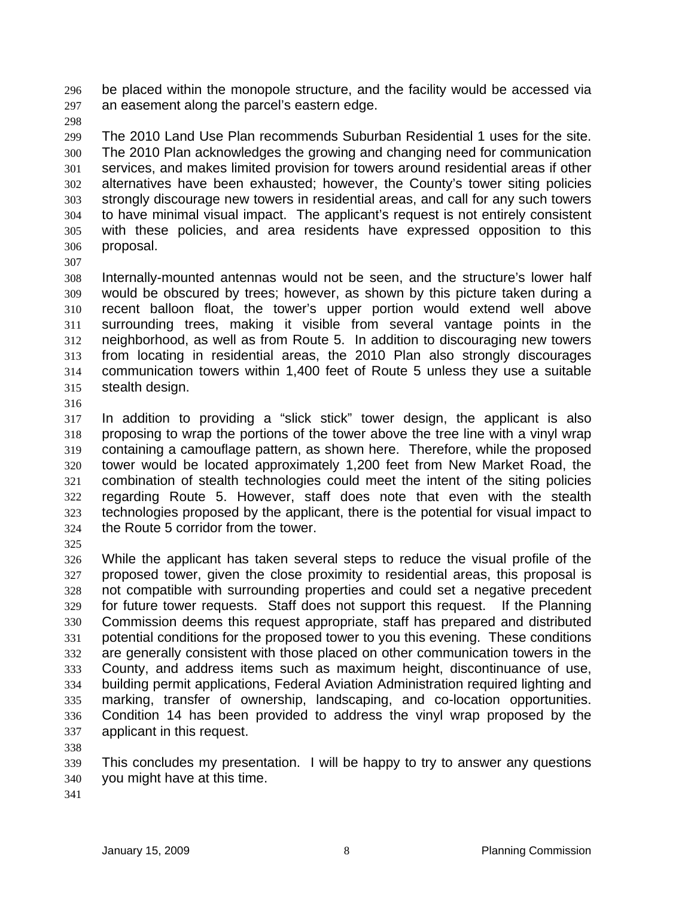be placed within the monopole structure, and the facility would be accessed via an easement along the parcel's eastern edge. 296 297

298

299 300 301 302 303 304 305 306 The 2010 Land Use Plan recommends Suburban Residential 1 uses for the site. The 2010 Plan acknowledges the growing and changing need for communication services, and makes limited provision for towers around residential areas if other alternatives have been exhausted; however, the County's tower siting policies strongly discourage new towers in residential areas, and call for any such towers to have minimal visual impact. The applicant's request is not entirely consistent with these policies, and area residents have expressed opposition to this proposal.

307

308 309 310 311 312 313 314 315 Internally-mounted antennas would not be seen, and the structure's lower half would be obscured by trees; however, as shown by this picture taken during a recent balloon float, the tower's upper portion would extend well above surrounding trees, making it visible from several vantage points in the neighborhood, as well as from Route 5. In addition to discouraging new towers from locating in residential areas, the 2010 Plan also strongly discourages communication towers within 1,400 feet of Route 5 unless they use a suitable stealth design.

316

317 318 319 320 321 322 323 324 In addition to providing a "slick stick" tower design, the applicant is also proposing to wrap the portions of the tower above the tree line with a vinyl wrap containing a camouflage pattern, as shown here. Therefore, while the proposed tower would be located approximately 1,200 feet from New Market Road, the combination of stealth technologies could meet the intent of the siting policies regarding Route 5. However, staff does note that even with the stealth technologies proposed by the applicant, there is the potential for visual impact to the Route 5 corridor from the tower.

325

326 327 328 329 330 331 332 333 334 335 336 337 While the applicant has taken several steps to reduce the visual profile of the proposed tower, given the close proximity to residential areas, this proposal is not compatible with surrounding properties and could set a negative precedent for future tower requests. Staff does not support this request. If the Planning Commission deems this request appropriate, staff has prepared and distributed potential conditions for the proposed tower to you this evening. These conditions are generally consistent with those placed on other communication towers in the County, and address items such as maximum height, discontinuance of use, building permit applications, Federal Aviation Administration required lighting and marking, transfer of ownership, landscaping, and co-location opportunities. Condition 14 has been provided to address the vinyl wrap proposed by the applicant in this request.

338

339 340 This concludes my presentation. I will be happy to try to answer any questions you might have at this time.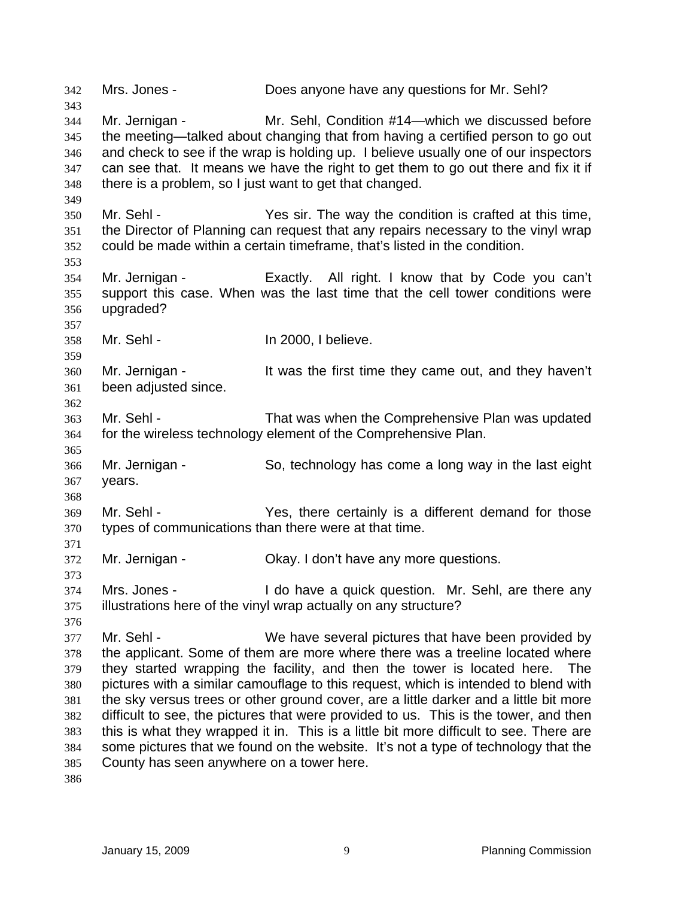342 Mrs. Jones - Does anyone have any questions for Mr. Sehl? 343 344 345 346 347 348 349 350 351 352 353 354 355 356 357 358 359 360 361 362 363 364 365 366 367 368 369 370 371 372 373 374 375 376 377 378 379 380 381 382 383 384 385 386 Mr. Jernigan - Mr. Sehl, Condition #14—which we discussed before the meeting—talked about changing that from having a certified person to go out and check to see if the wrap is holding up. I believe usually one of our inspectors can see that. It means we have the right to get them to go out there and fix it if there is a problem, so I just want to get that changed. Mr. Sehl - The way the condition is crafted at this time, the Director of Planning can request that any repairs necessary to the vinyl wrap could be made within a certain timeframe, that's listed in the condition. Mr. Jernigan - Exactly. All right. I know that by Code you can't support this case. When was the last time that the cell tower conditions were upgraded? Mr. Sehl - In 2000, I believe. Mr. Jernigan - It was the first time they came out, and they haven't been adjusted since. Mr. Sehl - That was when the Comprehensive Plan was updated for the wireless technology element of the Comprehensive Plan. Mr. Jernigan - So, technology has come a long way in the last eight years. Mr. Sehl - The Yes, there certainly is a different demand for those types of communications than there were at that time. Mr. Jernigan - Okay. I don't have any more questions. Mrs. Jones - I do have a quick question. Mr. Sehl, are there any illustrations here of the vinyl wrap actually on any structure? Mr. Sehl - We have several pictures that have been provided by the applicant. Some of them are more where there was a treeline located where they started wrapping the facility, and then the tower is located here. The pictures with a similar camouflage to this request, which is intended to blend with the sky versus trees or other ground cover, are a little darker and a little bit more difficult to see, the pictures that were provided to us. This is the tower, and then this is what they wrapped it in. This is a little bit more difficult to see. There are some pictures that we found on the website. It's not a type of technology that the County has seen anywhere on a tower here.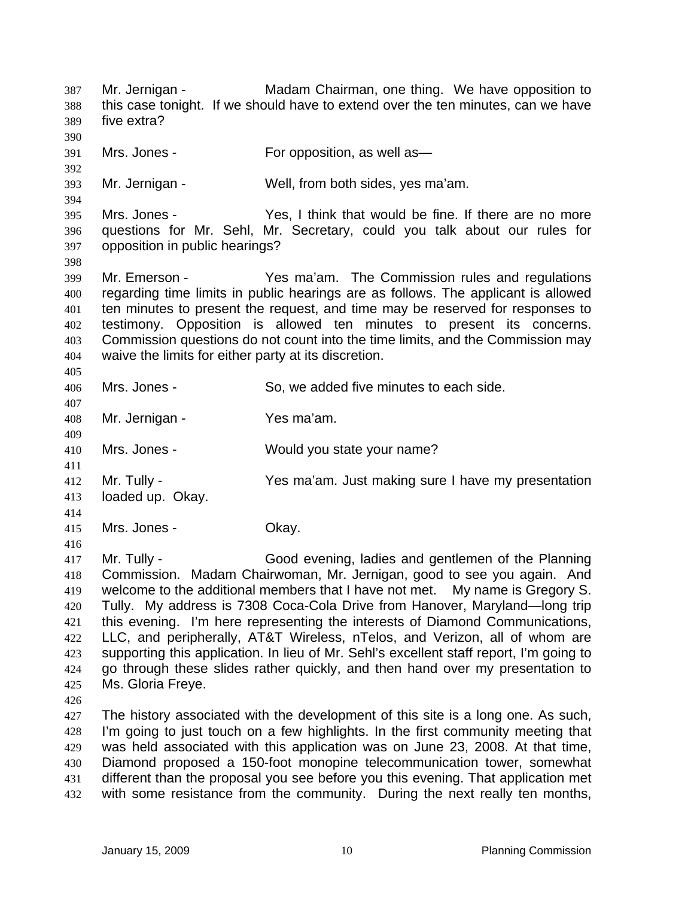Mr. Jernigan - The Madam Chairman, one thing. We have opposition to this case tonight. If we should have to extend over the ten minutes, can we have five extra? 387 388 389 390 391 392 393 394 395 396 397 398 399 400 401 402 403 404 405 406 407 408 409 410 411 412 413 414 415 416 417 418 419 420 421 422 423 424 425 426 427 428 429 430 Mrs. Jones - For opposition, as well as — Mr. Jernigan - Well, from both sides, yes ma'am. Mrs. Jones - Yes, I think that would be fine. If there are no more questions for Mr. Sehl, Mr. Secretary, could you talk about our rules for opposition in public hearings? Mr. Emerson - Yes ma'am. The Commission rules and regulations regarding time limits in public hearings are as follows. The applicant is allowed ten minutes to present the request, and time may be reserved for responses to testimony. Opposition is allowed ten minutes to present its concerns. Commission questions do not count into the time limits, and the Commission may waive the limits for either party at its discretion. Mrs. Jones - So, we added five minutes to each side. Mr. Jernigan - Yes ma'am. Mrs. Jones - Would you state your name? Mr. Tully - The Yes ma'am. Just making sure I have my presentation loaded up. Okay. Mrs. Jones - Chay. Mr. Tully - Good evening, ladies and gentlemen of the Planning Commission. Madam Chairwoman, Mr. Jernigan, good to see you again. And welcome to the additional members that I have not met. My name is Gregory S. Tully. My address is 7308 Coca-Cola Drive from Hanover, Maryland—long trip this evening. I'm here representing the interests of Diamond Communications, LLC, and peripherally, AT&T Wireless, nTelos, and Verizon, all of whom are supporting this application. In lieu of Mr. Sehl's excellent staff report, I'm going to go through these slides rather quickly, and then hand over my presentation to Ms. Gloria Freye. The history associated with the development of this site is a long one. As such, I'm going to just touch on a few highlights. In the first community meeting that was held associated with this application was on June 23, 2008. At that time, Diamond proposed a 150-foot monopine telecommunication tower, somewhat

different than the proposal you see before you this evening. That application met with some resistance from the community. During the next really ten months,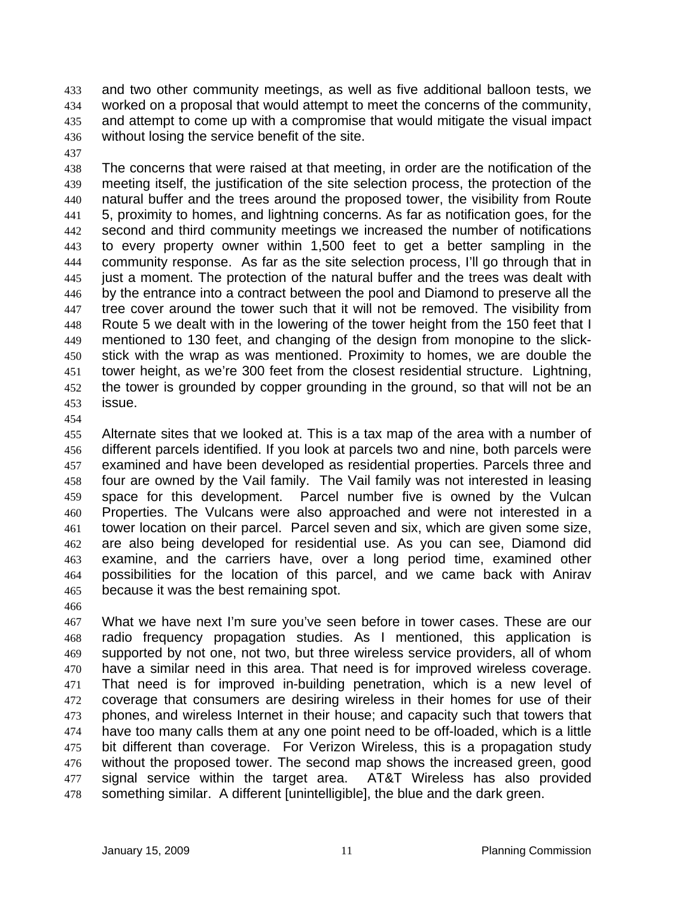and two other community meetings, as well as five additional balloon tests, we worked on a proposal that would attempt to meet the concerns of the community, and attempt to come up with a compromise that would mitigate the visual impact without losing the service benefit of the site. 433 434 435 436

437

438 439 440 441 442 443 444 445 446 447 448 449 450 451 452 453 The concerns that were raised at that meeting, in order are the notification of the meeting itself, the justification of the site selection process, the protection of the natural buffer and the trees around the proposed tower, the visibility from Route 5, proximity to homes, and lightning concerns. As far as notification goes, for the second and third community meetings we increased the number of notifications to every property owner within 1,500 feet to get a better sampling in the community response. As far as the site selection process, I'll go through that in just a moment. The protection of the natural buffer and the trees was dealt with by the entrance into a contract between the pool and Diamond to preserve all the tree cover around the tower such that it will not be removed. The visibility from Route 5 we dealt with in the lowering of the tower height from the 150 feet that I mentioned to 130 feet, and changing of the design from monopine to the slickstick with the wrap as was mentioned. Proximity to homes, we are double the tower height, as we're 300 feet from the closest residential structure. Lightning, the tower is grounded by copper grounding in the ground, so that will not be an issue.

454

455 456 457 458 459 460 461 462 463 464 465 Alternate sites that we looked at. This is a tax map of the area with a number of different parcels identified. If you look at parcels two and nine, both parcels were examined and have been developed as residential properties. Parcels three and four are owned by the Vail family. The Vail family was not interested in leasing space for this development. Parcel number five is owned by the Vulcan Properties. The Vulcans were also approached and were not interested in a tower location on their parcel. Parcel seven and six, which are given some size, are also being developed for residential use. As you can see, Diamond did examine, and the carriers have, over a long period time, examined other possibilities for the location of this parcel, and we came back with Anirav because it was the best remaining spot.

466

467 468 469 470 471 472 473 474 475 476 477 478 What we have next I'm sure you've seen before in tower cases. These are our radio frequency propagation studies. As I mentioned, this application is supported by not one, not two, but three wireless service providers, all of whom have a similar need in this area. That need is for improved wireless coverage. That need is for improved in-building penetration, which is a new level of coverage that consumers are desiring wireless in their homes for use of their phones, and wireless Internet in their house; and capacity such that towers that have too many calls them at any one point need to be off-loaded, which is a little bit different than coverage. For Verizon Wireless, this is a propagation study without the proposed tower. The second map shows the increased green, good signal service within the target area. AT&T Wireless has also provided something similar. A different [unintelligible], the blue and the dark green.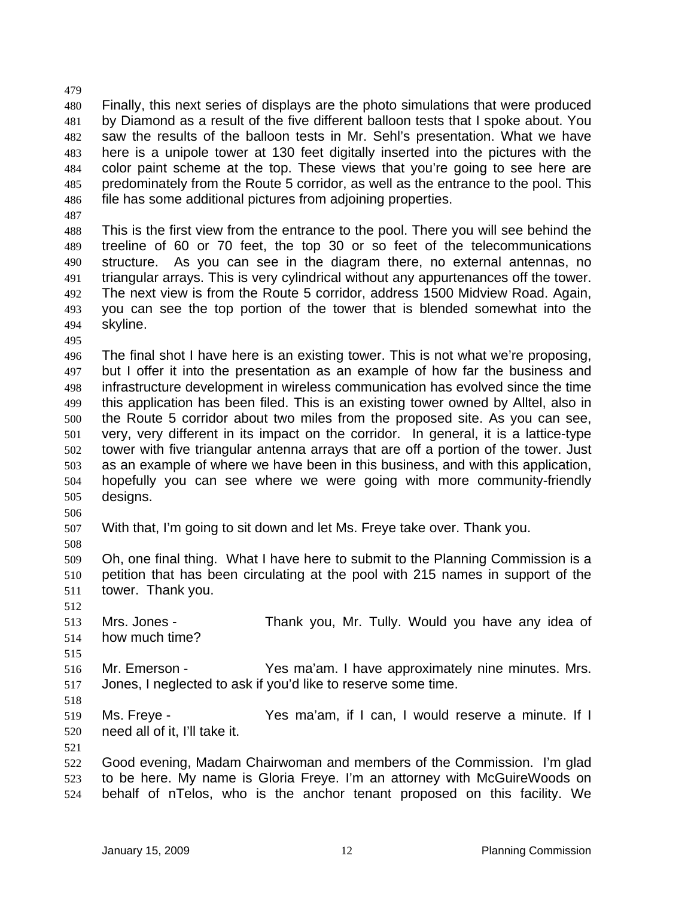480 481 482 483 484 485 486 Finally, this next series of displays are the photo simulations that were produced by Diamond as a result of the five different balloon tests that I spoke about. You saw the results of the balloon tests in Mr. Sehl's presentation. What we have here is a unipole tower at 130 feet digitally inserted into the pictures with the color paint scheme at the top. These views that you're going to see here are predominately from the Route 5 corridor, as well as the entrance to the pool. This file has some additional pictures from adjoining properties.

487

479

488 489 490 491 492 493 494 This is the first view from the entrance to the pool. There you will see behind the treeline of 60 or 70 feet, the top 30 or so feet of the telecommunications structure. As you can see in the diagram there, no external antennas, no triangular arrays. This is very cylindrical without any appurtenances off the tower. The next view is from the Route 5 corridor, address 1500 Midview Road. Again, you can see the top portion of the tower that is blended somewhat into the skyline.

495

496 497 498 499 500 501 502 503 504 505 The final shot I have here is an existing tower. This is not what we're proposing, but I offer it into the presentation as an example of how far the business and infrastructure development in wireless communication has evolved since the time this application has been filed. This is an existing tower owned by Alltel, also in the Route 5 corridor about two miles from the proposed site. As you can see, very, very different in its impact on the corridor. In general, it is a lattice-type tower with five triangular antenna arrays that are off a portion of the tower. Just as an example of where we have been in this business, and with this application, hopefully you can see where we were going with more community-friendly designs.

506

507 With that, I'm going to sit down and let Ms. Freye take over. Thank you.

508

512

509 510 511 Oh, one final thing. What I have here to submit to the Planning Commission is a petition that has been circulating at the pool with 215 names in support of the tower. Thank you.

513 514 Mrs. Jones - Thank you, Mr. Tully. Would you have any idea of how much time?

515 516 517 Mr. Emerson - Yes ma'am. I have approximately nine minutes. Mrs. Jones, I neglected to ask if you'd like to reserve some time.

518

519 520 Ms. Freye - The State Yes ma'am, if I can, I would reserve a minute. If I need all of it, I'll take it.

521 522 523 524 Good evening, Madam Chairwoman and members of the Commission. I'm glad to be here. My name is Gloria Freye. I'm an attorney with McGuireWoods on behalf of nTelos, who is the anchor tenant proposed on this facility. We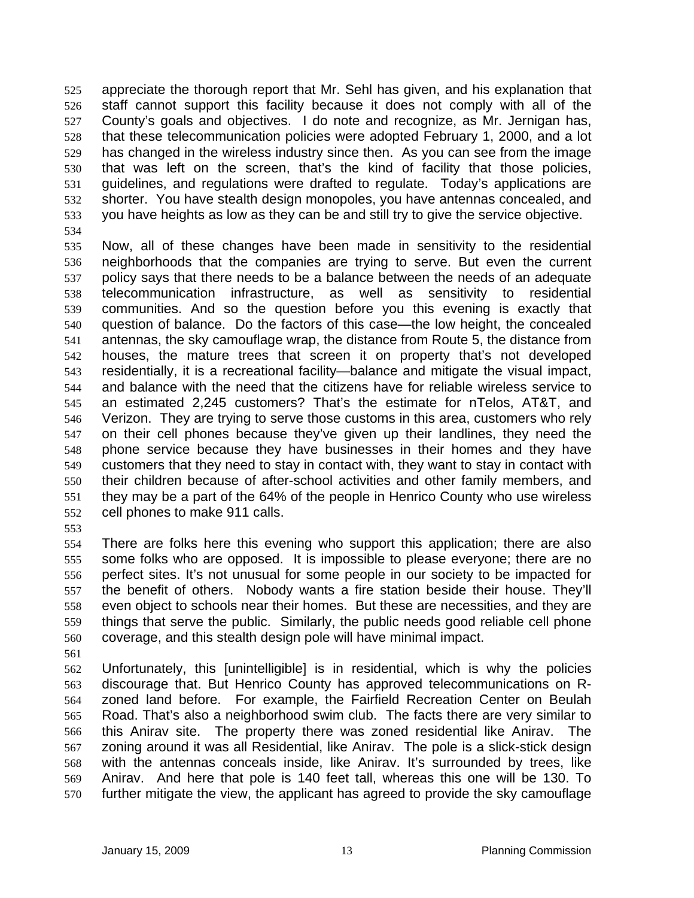appreciate the thorough report that Mr. Sehl has given, and his explanation that staff cannot support this facility because it does not comply with all of the County's goals and objectives. I do note and recognize, as Mr. Jernigan has, that these telecommunication policies were adopted February 1, 2000, and a lot has changed in the wireless industry since then. As you can see from the image that was left on the screen, that's the kind of facility that those policies, guidelines, and regulations were drafted to regulate. Today's applications are shorter. You have stealth design monopoles, you have antennas concealed, and you have heights as low as they can be and still try to give the service objective. 525 526 527 528 529 530 531 532 533

534

535 536 537 538 539 540 541 542 543 544 545 546 547 548 549 550 551 552 Now, all of these changes have been made in sensitivity to the residential neighborhoods that the companies are trying to serve. But even the current policy says that there needs to be a balance between the needs of an adequate telecommunication infrastructure, as well as sensitivity to residential communities. And so the question before you this evening is exactly that question of balance. Do the factors of this case—the low height, the concealed antennas, the sky camouflage wrap, the distance from Route 5, the distance from houses, the mature trees that screen it on property that's not developed residentially, it is a recreational facility—balance and mitigate the visual impact, and balance with the need that the citizens have for reliable wireless service to an estimated 2,245 customers? That's the estimate for nTelos, AT&T, and Verizon. They are trying to serve those customs in this area, customers who rely on their cell phones because they've given up their landlines, they need the phone service because they have businesses in their homes and they have customers that they need to stay in contact with, they want to stay in contact with their children because of after-school activities and other family members, and they may be a part of the 64% of the people in Henrico County who use wireless cell phones to make 911 calls.

553

554 555 556 557 558 559 560 There are folks here this evening who support this application; there are also some folks who are opposed. It is impossible to please everyone; there are no perfect sites. It's not unusual for some people in our society to be impacted for the benefit of others. Nobody wants a fire station beside their house. They'll even object to schools near their homes. But these are necessities, and they are things that serve the public. Similarly, the public needs good reliable cell phone coverage, and this stealth design pole will have minimal impact.

561

562 563 564 565 566 567 568 569 570 Unfortunately, this [unintelligible] is in residential, which is why the policies discourage that. But Henrico County has approved telecommunications on Rzoned land before. For example, the Fairfield Recreation Center on Beulah Road. That's also a neighborhood swim club. The facts there are very similar to this Anirav site. The property there was zoned residential like Anirav. The zoning around it was all Residential, like Anirav. The pole is a slick-stick design with the antennas conceals inside, like Anirav. It's surrounded by trees, like Anirav. And here that pole is 140 feet tall, whereas this one will be 130. To further mitigate the view, the applicant has agreed to provide the sky camouflage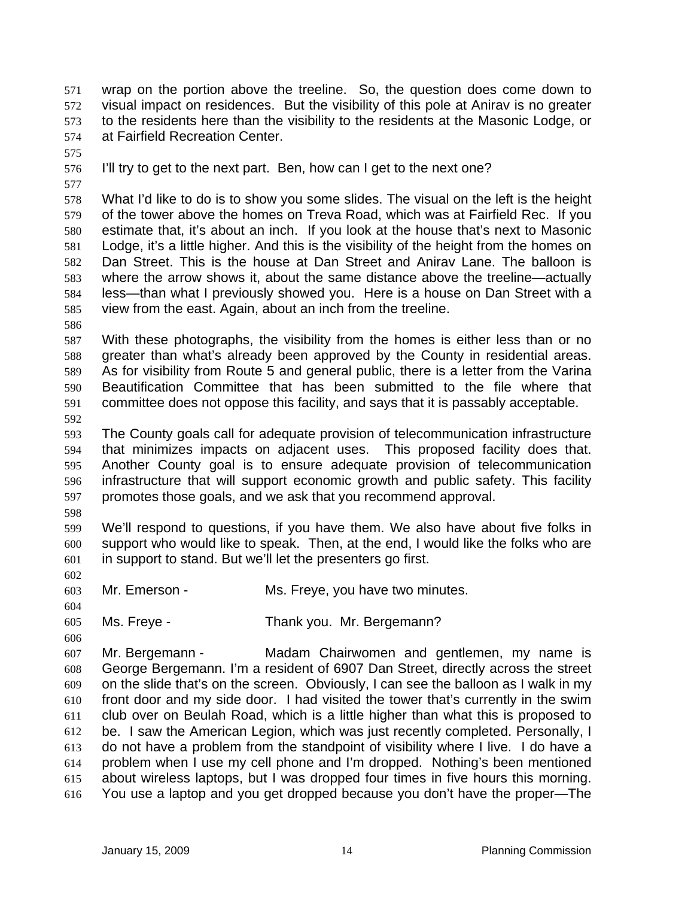wrap on the portion above the treeline. So, the question does come down to visual impact on residences. But the visibility of this pole at Anirav is no greater to the residents here than the visibility to the residents at the Masonic Lodge, or at Fairfield Recreation Center. 571 572 573 574

575

576 I'll try to get to the next part. Ben, how can I get to the next one?

577

578 579 580 581 582 583 584 585 What I'd like to do is to show you some slides. The visual on the left is the height of the tower above the homes on Treva Road, which was at Fairfield Rec. If you estimate that, it's about an inch. If you look at the house that's next to Masonic Lodge, it's a little higher. And this is the visibility of the height from the homes on Dan Street. This is the house at Dan Street and Anirav Lane. The balloon is where the arrow shows it, about the same distance above the treeline—actually less—than what I previously showed you. Here is a house on Dan Street with a view from the east. Again, about an inch from the treeline.

586

587 588 589 590 591 With these photographs, the visibility from the homes is either less than or no greater than what's already been approved by the County in residential areas. As for visibility from Route 5 and general public, there is a letter from the Varina Beautification Committee that has been submitted to the file where that committee does not oppose this facility, and says that it is passably acceptable.

592

593 594 595 596 597 The County goals call for adequate provision of telecommunication infrastructure that minimizes impacts on adjacent uses. This proposed facility does that. Another County goal is to ensure adequate provision of telecommunication infrastructure that will support economic growth and public safety. This facility promotes those goals, and we ask that you recommend approval.

598

599 600 601 We'll respond to questions, if you have them. We also have about five folks in support who would like to speak. Then, at the end, I would like the folks who are in support to stand. But we'll let the presenters go first.

602

603 Mr. Emerson - Ms. Freye, you have two minutes.

604 605 Ms. Freye - Thank you. Mr. Bergemann?

606

607 608 609 610 611 612 613 614 615 616 Mr. Bergemann - Madam Chairwomen and gentlemen, my name is George Bergemann. I'm a resident of 6907 Dan Street, directly across the street on the slide that's on the screen. Obviously, I can see the balloon as I walk in my front door and my side door. I had visited the tower that's currently in the swim club over on Beulah Road, which is a little higher than what this is proposed to be. I saw the American Legion, which was just recently completed. Personally, I do not have a problem from the standpoint of visibility where I live. I do have a problem when I use my cell phone and I'm dropped. Nothing's been mentioned about wireless laptops, but I was dropped four times in five hours this morning. You use a laptop and you get dropped because you don't have the proper—The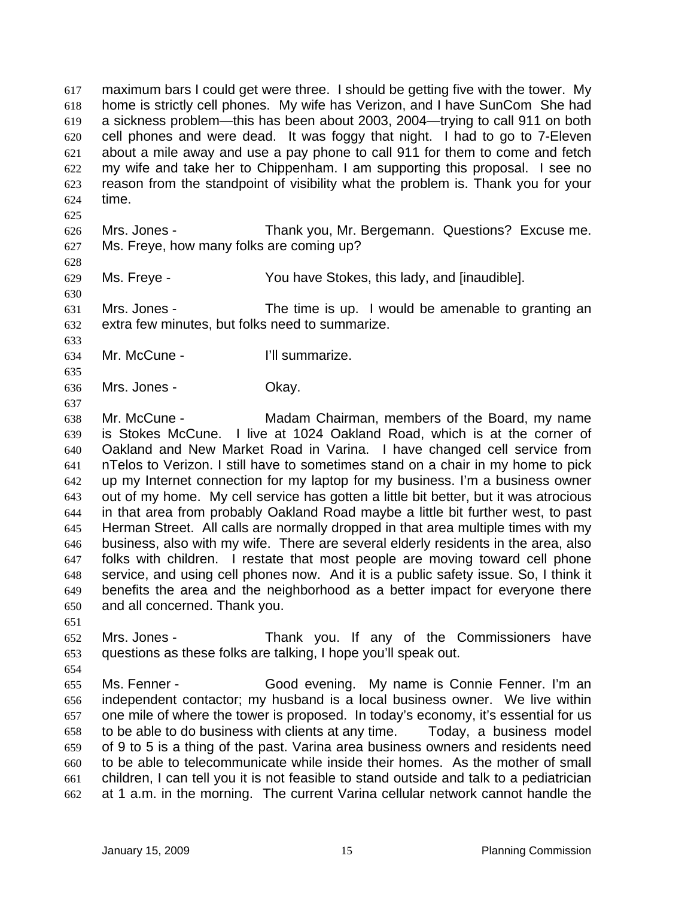maximum bars I could get were three. I should be getting five with the tower. My home is strictly cell phones. My wife has Verizon, and I have SunCom She had a sickness problem—this has been about 2003, 2004—trying to call 911 on both cell phones and were dead. It was foggy that night. I had to go to 7-Eleven about a mile away and use a pay phone to call 911 for them to come and fetch my wife and take her to Chippenham. I am supporting this proposal. I see no reason from the standpoint of visibility what the problem is. Thank you for your time. 617 618 619 620 621 622 623 624

- 626 627 Mrs. Jones - Thank you, Mr. Bergemann. Questions? Excuse me. Ms. Freye, how many folks are coming up?
- 629 Ms. Freye - You have Stokes, this lady, and [inaudible].

631 632 Mrs. Jones - The time is up. I would be amenable to granting an extra few minutes, but folks need to summarize.

633 634

635

637

625

628

630

- Mr. McCune I'll summarize.
- 636 Mrs. Jones - Chay.

638 639 640 641 642 643 644 645 646 647 648 649 650 Mr. McCune - The Madam Chairman, members of the Board, my name is Stokes McCune. I live at 1024 Oakland Road, which is at the corner of Oakland and New Market Road in Varina. I have changed cell service from nTelos to Verizon. I still have to sometimes stand on a chair in my home to pick up my Internet connection for my laptop for my business. I'm a business owner out of my home. My cell service has gotten a little bit better, but it was atrocious in that area from probably Oakland Road maybe a little bit further west, to past Herman Street. All calls are normally dropped in that area multiple times with my business, also with my wife. There are several elderly residents in the area, also folks with children. I restate that most people are moving toward cell phone service, and using cell phones now. And it is a public safety issue. So, I think it benefits the area and the neighborhood as a better impact for everyone there and all concerned. Thank you.

651

654

652 653 Mrs. Jones - Thank you. If any of the Commissioners have questions as these folks are talking, I hope you'll speak out.

655 656 657 658 659 660 661 662 Ms. Fenner - Good evening. My name is Connie Fenner. I'm an independent contactor; my husband is a local business owner. We live within one mile of where the tower is proposed. In today's economy, it's essential for us to be able to do business with clients at any time. Today, a business model of 9 to 5 is a thing of the past. Varina area business owners and residents need to be able to telecommunicate while inside their homes. As the mother of small children, I can tell you it is not feasible to stand outside and talk to a pediatrician at 1 a.m. in the morning. The current Varina cellular network cannot handle the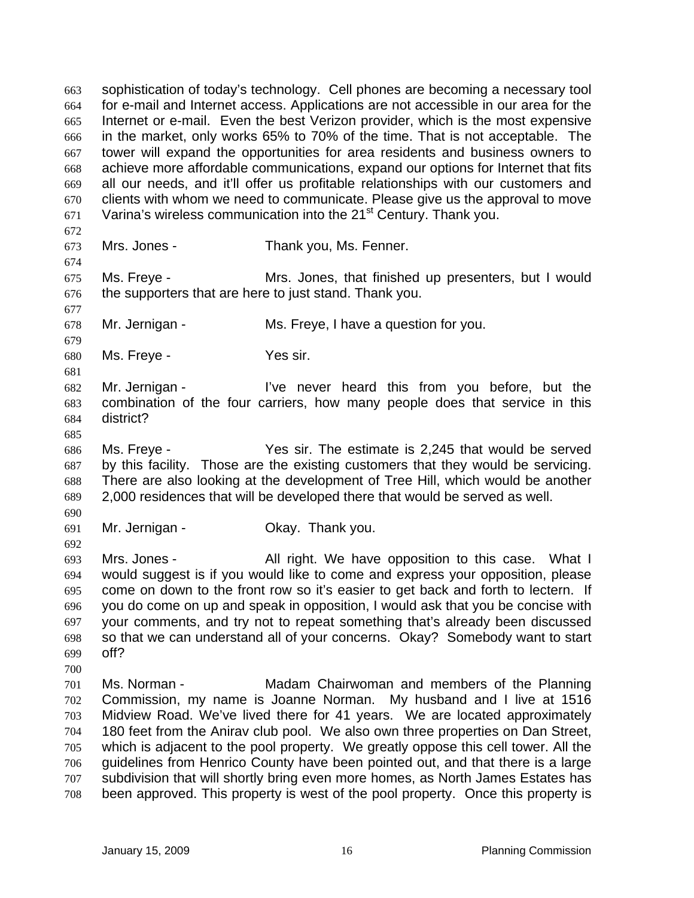sophistication of today's technology. Cell phones are becoming a necessary tool for e-mail and Internet access. Applications are not accessible in our area for the Internet or e-mail. Even the best Verizon provider, which is the most expensive in the market, only works 65% to 70% of the time. That is not acceptable. The tower will expand the opportunities for area residents and business owners to achieve more affordable communications, expand our options for Internet that fits all our needs, and it'll offer us profitable relationships with our customers and clients with whom we need to communicate. Please give us the approval to move Varina's wireless communication into the 21<sup>st</sup> Century. Thank you. 663 664 665 666 667 668 669 670 671 672 673 674 675 676 677 678 679 680 681 682 683 684 685 686 687 688 689 690 691 692 693 694 695 696 697 698 699 700 701 702 703 704 705 706 707 708 Mrs. Jones - Thank you, Ms. Fenner. Ms. Freye - Mrs. Jones, that finished up presenters, but I would the supporters that are here to just stand. Thank you. Mr. Jernigan - Ms. Freye, I have a question for you. Ms. Freye - Yes sir. Mr. Jernigan - I've never heard this from you before, but the combination of the four carriers, how many people does that service in this district? Ms. Freye - The sir. The estimate is 2,245 that would be served by this facility. Those are the existing customers that they would be servicing. There are also looking at the development of Tree Hill, which would be another 2,000 residences that will be developed there that would be served as well. Mr. Jernigan - **Okay. Thank you.** Mrs. Jones - All right. We have opposition to this case. What I would suggest is if you would like to come and express your opposition, please come on down to the front row so it's easier to get back and forth to lectern. If you do come on up and speak in opposition, I would ask that you be concise with your comments, and try not to repeat something that's already been discussed so that we can understand all of your concerns. Okay? Somebody want to start off? Ms. Norman - Madam Chairwoman and members of the Planning Commission, my name is Joanne Norman. My husband and I live at 1516 Midview Road. We've lived there for 41 years. We are located approximately 180 feet from the Anirav club pool. We also own three properties on Dan Street, which is adjacent to the pool property. We greatly oppose this cell tower. All the guidelines from Henrico County have been pointed out, and that there is a large subdivision that will shortly bring even more homes, as North James Estates has been approved. This property is west of the pool property. Once this property is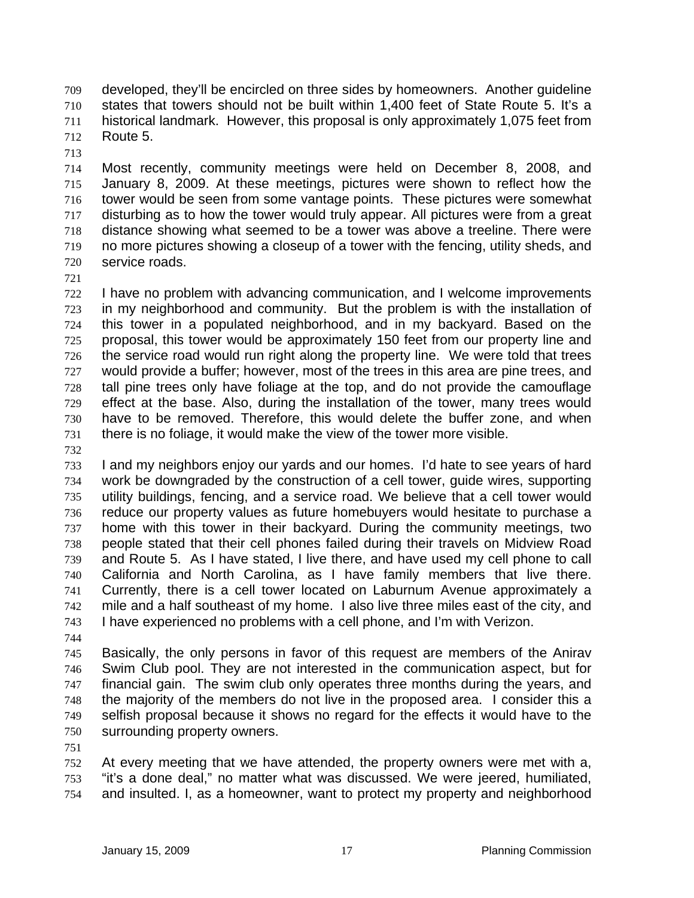developed, they'll be encircled on three sides by homeowners. Another guideline states that towers should not be built within 1,400 feet of State Route 5. It's a historical landmark. However, this proposal is only approximately 1,075 feet from Route 5. 709 710 711 712

713

714 715 716 717 718 719 720 Most recently, community meetings were held on December 8, 2008, and January 8, 2009. At these meetings, pictures were shown to reflect how the tower would be seen from some vantage points. These pictures were somewhat disturbing as to how the tower would truly appear. All pictures were from a great distance showing what seemed to be a tower was above a treeline. There were no more pictures showing a closeup of a tower with the fencing, utility sheds, and service roads.

721

722 723 724 725 726 727 728 729 730 731 I have no problem with advancing communication, and I welcome improvements in my neighborhood and community. But the problem is with the installation of this tower in a populated neighborhood, and in my backyard. Based on the proposal, this tower would be approximately 150 feet from our property line and the service road would run right along the property line. We were told that trees would provide a buffer; however, most of the trees in this area are pine trees, and tall pine trees only have foliage at the top, and do not provide the camouflage effect at the base. Also, during the installation of the tower, many trees would have to be removed. Therefore, this would delete the buffer zone, and when there is no foliage, it would make the view of the tower more visible.

732

733 734 735 736 737 738 739 740 741 742 743 I and my neighbors enjoy our yards and our homes. I'd hate to see years of hard work be downgraded by the construction of a cell tower, guide wires, supporting utility buildings, fencing, and a service road. We believe that a cell tower would reduce our property values as future homebuyers would hesitate to purchase a home with this tower in their backyard. During the community meetings, two people stated that their cell phones failed during their travels on Midview Road and Route 5. As I have stated, I live there, and have used my cell phone to call California and North Carolina, as I have family members that live there. Currently, there is a cell tower located on Laburnum Avenue approximately a mile and a half southeast of my home. I also live three miles east of the city, and I have experienced no problems with a cell phone, and I'm with Verizon.

744

745 746 747 748 749 750 Basically, the only persons in favor of this request are members of the Anirav Swim Club pool. They are not interested in the communication aspect, but for financial gain. The swim club only operates three months during the years, and the majority of the members do not live in the proposed area. I consider this a selfish proposal because it shows no regard for the effects it would have to the surrounding property owners.

751

752 753 754 At every meeting that we have attended, the property owners were met with a, "it's a done deal," no matter what was discussed. We were jeered, humiliated, and insulted. I, as a homeowner, want to protect my property and neighborhood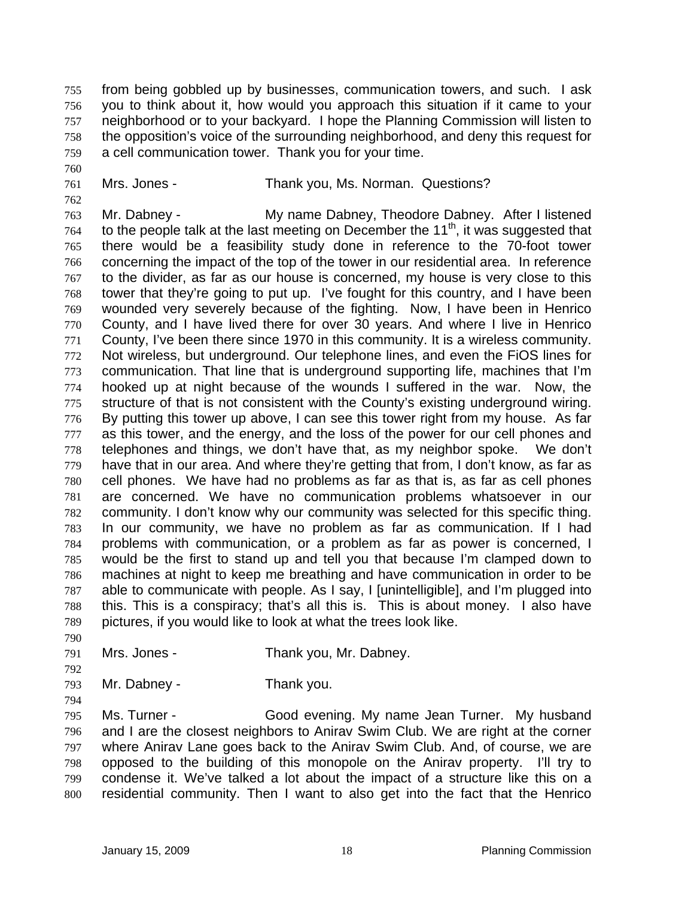from being gobbled up by businesses, communication towers, and such. I ask you to think about it, how would you approach this situation if it came to your neighborhood or to your backyard. I hope the Planning Commission will listen to the opposition's voice of the surrounding neighborhood, and deny this request for a cell communication tower. Thank you for your time. 755 756 757 758 759

- 760
- 761 762
- Mrs. Jones Thank you, Ms. Norman. Questions?

763 764 765 766 767 768 769 770 771 772 773 774 775 776 777 778 779 780 781 782 783 784 785 786 787 788 789 Mr. Dabney - My name Dabney, Theodore Dabney. After I listened to the people talk at the last meeting on December the  $11<sup>th</sup>$ , it was suggested that there would be a feasibility study done in reference to the 70-foot tower concerning the impact of the top of the tower in our residential area. In reference to the divider, as far as our house is concerned, my house is very close to this tower that they're going to put up. I've fought for this country, and I have been wounded very severely because of the fighting. Now, I have been in Henrico County, and I have lived there for over 30 years. And where I live in Henrico County, I've been there since 1970 in this community. It is a wireless community. Not wireless, but underground. Our telephone lines, and even the FiOS lines for communication. That line that is underground supporting life, machines that I'm hooked up at night because of the wounds I suffered in the war. Now, the structure of that is not consistent with the County's existing underground wiring. By putting this tower up above, I can see this tower right from my house. As far as this tower, and the energy, and the loss of the power for our cell phones and telephones and things, we don't have that, as my neighbor spoke. We don't have that in our area. And where they're getting that from, I don't know, as far as cell phones. We have had no problems as far as that is, as far as cell phones are concerned. We have no communication problems whatsoever in our community. I don't know why our community was selected for this specific thing. In our community, we have no problem as far as communication. If I had problems with communication, or a problem as far as power is concerned, I would be the first to stand up and tell you that because I'm clamped down to machines at night to keep me breathing and have communication in order to be able to communicate with people. As I say, I [unintelligible], and I'm plugged into this. This is a conspiracy; that's all this is. This is about money. I also have pictures, if you would like to look at what the trees look like.

- 791 Mrs. Jones - Thank you, Mr. Dabney.
- 792

794

790

793 Mr. Dabney - Thank you.

795 796 797 798 799 800 Ms. Turner - Good evening. My name Jean Turner. My husband and I are the closest neighbors to Anirav Swim Club. We are right at the corner where Anirav Lane goes back to the Anirav Swim Club. And, of course, we are opposed to the building of this monopole on the Anirav property. I'll try to condense it. We've talked a lot about the impact of a structure like this on a residential community. Then I want to also get into the fact that the Henrico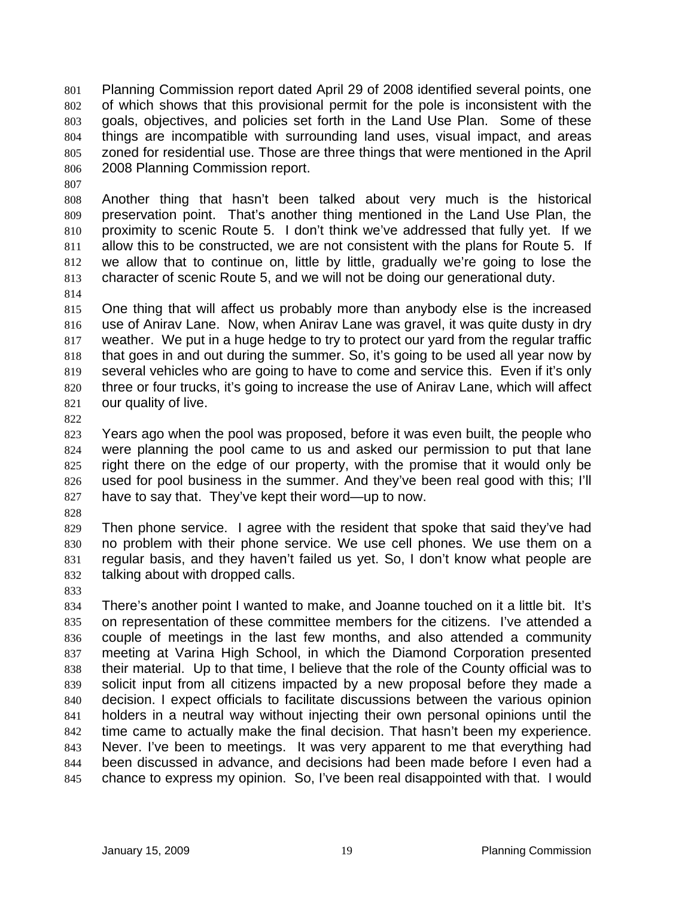Planning Commission report dated April 29 of 2008 identified several points, one of which shows that this provisional permit for the pole is inconsistent with the goals, objectives, and policies set forth in the Land Use Plan. Some of these things are incompatible with surrounding land uses, visual impact, and areas zoned for residential use. Those are three things that were mentioned in the April 2008 Planning Commission report. 801 802 803 804 805 806

808 809 810 811 812 813 Another thing that hasn't been talked about very much is the historical preservation point. That's another thing mentioned in the Land Use Plan, the proximity to scenic Route 5. I don't think we've addressed that fully yet. If we allow this to be constructed, we are not consistent with the plans for Route 5. If we allow that to continue on, little by little, gradually we're going to lose the character of scenic Route 5, and we will not be doing our generational duty.

814

807

815 816 817 818 819 820 821 One thing that will affect us probably more than anybody else is the increased use of Anirav Lane. Now, when Anirav Lane was gravel, it was quite dusty in dry weather. We put in a huge hedge to try to protect our yard from the regular traffic that goes in and out during the summer. So, it's going to be used all year now by several vehicles who are going to have to come and service this. Even if it's only three or four trucks, it's going to increase the use of Anirav Lane, which will affect our quality of live.

822

823 824 825 826 827 Years ago when the pool was proposed, before it was even built, the people who were planning the pool came to us and asked our permission to put that lane right there on the edge of our property, with the promise that it would only be used for pool business in the summer. And they've been real good with this; I'll have to say that. They've kept their word—up to now.

828

829 830 831 832 Then phone service. I agree with the resident that spoke that said they've had no problem with their phone service. We use cell phones. We use them on a regular basis, and they haven't failed us yet. So, I don't know what people are talking about with dropped calls.

833

834 835 836 837 838 839 840 841 842 843 844 845 There's another point I wanted to make, and Joanne touched on it a little bit. It's on representation of these committee members for the citizens. I've attended a couple of meetings in the last few months, and also attended a community meeting at Varina High School, in which the Diamond Corporation presented their material. Up to that time, I believe that the role of the County official was to solicit input from all citizens impacted by a new proposal before they made a decision. I expect officials to facilitate discussions between the various opinion holders in a neutral way without injecting their own personal opinions until the time came to actually make the final decision. That hasn't been my experience. Never. I've been to meetings. It was very apparent to me that everything had been discussed in advance, and decisions had been made before I even had a chance to express my opinion. So, I've been real disappointed with that. I would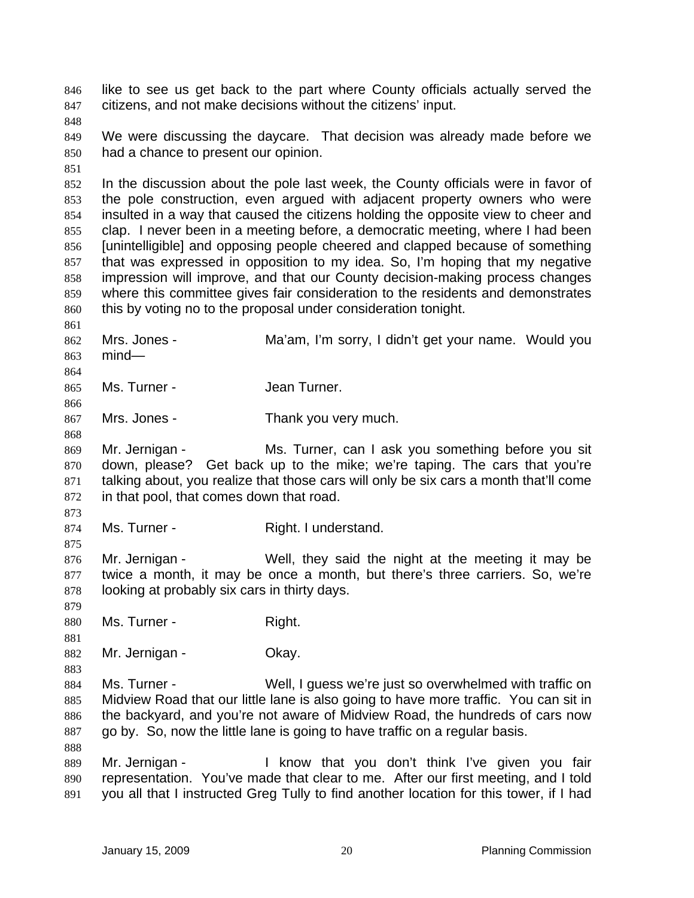like to see us get back to the part where County officials actually served the citizens, and not make decisions without the citizens' input. 846 847

848

851

849 850 We were discussing the daycare. That decision was already made before we had a chance to present our opinion.

- 852 853 854 855 856 857 858 859 860 In the discussion about the pole last week, the County officials were in favor of the pole construction, even argued with adjacent property owners who were insulted in a way that caused the citizens holding the opposite view to cheer and clap. I never been in a meeting before, a democratic meeting, where I had been [unintelligible] and opposing people cheered and clapped because of something that was expressed in opposition to my idea. So, I'm hoping that my negative impression will improve, and that our County decision-making process changes where this committee gives fair consideration to the residents and demonstrates this by voting no to the proposal under consideration tonight.
- 861 862 863 Mrs. Jones - Ma'am, I'm sorry, I didn't get your name. Would you mind—
- 865 Ms. Turner - The Jean Turner.
- 867 Mrs. Jones - Thank you very much.
- 869 870 871 872 Mr. Jernigan - Ms. Turner, can I ask you something before you sit down, please? Get back up to the mike; we're taping. The cars that you're talking about, you realize that those cars will only be six cars a month that'll come in that pool, that comes down that road.
- 873 874

875

864

866

868

Ms. Turner - Right. I understand.

876 877 878 Mr. Jernigan - Well, they said the night at the meeting it may be twice a month, it may be once a month, but there's three carriers. So, we're looking at probably six cars in thirty days.

- 879 880 Ms. Turner - The Right.
- 881

883

- 
- 882 Mr. Jernigan - **Okay.**
- 884 885 886 887 Ms. Turner - Well, I guess we're just so overwhelmed with traffic on Midview Road that our little lane is also going to have more traffic. You can sit in the backyard, and you're not aware of Midview Road, the hundreds of cars now go by. So, now the little lane is going to have traffic on a regular basis.
- 889 890 891 Mr. Jernigan - The Know that you don't think I've given you fair representation. You've made that clear to me. After our first meeting, and I told you all that I instructed Greg Tully to find another location for this tower, if I had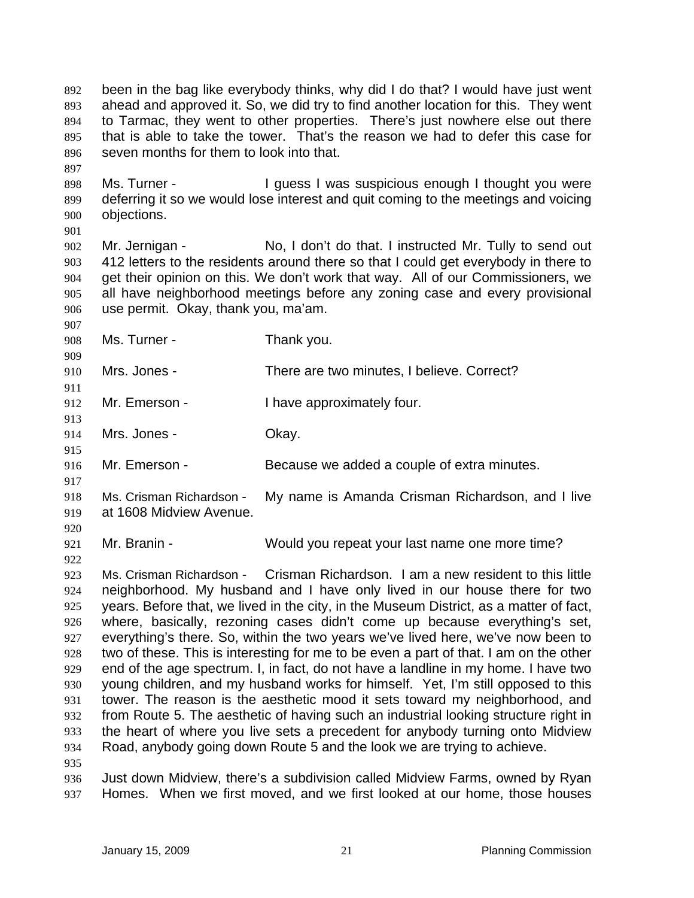been in the bag like everybody thinks, why did I do that? I would have just went ahead and approved it. So, we did try to find another location for this. They went to Tarmac, they went to other properties. There's just nowhere else out there that is able to take the tower. That's the reason we had to defer this case for seven months for them to look into that. 892 893 894 895 896

898 899 900 Ms. Turner - The Unit of Puess I was suspicious enough I thought you were deferring it so we would lose interest and quit coming to the meetings and voicing objections.

901

907

909

911

913

915

917

897

902 903 904 905 906 Mr. Jernigan - No, I don't do that. I instructed Mr. Tully to send out 412 letters to the residents around there so that I could get everybody in there to get their opinion on this. We don't work that way. All of our Commissioners, we all have neighborhood meetings before any zoning case and every provisional use permit. Okay, thank you, ma'am.

- 908 Ms. Turner - Thank you.
- 910 Mrs. Jones - There are two minutes, I believe. Correct?
- 912 Mr. Emerson - Thave approximately four.
- 914 Mrs. Jones - Chay.
- 916 Mr. Emerson - Because we added a couple of extra minutes.
- 918 919 Ms. Crisman Richardson - My name is Amanda Crisman Richardson, and I live at 1608 Midview Avenue.
- 920

922

- 921
- Mr. Branin Would you repeat your last name one more time?

923 924 925 926 927 928 929 930 931 932 933 934 935 Ms. Crisman Richardson - Crisman Richardson. I am a new resident to this little neighborhood. My husband and I have only lived in our house there for two years. Before that, we lived in the city, in the Museum District, as a matter of fact, where, basically, rezoning cases didn't come up because everything's set, everything's there. So, within the two years we've lived here, we've now been to two of these. This is interesting for me to be even a part of that. I am on the other end of the age spectrum. I, in fact, do not have a landline in my home. I have two young children, and my husband works for himself. Yet, I'm still opposed to this tower. The reason is the aesthetic mood it sets toward my neighborhood, and from Route 5. The aesthetic of having such an industrial looking structure right in the heart of where you live sets a precedent for anybody turning onto Midview Road, anybody going down Route 5 and the look we are trying to achieve.

936 937 Just down Midview, there's a subdivision called Midview Farms, owned by Ryan Homes. When we first moved, and we first looked at our home, those houses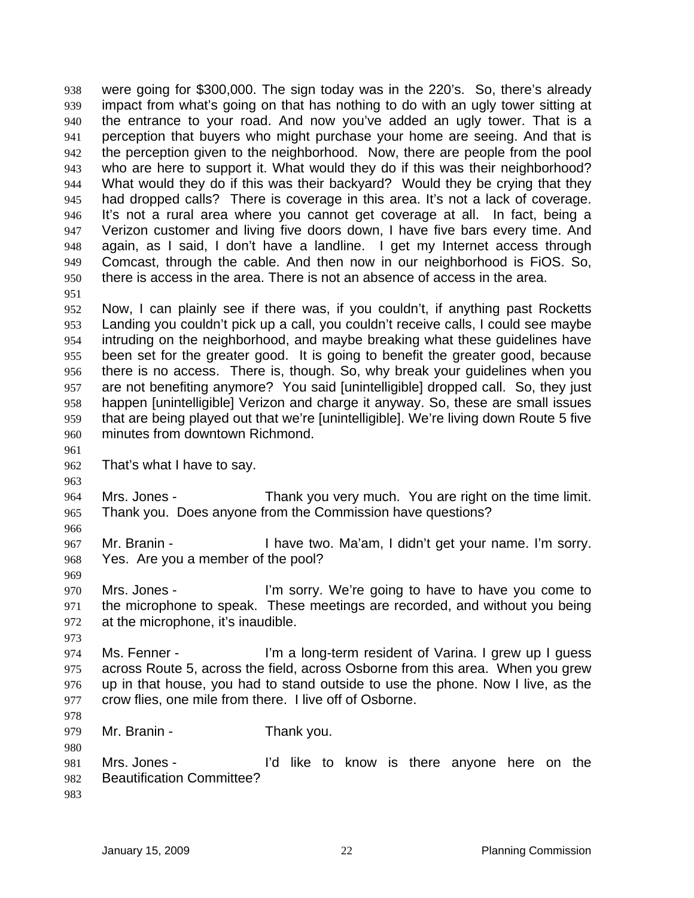were going for \$300,000. The sign today was in the 220's. So, there's already impact from what's going on that has nothing to do with an ugly tower sitting at the entrance to your road. And now you've added an ugly tower. That is a perception that buyers who might purchase your home are seeing. And that is the perception given to the neighborhood. Now, there are people from the pool who are here to support it. What would they do if this was their neighborhood? What would they do if this was their backyard? Would they be crying that they had dropped calls? There is coverage in this area. It's not a lack of coverage. It's not a rural area where you cannot get coverage at all. In fact, being a Verizon customer and living five doors down, I have five bars every time. And again, as I said, I don't have a landline. I get my Internet access through Comcast, through the cable. And then now in our neighborhood is FiOS. So, there is access in the area. There is not an absence of access in the area. 938 939 940 941 942 943 944 945 946 947 948 949 950 951

952 953 954 955 956 957 958 959 960 Now, I can plainly see if there was, if you couldn't, if anything past Rocketts Landing you couldn't pick up a call, you couldn't receive calls, I could see maybe intruding on the neighborhood, and maybe breaking what these guidelines have been set for the greater good. It is going to benefit the greater good, because there is no access. There is, though. So, why break your guidelines when you are not benefiting anymore? You said [unintelligible] dropped call. So, they just happen [unintelligible] Verizon and charge it anyway. So, these are small issues that are being played out that we're [unintelligible]. We're living down Route 5 five minutes from downtown Richmond.

961

963

966

969

973

978

980

962 That's what I have to say.

964 965 Mrs. Jones - Thank you very much. You are right on the time limit. Thank you. Does anyone from the Commission have questions?

967 968 Mr. Branin - Thave two. Ma'am, I didn't get your name. I'm sorry. Yes. Are you a member of the pool?

970 971 972 Mrs. Jones - The State of I'm sorry. We're going to have to have you come to the microphone to speak. These meetings are recorded, and without you being at the microphone, it's inaudible.

974 975 976 977 Ms. Fenner - I'm a long-term resident of Varina. I grew up I guess across Route 5, across the field, across Osborne from this area. When you grew up in that house, you had to stand outside to use the phone. Now I live, as the crow flies, one mile from there. I live off of Osborne.

979 Mr. Branin - Thank you.

981 982 Mrs. Jones - The I'd like to know is there anyone here on the Beautification Committee?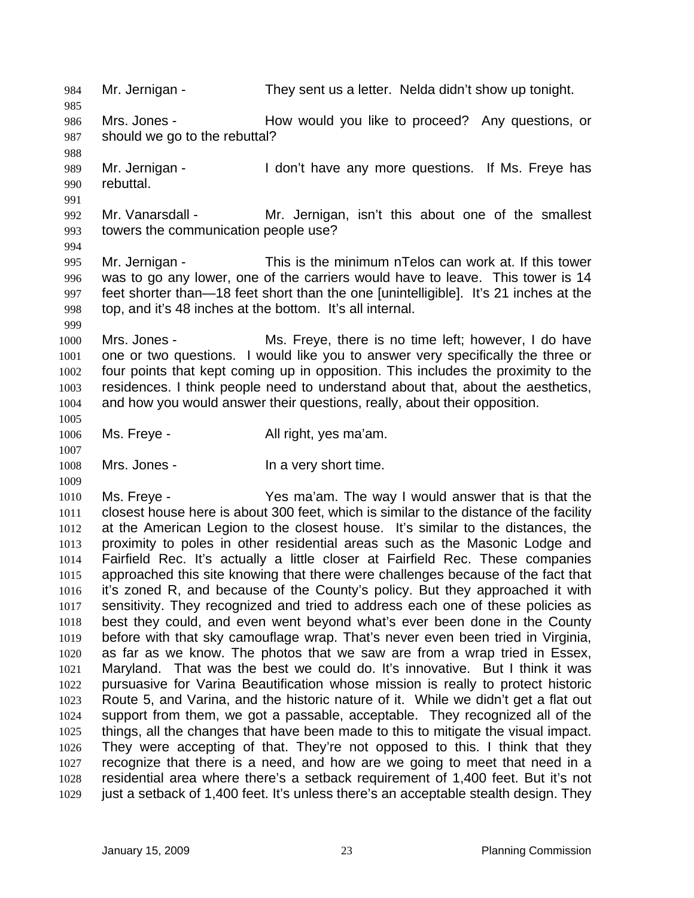984 Mr. Jernigan - They sent us a letter. Nelda didn't show up tonight. 985 986 987 988 989 990 991 992 993 994 995 996 997 998 999 1000 1001 1002 1003 1004 1005 1006 1007 1008 1009 1010 1011 1012 1013 1014 1015 1016 1017 1018 1019 1020 1021 1022 1023 1024 1025 1026 1027 1028 1029 Mrs. Jones - The How would you like to proceed? Any questions, or should we go to the rebuttal? Mr. Jernigan - I don't have any more questions. If Ms. Freye has rebuttal. Mr. Vanarsdall - Mr. Jernigan, isn't this about one of the smallest towers the communication people use? Mr. Jernigan - This is the minimum nTelos can work at. If this tower was to go any lower, one of the carriers would have to leave. This tower is 14 feet shorter than—18 feet short than the one [unintelligible]. It's 21 inches at the top, and it's 48 inches at the bottom. It's all internal. Mrs. Jones - Ms. Freye, there is no time left; however, I do have one or two questions. I would like you to answer very specifically the three or four points that kept coming up in opposition. This includes the proximity to the residences. I think people need to understand about that, about the aesthetics, and how you would answer their questions, really, about their opposition. Ms. Freye - The All right, yes ma'am. Mrs. Jones - The a very short time. Ms. Freye - Yes ma'am. The way I would answer that is that the closest house here is about 300 feet, which is similar to the distance of the facility at the American Legion to the closest house. It's similar to the distances, the proximity to poles in other residential areas such as the Masonic Lodge and Fairfield Rec. It's actually a little closer at Fairfield Rec. These companies approached this site knowing that there were challenges because of the fact that it's zoned R, and because of the County's policy. But they approached it with sensitivity. They recognized and tried to address each one of these policies as best they could, and even went beyond what's ever been done in the County before with that sky camouflage wrap. That's never even been tried in Virginia, as far as we know. The photos that we saw are from a wrap tried in Essex, Maryland. That was the best we could do. It's innovative. But I think it was pursuasive for Varina Beautification whose mission is really to protect historic Route 5, and Varina, and the historic nature of it. While we didn't get a flat out support from them, we got a passable, acceptable. They recognized all of the things, all the changes that have been made to this to mitigate the visual impact. They were accepting of that. They're not opposed to this. I think that they recognize that there is a need, and how are we going to meet that need in a residential area where there's a setback requirement of 1,400 feet. But it's not just a setback of 1,400 feet. It's unless there's an acceptable stealth design. They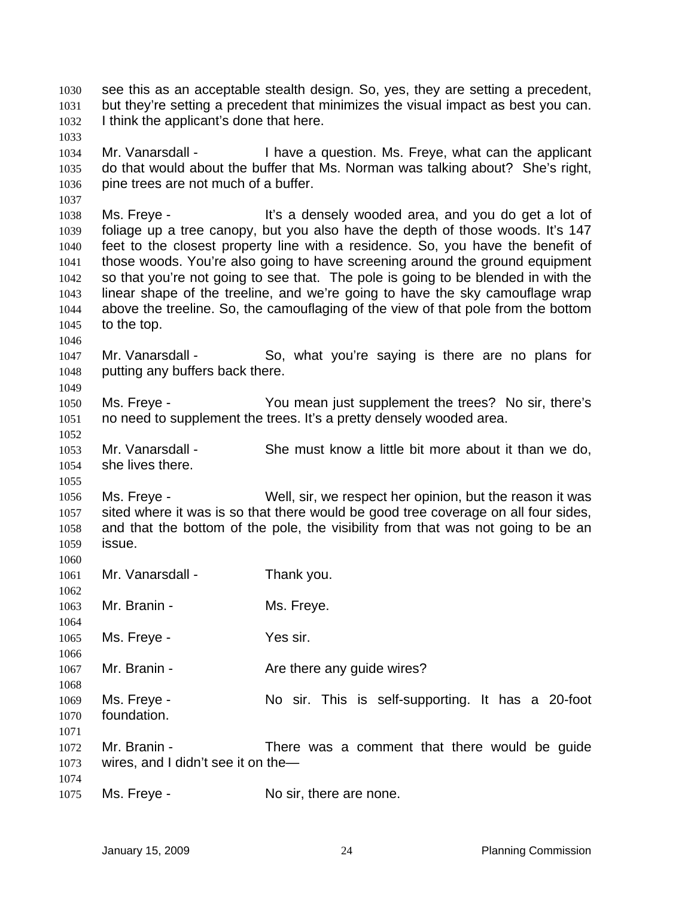see this as an acceptable stealth design. So, yes, they are setting a precedent, but they're setting a precedent that minimizes the visual impact as best you can. I think the applicant's done that here. 1030 1031 1032 1033 1034 1035 1036 1037 1038 1039 1040 1041 1042 1043 1044 1045 1046 1047 1048 1049 1050 1051 1052 1053 1054 1055 1056 1057 1058 1059 1060 1061 1062 1063 1064 1065 1066 1067 1068 1069 1070 1071 1072 1073 1074 1075 Mr. Vanarsdall - Thave a question. Ms. Freye, what can the applicant do that would about the buffer that Ms. Norman was talking about? She's right, pine trees are not much of a buffer. Ms. Freye - The Music of the Sensely wooded area, and you do get a lot of foliage up a tree canopy, but you also have the depth of those woods. It's 147 feet to the closest property line with a residence. So, you have the benefit of those woods. You're also going to have screening around the ground equipment so that you're not going to see that. The pole is going to be blended in with the linear shape of the treeline, and we're going to have the sky camouflage wrap above the treeline. So, the camouflaging of the view of that pole from the bottom to the top. Mr. Vanarsdall - So, what you're saying is there are no plans for putting any buffers back there. Ms. Freye - You mean just supplement the trees? No sir, there's no need to supplement the trees. It's a pretty densely wooded area. Mr. Vanarsdall - She must know a little bit more about it than we do, she lives there. Ms. Freye - Well, sir, we respect her opinion, but the reason it was sited where it was is so that there would be good tree coverage on all four sides, and that the bottom of the pole, the visibility from that was not going to be an issue. Mr. Vanarsdall - Thank you. Mr. Branin - Ms. Freye. Ms. Freye - Yes sir. Mr. Branin - The Are there any guide wires? Ms. Freye - No sir. This is self-supporting. It has a 20-foot foundation. Mr. Branin - There was a comment that there would be guide wires, and I didn't see it on the— Ms. Freye - No sir, there are none.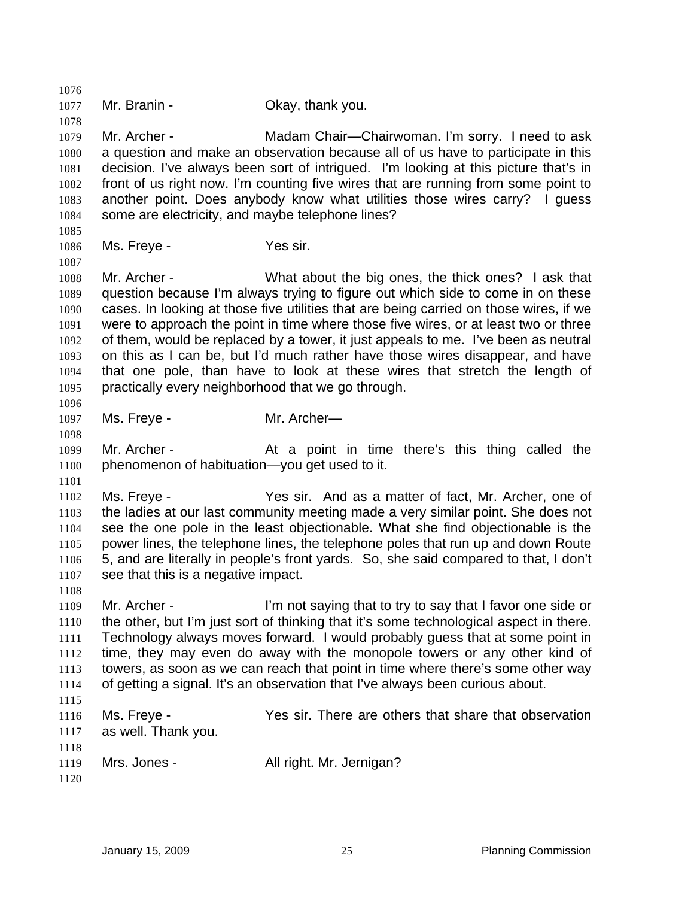1076 1077 1078 1079 1080 1081 1082 1083 1084 1085 1086 1087 1088 1089 1090 1091 1092 1093 1094 1095 1096 1097 1098 1099 1100 1101 1102 1103 1104 1105 1106 1107 1108 1109 1110 1111 1112 1113 1114 1115 1116 1117 1118 1119 1120 Mr. Branin - Ckay, thank you. Mr. Archer - Madam Chair—Chairwoman. I'm sorry. I need to ask a question and make an observation because all of us have to participate in this decision. I've always been sort of intrigued. I'm looking at this picture that's in front of us right now. I'm counting five wires that are running from some point to another point. Does anybody know what utilities those wires carry? I guess some are electricity, and maybe telephone lines? Ms. Freye - Yes sir. Mr. Archer - What about the big ones, the thick ones? I ask that question because I'm always trying to figure out which side to come in on these cases. In looking at those five utilities that are being carried on those wires, if we were to approach the point in time where those five wires, or at least two or three of them, would be replaced by a tower, it just appeals to me. I've been as neutral on this as I can be, but I'd much rather have those wires disappear, and have that one pole, than have to look at these wires that stretch the length of practically every neighborhood that we go through. Ms. Freye - Mr. Archer— Mr. Archer - At a point in time there's this thing called the phenomenon of habituation—you get used to it. Ms. Freye - Yes sir. And as a matter of fact, Mr. Archer, one of the ladies at our last community meeting made a very similar point. She does not see the one pole in the least objectionable. What she find objectionable is the power lines, the telephone lines, the telephone poles that run up and down Route 5, and are literally in people's front yards. So, she said compared to that, I don't see that this is a negative impact. Mr. Archer - I'm not saying that to try to say that I favor one side or the other, but I'm just sort of thinking that it's some technological aspect in there. Technology always moves forward. I would probably guess that at some point in time, they may even do away with the monopole towers or any other kind of towers, as soon as we can reach that point in time where there's some other way of getting a signal. It's an observation that I've always been curious about. Ms. Freye - Yes sir. There are others that share that observation as well. Thank you. Mrs. Jones - All right. Mr. Jernigan?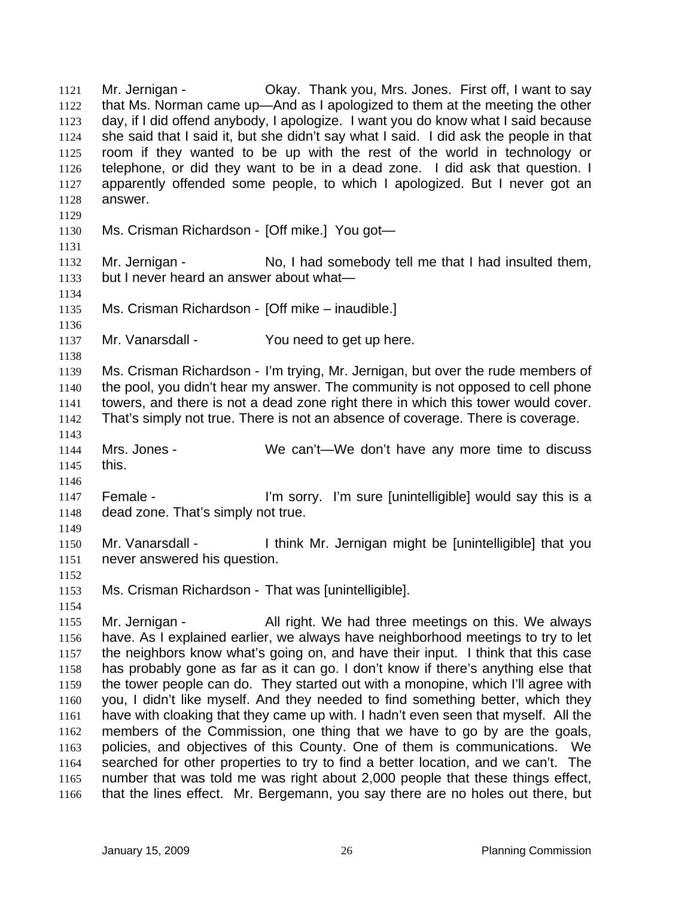Mr. Jernigan - Okay. Thank you, Mrs. Jones. First off, I want to say that Ms. Norman came up—And as I apologized to them at the meeting the other day, if I did offend anybody, I apologize. I want you do know what I said because she said that I said it, but she didn't say what I said. I did ask the people in that room if they wanted to be up with the rest of the world in technology or telephone, or did they want to be in a dead zone. I did ask that question. I apparently offended some people, to which I apologized. But I never got an answer. 1121 1122 1123 1124 1125 1126 1127 1128 1129 1130 1131 1132 1133 1134 1135 1136 1137 1138 1139 1140 1141 1142 1143 1144 1145 1146 1147 1148 1149 1150 1151 1152 1153 1154 1155 1156 1157 1158 1159 1160 1161 1162 1163 1164 1165 1166 Ms. Crisman Richardson - [Off mike.] You got— Mr. Jernigan - No, I had somebody tell me that I had insulted them, but I never heard an answer about what— Ms. Crisman Richardson - [Off mike – inaudible.] Mr. Vanarsdall - The You need to get up here. Ms. Crisman Richardson - I'm trying, Mr. Jernigan, but over the rude members of the pool, you didn't hear my answer. The community is not opposed to cell phone towers, and there is not a dead zone right there in which this tower would cover. That's simply not true. There is not an absence of coverage. There is coverage. Mrs. Jones - We can't—We don't have any more time to discuss this. Female - I'm sorry. I'm sure [unintelligible] would say this is a dead zone. That's simply not true. Mr. Vanarsdall - I think Mr. Jernigan might be [unintelligible] that you never answered his question. Ms. Crisman Richardson - That was [unintelligible]. Mr. Jernigan - All right. We had three meetings on this. We always have. As I explained earlier, we always have neighborhood meetings to try to let the neighbors know what's going on, and have their input. I think that this case has probably gone as far as it can go. I don't know if there's anything else that the tower people can do. They started out with a monopine, which I'll agree with you, I didn't like myself. And they needed to find something better, which they have with cloaking that they came up with. I hadn't even seen that myself. All the members of the Commission, one thing that we have to go by are the goals, policies, and objectives of this County. One of them is communications. We searched for other properties to try to find a better location, and we can't. The number that was told me was right about 2,000 people that these things effect, that the lines effect. Mr. Bergemann, you say there are no holes out there, but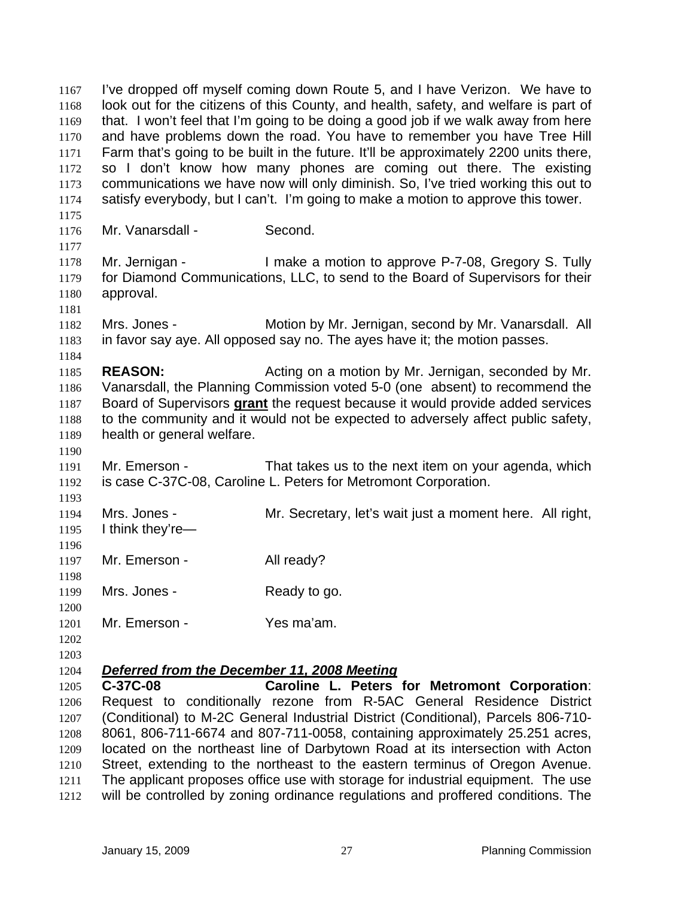I've dropped off myself coming down Route 5, and I have Verizon. We have to look out for the citizens of this County, and health, safety, and welfare is part of that. I won't feel that I'm going to be doing a good job if we walk away from here and have problems down the road. You have to remember you have Tree Hill Farm that's going to be built in the future. It'll be approximately 2200 units there, so I don't know how many phones are coming out there. The existing communications we have now will only diminish. So, I've tried working this out to satisfy everybody, but I can't. I'm going to make a motion to approve this tower. 1167 1168 1169 1170 1171 1172 1173 1174 1175 1176 1177 1178 1179 1180 1181 1182 1183 1184 1185 1186 Mr. Vanarsdall - Second. Mr. Jernigan - I make a motion to approve P-7-08, Gregory S. Tully for Diamond Communications, LLC, to send to the Board of Supervisors for their approval. Mrs. Jones - **Motion by Mr. Jernigan, second by Mr. Vanarsdall.** All in favor say aye. All opposed say no. The ayes have it; the motion passes. **REASON:** Acting on a motion by Mr. Jernigan, seconded by Mr. Vanarsdall, the Planning Commission voted 5-0 (one absent) to recommend the Board of Supervisors **grant** the request because it would provide added services to the community and it would not be expected to adversely affect public safety, health or general welfare. 1187 1188 1189 1190 1191 1192 1193 1194 1195 1196 1197 1198 1199 1200 1201 1202 1203 Mr. Emerson - That takes us to the next item on your agenda, which is case C-37C-08, Caroline L. Peters for Metromont Corporation. Mrs. Jones - **Mr.** Secretary, let's wait just a moment here. All right, I think they're— Mr. Emerson - All ready? Mrs. Jones - Ready to go. Mr. Emerson - Yes ma'am. 1204 *Deferred from the December 11, 2008 Meeting* 1205 1206 1207 1208 1209 1210 1211 **C-37C-08 Caroline L. Peters for Metromont Corporation**: Request to conditionally rezone from R-5AC General Residence District (Conditional) to M-2C General Industrial District (Conditional), Parcels 806-710- 8061, 806-711-6674 and 807-711-0058, containing approximately 25.251 acres, located on the northeast line of Darbytown Road at its intersection with Acton Street, extending to the northeast to the eastern terminus of Oregon Avenue. The applicant proposes office use with storage for industrial equipment. The use

1212 will be controlled by zoning ordinance regulations and proffered conditions. The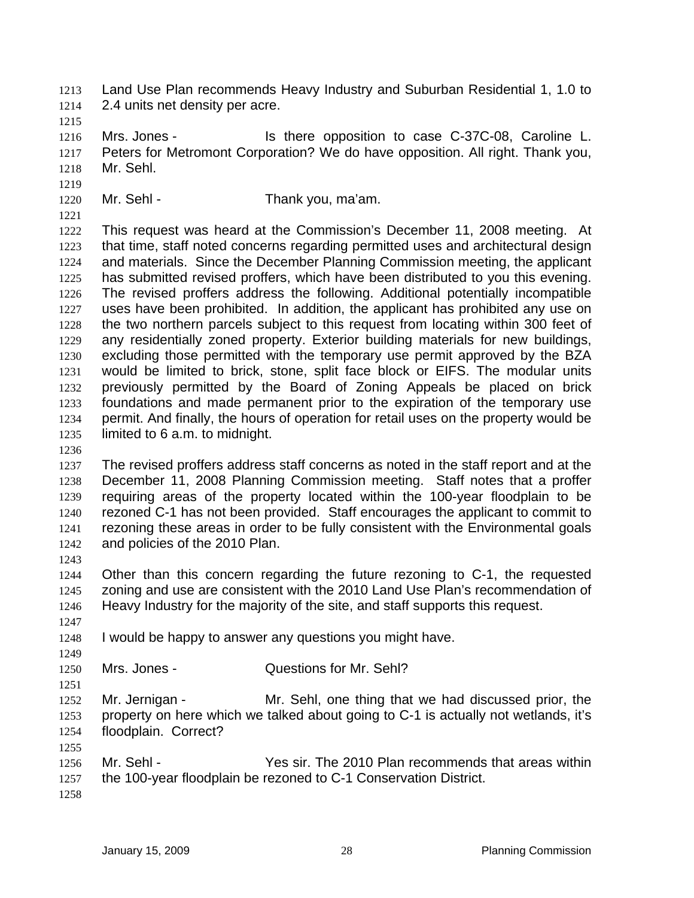Land Use Plan recommends Heavy Industry and Suburban Residential 1, 1.0 to 2.4 units net density per acre. 1213 1214

1215

1216 1217 1218 Mrs. Jones - The Is there opposition to case C-37C-08, Caroline L. Peters for Metromont Corporation? We do have opposition. All right. Thank you, Mr. Sehl.

1220 Mr. Sehl - Thank you, ma'am.

1221

1219

1222 1223 1224 1225 1226 1227 1228 1229 1230 1231 1232 1233 1234 1235 This request was heard at the Commission's December 11, 2008 meeting. At that time, staff noted concerns regarding permitted uses and architectural design and materials. Since the December Planning Commission meeting, the applicant has submitted revised proffers, which have been distributed to you this evening. The revised proffers address the following. Additional potentially incompatible uses have been prohibited. In addition, the applicant has prohibited any use on the two northern parcels subject to this request from locating within 300 feet of any residentially zoned property. Exterior building materials for new buildings, excluding those permitted with the temporary use permit approved by the BZA would be limited to brick, stone, split face block or EIFS. The modular units previously permitted by the Board of Zoning Appeals be placed on brick foundations and made permanent prior to the expiration of the temporary use permit. And finally, the hours of operation for retail uses on the property would be limited to 6 a.m. to midnight.

1236

1237 1238 1239 1240 1241 1242 The revised proffers address staff concerns as noted in the staff report and at the December 11, 2008 Planning Commission meeting. Staff notes that a proffer requiring areas of the property located within the 100-year floodplain to be rezoned C-1 has not been provided. Staff encourages the applicant to commit to rezoning these areas in order to be fully consistent with the Environmental goals and policies of the 2010 Plan.

1243

1247

1249

1251

1244 1245 1246 Other than this concern regarding the future rezoning to C-1, the requested zoning and use are consistent with the 2010 Land Use Plan's recommendation of Heavy Industry for the majority of the site, and staff supports this request.

- 1248 I would be happy to answer any questions you might have.
- 1250 Mrs. Jones - **Cuestions for Mr. Sehl?**

1252 1253 1254 Mr. Jernigan - Mr. Sehl, one thing that we had discussed prior, the property on here which we talked about going to C-1 is actually not wetlands, it's floodplain. Correct?

- 1255 1256 1257 Mr. Sehl - Yes sir. The 2010 Plan recommends that areas within the 100-year floodplain be rezoned to C-1 Conservation District.
- 1258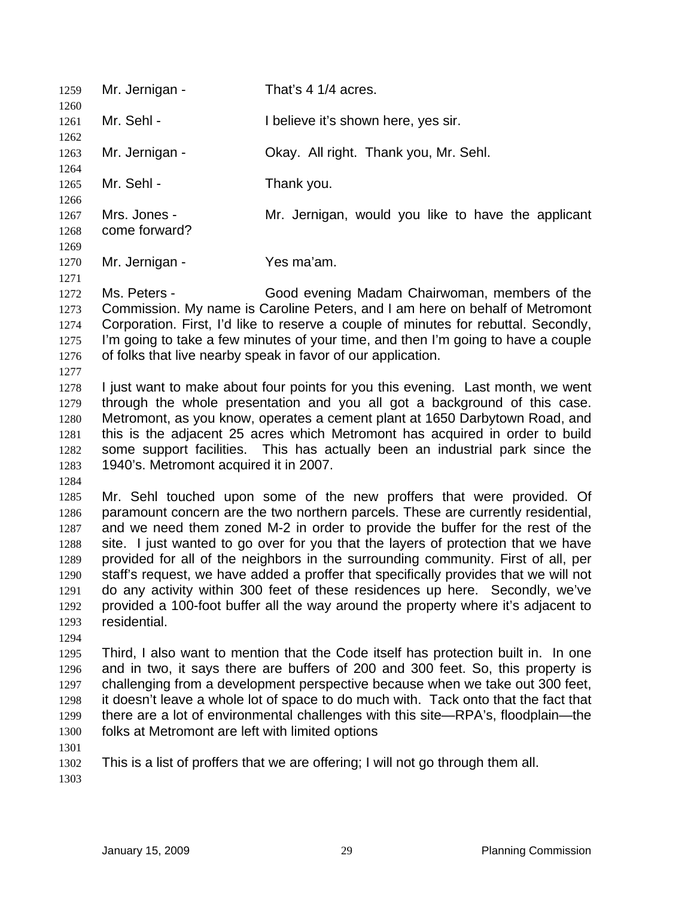1259 Mr. Jernigan - That's 4 1/4 acres. 1260 1261 1262 1263 1264 1265 1266 1267 1268 1269 1270 1271 1272 1273 1274 1275 1276 1277 1278 1279 1280 1281 1282 1283 1284 1285 1286 1287 1288 1289 1290 1291 1292 1293 1294 1295 1296 1297 1298 1299 1300 1301 Mr. Sehl - **I** believe it's shown here, yes sir. Mr. Jernigan - Okay. All right. Thank you, Mr. Sehl. Mr. Sehl - Thank you. Mrs. Jones - The Mr. Jernigan, would you like to have the applicant come forward? Mr. Jernigan - Yes ma'am. Ms. Peters - Good evening Madam Chairwoman, members of the Commission. My name is Caroline Peters, and I am here on behalf of Metromont Corporation. First, I'd like to reserve a couple of minutes for rebuttal. Secondly, I'm going to take a few minutes of your time, and then I'm going to have a couple of folks that live nearby speak in favor of our application. I just want to make about four points for you this evening. Last month, we went through the whole presentation and you all got a background of this case. Metromont, as you know, operates a cement plant at 1650 Darbytown Road, and this is the adjacent 25 acres which Metromont has acquired in order to build some support facilities. This has actually been an industrial park since the 1940's. Metromont acquired it in 2007. Mr. Sehl touched upon some of the new proffers that were provided. Of paramount concern are the two northern parcels. These are currently residential, and we need them zoned M-2 in order to provide the buffer for the rest of the site. I just wanted to go over for you that the layers of protection that we have provided for all of the neighbors in the surrounding community. First of all, per staff's request, we have added a proffer that specifically provides that we will not do any activity within 300 feet of these residences up here. Secondly, we've provided a 100-foot buffer all the way around the property where it's adjacent to residential. Third, I also want to mention that the Code itself has protection built in. In one and in two, it says there are buffers of 200 and 300 feet. So, this property is challenging from a development perspective because when we take out 300 feet, it doesn't leave a whole lot of space to do much with. Tack onto that the fact that there are a lot of environmental challenges with this site—RPA's, floodplain—the folks at Metromont are left with limited options

- 1302 This is a list of proffers that we are offering; I will not go through them all.
- 1303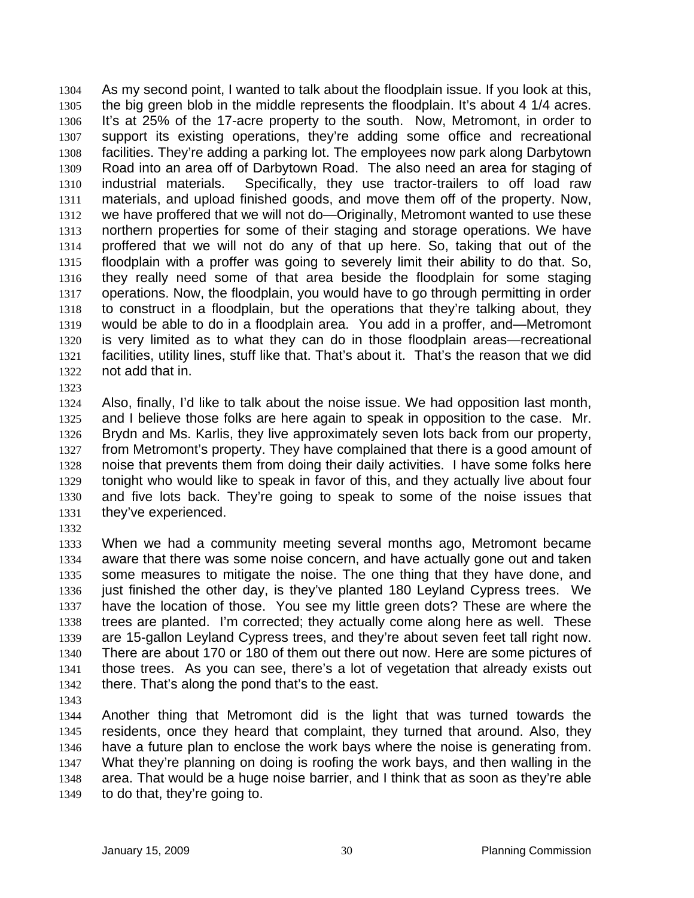As my second point, I wanted to talk about the floodplain issue. If you look at this, the big green blob in the middle represents the floodplain. It's about 4 1/4 acres. It's at 25% of the 17-acre property to the south. Now, Metromont, in order to support its existing operations, they're adding some office and recreational facilities. They're adding a parking lot. The employees now park along Darbytown Road into an area off of Darbytown Road. The also need an area for staging of industrial materials. Specifically, they use tractor-trailers to off load raw materials, and upload finished goods, and move them off of the property. Now, we have proffered that we will not do—Originally, Metromont wanted to use these northern properties for some of their staging and storage operations. We have proffered that we will not do any of that up here. So, taking that out of the floodplain with a proffer was going to severely limit their ability to do that. So, they really need some of that area beside the floodplain for some staging operations. Now, the floodplain, you would have to go through permitting in order to construct in a floodplain, but the operations that they're talking about, they would be able to do in a floodplain area. You add in a proffer, and—Metromont is very limited as to what they can do in those floodplain areas—recreational facilities, utility lines, stuff like that. That's about it. That's the reason that we did not add that in. 1304 1305 1306 1307 1308 1309 1310 1311 1312 1313 1314 1315 1316 1317 1318 1319 1320 1321 1322 1323

1324 1325 1326 1327 1328 1329 1330 1331 Also, finally, I'd like to talk about the noise issue. We had opposition last month, and I believe those folks are here again to speak in opposition to the case. Mr. Brydn and Ms. Karlis, they live approximately seven lots back from our property, from Metromont's property. They have complained that there is a good amount of noise that prevents them from doing their daily activities. I have some folks here tonight who would like to speak in favor of this, and they actually live about four and five lots back. They're going to speak to some of the noise issues that they've experienced.

1332

1333 1334 1335 1336 1337 1338 1339 1340 1341 1342 When we had a community meeting several months ago, Metromont became aware that there was some noise concern, and have actually gone out and taken some measures to mitigate the noise. The one thing that they have done, and just finished the other day, is they've planted 180 Leyland Cypress trees. We have the location of those. You see my little green dots? These are where the trees are planted. I'm corrected; they actually come along here as well. These are 15-gallon Leyland Cypress trees, and they're about seven feet tall right now. There are about 170 or 180 of them out there out now. Here are some pictures of those trees. As you can see, there's a lot of vegetation that already exists out there. That's along the pond that's to the east.

1343

1344 1345 1346 1347 1348 1349 Another thing that Metromont did is the light that was turned towards the residents, once they heard that complaint, they turned that around. Also, they have a future plan to enclose the work bays where the noise is generating from. What they're planning on doing is roofing the work bays, and then walling in the area. That would be a huge noise barrier, and I think that as soon as they're able to do that, they're going to.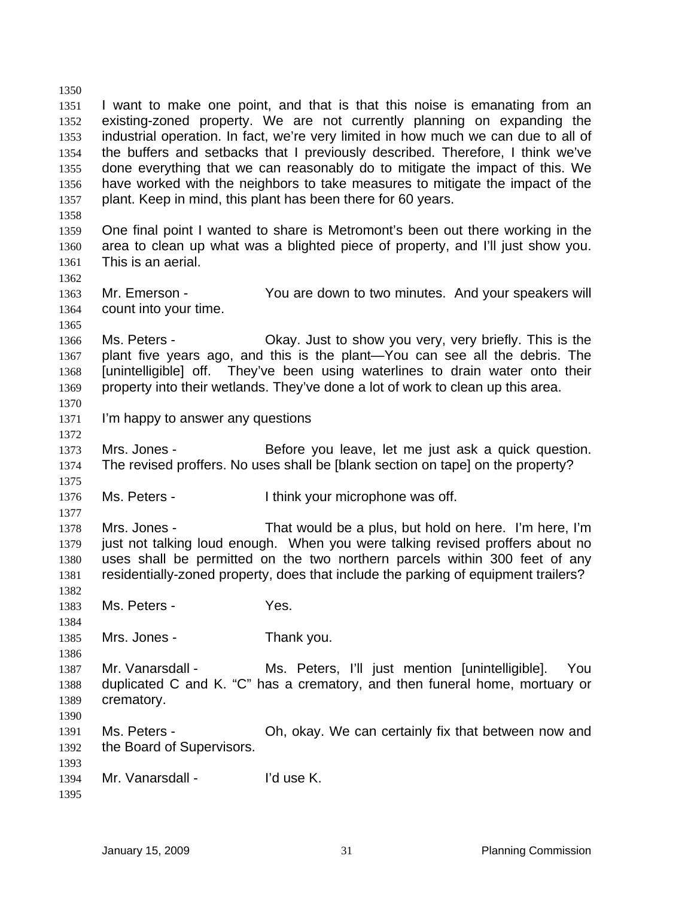1350 1351 1352 1353 1354 1355 1356 1357 1358 1359 1360 1361 1362 1363 1364 1365 1366 1367 1368 1369 1370 1371 1372 1373 1374 1375 1376 1377 1378 1379 1380 1381 1382 1383 1384 1385 1386 1387 1388 1389 1390 1391 1392 1393 1394 1395 I want to make one point, and that is that this noise is emanating from an existing-zoned property. We are not currently planning on expanding the industrial operation. In fact, we're very limited in how much we can due to all of the buffers and setbacks that I previously described. Therefore, I think we've done everything that we can reasonably do to mitigate the impact of this. We have worked with the neighbors to take measures to mitigate the impact of the plant. Keep in mind, this plant has been there for 60 years. One final point I wanted to share is Metromont's been out there working in the area to clean up what was a blighted piece of property, and I'll just show you. This is an aerial. Mr. Emerson - The You are down to two minutes. And your speakers will count into your time. Ms. Peters - Chay. Just to show you very, very briefly. This is the plant five years ago, and this is the plant—You can see all the debris. The [unintelligible] off. They've been using waterlines to drain water onto their property into their wetlands. They've done a lot of work to clean up this area. I'm happy to answer any questions Mrs. Jones - **Before you leave, let me just ask a quick question.** The revised proffers. No uses shall be [blank section on tape] on the property? Ms. Peters - Think your microphone was off. Mrs. Jones - That would be a plus, but hold on here. I'm here, I'm just not talking loud enough. When you were talking revised proffers about no uses shall be permitted on the two northern parcels within 300 feet of any residentially-zoned property, does that include the parking of equipment trailers? Ms. Peters - The Yes. Mrs. Jones - Thank you. Mr. Vanarsdall - Ms. Peters, I'll just mention [unintelligible]. You duplicated C and K. "C" has a crematory, and then funeral home, mortuary or crematory. Ms. Peters - Oh, okay. We can certainly fix that between now and the Board of Supervisors. Mr. Vanarsdall - I'd use K.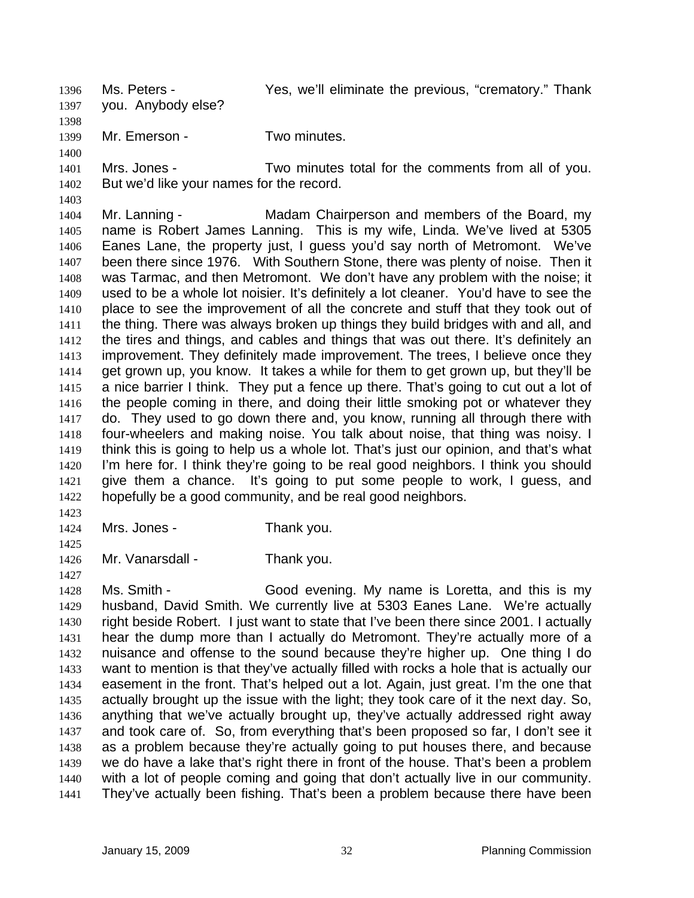Ms. Peters - Thank Yes, we'll eliminate the previous, "crematory." Thank you. Anybody else? 1396 1397

1398 1399 Mr. Emerson - Two minutes.

1400

1401 1402 Mrs. Jones - Two minutes total for the comments from all of you. But we'd like your names for the record.

1403 1404 1405 1406 1407 1408 1409 1410 1411 1412 1413 1414 1415 1416 1417 1418 1419 1420 1421 1422 Mr. Lanning - The Madam Chairperson and members of the Board, my name is Robert James Lanning. This is my wife, Linda. We've lived at 5305 Eanes Lane, the property just, I guess you'd say north of Metromont. We've been there since 1976. With Southern Stone, there was plenty of noise. Then it was Tarmac, and then Metromont. We don't have any problem with the noise; it used to be a whole lot noisier. It's definitely a lot cleaner. You'd have to see the place to see the improvement of all the concrete and stuff that they took out of the thing. There was always broken up things they build bridges with and all, and the tires and things, and cables and things that was out there. It's definitely an improvement. They definitely made improvement. The trees, I believe once they get grown up, you know. It takes a while for them to get grown up, but they'll be a nice barrier I think. They put a fence up there. That's going to cut out a lot of the people coming in there, and doing their little smoking pot or whatever they do. They used to go down there and, you know, running all through there with four-wheelers and making noise. You talk about noise, that thing was noisy. I think this is going to help us a whole lot. That's just our opinion, and that's what I'm here for. I think they're going to be real good neighbors. I think you should give them a chance. It's going to put some people to work, I guess, and hopefully be a good community, and be real good neighbors.

1423

1424 Mrs. Jones - Thank you.

1425 1426

1427

Mr. Vanarsdall - Thank you.

1428 1429 1430 1431 1432 1433 1434 1435 1436 1437 1438 1439 1440 1441 Ms. Smith - Good evening. My name is Loretta, and this is my husband, David Smith. We currently live at 5303 Eanes Lane. We're actually right beside Robert. I just want to state that I've been there since 2001. I actually hear the dump more than I actually do Metromont. They're actually more of a nuisance and offense to the sound because they're higher up. One thing I do want to mention is that they've actually filled with rocks a hole that is actually our easement in the front. That's helped out a lot. Again, just great. I'm the one that actually brought up the issue with the light; they took care of it the next day. So, anything that we've actually brought up, they've actually addressed right away and took care of. So, from everything that's been proposed so far, I don't see it as a problem because they're actually going to put houses there, and because we do have a lake that's right there in front of the house. That's been a problem with a lot of people coming and going that don't actually live in our community. They've actually been fishing. That's been a problem because there have been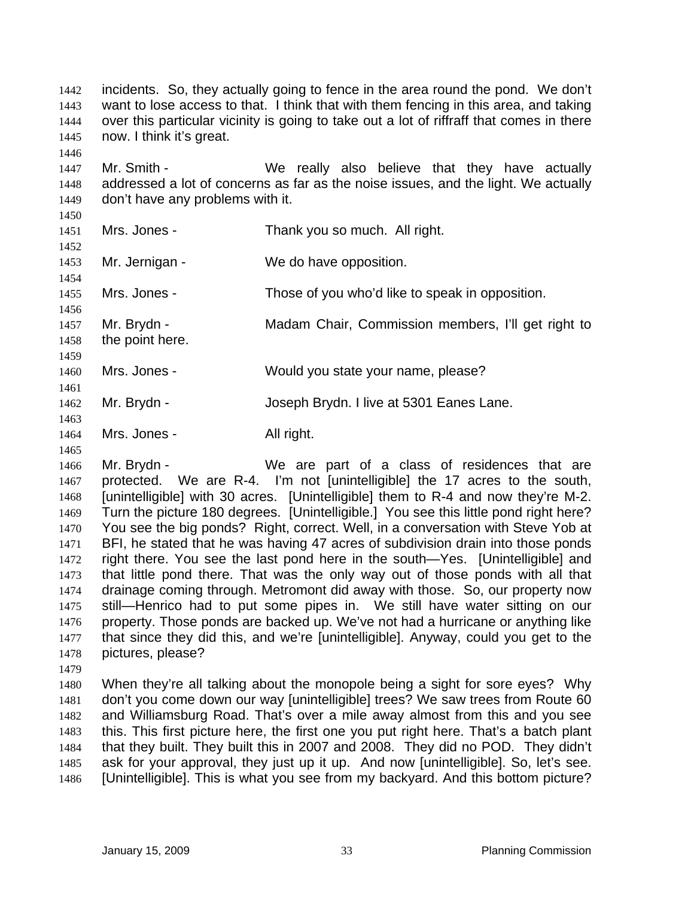incidents. So, they actually going to fence in the area round the pond. We don't want to lose access to that. I think that with them fencing in this area, and taking over this particular vicinity is going to take out a lot of riffraff that comes in there now. I think it's great. 1442 1443 1444 1445

1447 1448 1449 Mr. Smith - We really also believe that they have actually addressed a lot of concerns as far as the noise issues, and the light. We actually don't have any problems with it.

1450 1451

1446

1452

1454

1456

1453 Mr. Jernigan - We do have opposition.

1455 Mrs. Jones - Those of you who'd like to speak in opposition.

1457 Mr. Brydn - Madam Chair, Commission members, I'll get right to

1458 1459 the point here.

1460 1461 Mrs. Jones - Would you state your name, please?

Mrs. Jones - Thank you so much. All right.

1462 Mr. Brydn - Joseph Brydn. I live at 5301 Eanes Lane.

- 1463 1464 Mrs. Jones - All right.
- 1465

1466 1467 1468 1469 1470 1471 1472 1473 1474 1475 1476 1477 1478 Mr. Brydn - We are part of a class of residences that are protected. We are R-4. I'm not [unintelligible] the 17 acres to the south, [unintelligible] with 30 acres. [Unintelligible] them to R-4 and now they're M-2. Turn the picture 180 degrees. [Unintelligible.] You see this little pond right here? You see the big ponds? Right, correct. Well, in a conversation with Steve Yob at BFI, he stated that he was having 47 acres of subdivision drain into those ponds right there. You see the last pond here in the south—Yes. [Unintelligible] and that little pond there. That was the only way out of those ponds with all that drainage coming through. Metromont did away with those. So, our property now still—Henrico had to put some pipes in. We still have water sitting on our property. Those ponds are backed up. We've not had a hurricane or anything like that since they did this, and we're [unintelligible]. Anyway, could you get to the pictures, please?

1479

1480 1481 1482 1483 1484 1485 1486 When they're all talking about the monopole being a sight for sore eyes? Why don't you come down our way [unintelligible] trees? We saw trees from Route 60 and Williamsburg Road. That's over a mile away almost from this and you see this. This first picture here, the first one you put right here. That's a batch plant that they built. They built this in 2007 and 2008. They did no POD. They didn't ask for your approval, they just up it up. And now [unintelligible]. So, let's see. [Unintelligible]. This is what you see from my backyard. And this bottom picture?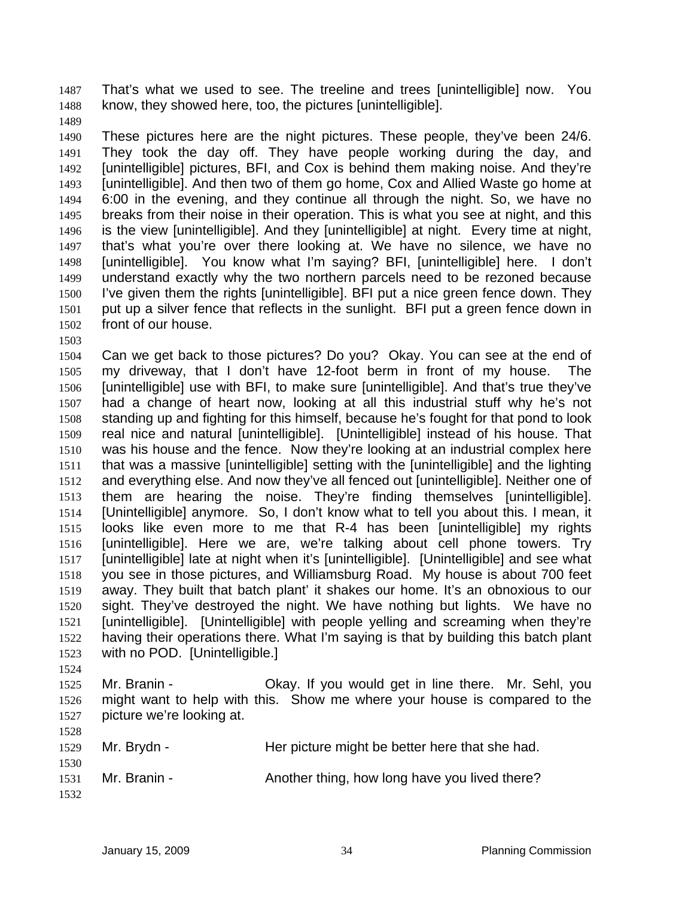That's what we used to see. The treeline and trees [unintelligible] now. You know, they showed here, too, the pictures [unintelligible]. 1487 1488

1489

1490 1491 1492 1493 1494 1495 1496 1497 1498 1499 1500 1501 1502 These pictures here are the night pictures. These people, they've been 24/6. They took the day off. They have people working during the day, and [unintelligible] pictures, BFI, and Cox is behind them making noise. And they're [unintelligible]. And then two of them go home, Cox and Allied Waste go home at 6:00 in the evening, and they continue all through the night. So, we have no breaks from their noise in their operation. This is what you see at night, and this is the view [unintelligible]. And they [unintelligible] at night. Every time at night, that's what you're over there looking at. We have no silence, we have no [unintelligible]. You know what I'm saying? BFI, [unintelligible] here. I don't understand exactly why the two northern parcels need to be rezoned because I've given them the rights [unintelligible]. BFI put a nice green fence down. They put up a silver fence that reflects in the sunlight. BFI put a green fence down in front of our house.

1503

1504 1505 1506 1507 1508 1509 1510 1511 1512 1513 1514 1515 1516 1517 1518 1519 1520 1521 1522 1523 1524 Can we get back to those pictures? Do you? Okay. You can see at the end of my driveway, that I don't have 12-foot berm in front of my house. The [unintelligible] use with BFI, to make sure [unintelligible]. And that's true they've had a change of heart now, looking at all this industrial stuff why he's not standing up and fighting for this himself, because he's fought for that pond to look real nice and natural [unintelligible]. [Unintelligible] instead of his house. That was his house and the fence. Now they're looking at an industrial complex here that was a massive [unintelligible] setting with the [unintelligible] and the lighting and everything else. And now they've all fenced out [unintelligible]. Neither one of them are hearing the noise. They're finding themselves [unintelligible]. [Unintelligible] anymore. So, I don't know what to tell you about this. I mean, it looks like even more to me that R-4 has been [unintelligible] my rights [unintelligible]. Here we are, we're talking about cell phone towers. Try [unintelligible] late at night when it's [unintelligible]. [Unintelligible] and see what you see in those pictures, and Williamsburg Road. My house is about 700 feet away. They built that batch plant' it shakes our home. It's an obnoxious to our sight. They've destroyed the night. We have nothing but lights. We have no [unintelligible]. [Unintelligible] with people yelling and screaming when they're having their operations there. What I'm saying is that by building this batch plant with no POD. [Unintelligible.]

1525 1526 1527  $1520$ Mr. Branin - Okay. If you would get in line there. Mr. Sehl, you might want to help with this. Show me where your house is compared to the picture we're looking at.

| 1528<br>1529         | Mr. Brydn -  | Her picture might be better here that she had. |
|----------------------|--------------|------------------------------------------------|
| 1530<br>1531<br>1532 | Mr. Branin - | Another thing, how long have you lived there?  |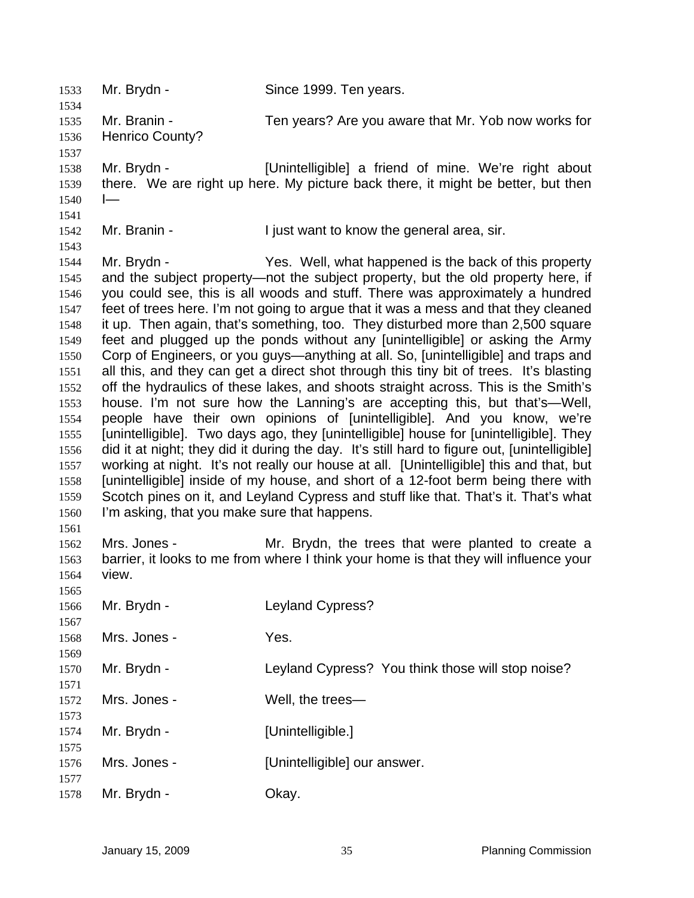| 1533                                                                                                                                         | Mr. Brydn -                                                 | Since 1999. Ten years.                                                                                                                                                                                                                                                                                                                                                                                                                                                                                                                                                                                                                                                                                                                                                                                                                                                                                                                                                                                                                                                                                                                                                                                                                                                                                                                                                                |
|----------------------------------------------------------------------------------------------------------------------------------------------|-------------------------------------------------------------|---------------------------------------------------------------------------------------------------------------------------------------------------------------------------------------------------------------------------------------------------------------------------------------------------------------------------------------------------------------------------------------------------------------------------------------------------------------------------------------------------------------------------------------------------------------------------------------------------------------------------------------------------------------------------------------------------------------------------------------------------------------------------------------------------------------------------------------------------------------------------------------------------------------------------------------------------------------------------------------------------------------------------------------------------------------------------------------------------------------------------------------------------------------------------------------------------------------------------------------------------------------------------------------------------------------------------------------------------------------------------------------|
| 1534<br>1535<br>1536                                                                                                                         | Mr. Branin -<br>Henrico County?                             | Ten years? Are you aware that Mr. Yob now works for                                                                                                                                                                                                                                                                                                                                                                                                                                                                                                                                                                                                                                                                                                                                                                                                                                                                                                                                                                                                                                                                                                                                                                                                                                                                                                                                   |
| 1537<br>1538<br>1539<br>1540                                                                                                                 | Mr. Brydn -<br>$\vdash$                                     | [Unintelligible] a friend of mine. We're right about<br>there. We are right up here. My picture back there, it might be better, but then                                                                                                                                                                                                                                                                                                                                                                                                                                                                                                                                                                                                                                                                                                                                                                                                                                                                                                                                                                                                                                                                                                                                                                                                                                              |
| 1541<br>1542<br>1543                                                                                                                         | Mr. Branin -                                                | I just want to know the general area, sir.                                                                                                                                                                                                                                                                                                                                                                                                                                                                                                                                                                                                                                                                                                                                                                                                                                                                                                                                                                                                                                                                                                                                                                                                                                                                                                                                            |
| 1544<br>1545<br>1546<br>1547<br>1548<br>1549<br>1550<br>1551<br>1552<br>1553<br>1554<br>1555<br>1556<br>1557<br>1558<br>1559<br>1560<br>1561 | Mr. Brydn -<br>I'm asking, that you make sure that happens. | Yes. Well, what happened is the back of this property<br>and the subject property—not the subject property, but the old property here, if<br>you could see, this is all woods and stuff. There was approximately a hundred<br>feet of trees here. I'm not going to argue that it was a mess and that they cleaned<br>it up. Then again, that's something, too. They disturbed more than 2,500 square<br>feet and plugged up the ponds without any [unintelligible] or asking the Army<br>Corp of Engineers, or you guys—anything at all. So, [unintelligible] and traps and<br>all this, and they can get a direct shot through this tiny bit of trees. It's blasting<br>off the hydraulics of these lakes, and shoots straight across. This is the Smith's<br>house. I'm not sure how the Lanning's are accepting this, but that's—Well,<br>people have their own opinions of [unintelligible]. And you know, we're<br>[unintelligible]. Two days ago, they [unintelligible] house for [unintelligible]. They<br>did it at night; they did it during the day. It's still hard to figure out, [unintelligible]<br>working at night. It's not really our house at all. [Unintelligible] this and that, but<br>[unintelligible] inside of my house, and short of a 12-foot berm being there with<br>Scotch pines on it, and Leyland Cypress and stuff like that. That's it. That's what |
| 1562<br>1563<br>1564<br>1565                                                                                                                 | Mrs. Jones -<br>view.                                       | Mr. Brydn, the trees that were planted to create a<br>barrier, it looks to me from where I think your home is that they will influence your                                                                                                                                                                                                                                                                                                                                                                                                                                                                                                                                                                                                                                                                                                                                                                                                                                                                                                                                                                                                                                                                                                                                                                                                                                           |
| 1566<br>1567                                                                                                                                 | Mr. Brydn -                                                 | Leyland Cypress?                                                                                                                                                                                                                                                                                                                                                                                                                                                                                                                                                                                                                                                                                                                                                                                                                                                                                                                                                                                                                                                                                                                                                                                                                                                                                                                                                                      |
| 1568<br>1569                                                                                                                                 | Mrs. Jones -                                                | Yes.                                                                                                                                                                                                                                                                                                                                                                                                                                                                                                                                                                                                                                                                                                                                                                                                                                                                                                                                                                                                                                                                                                                                                                                                                                                                                                                                                                                  |
| 1570<br>1571                                                                                                                                 | Mr. Brydn -                                                 | Leyland Cypress? You think those will stop noise?                                                                                                                                                                                                                                                                                                                                                                                                                                                                                                                                                                                                                                                                                                                                                                                                                                                                                                                                                                                                                                                                                                                                                                                                                                                                                                                                     |
| 1572<br>1573                                                                                                                                 | Mrs. Jones -                                                | Well, the trees-                                                                                                                                                                                                                                                                                                                                                                                                                                                                                                                                                                                                                                                                                                                                                                                                                                                                                                                                                                                                                                                                                                                                                                                                                                                                                                                                                                      |
| 1574<br>1575                                                                                                                                 | Mr. Brydn -                                                 | [Unintelligible.]                                                                                                                                                                                                                                                                                                                                                                                                                                                                                                                                                                                                                                                                                                                                                                                                                                                                                                                                                                                                                                                                                                                                                                                                                                                                                                                                                                     |
| 1576<br>1577                                                                                                                                 | Mrs. Jones -                                                | [Unintelligible] our answer.                                                                                                                                                                                                                                                                                                                                                                                                                                                                                                                                                                                                                                                                                                                                                                                                                                                                                                                                                                                                                                                                                                                                                                                                                                                                                                                                                          |
| 1578                                                                                                                                         | Mr. Brydn -                                                 | Okay.                                                                                                                                                                                                                                                                                                                                                                                                                                                                                                                                                                                                                                                                                                                                                                                                                                                                                                                                                                                                                                                                                                                                                                                                                                                                                                                                                                                 |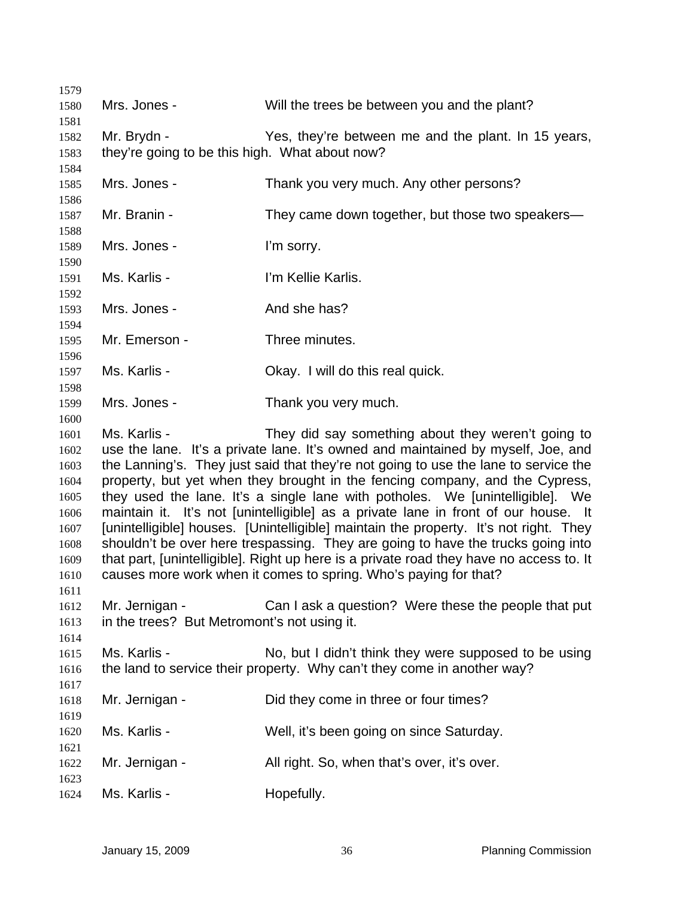| 1579         |                                                                                                                                                                             |                                                                                     |
|--------------|-----------------------------------------------------------------------------------------------------------------------------------------------------------------------------|-------------------------------------------------------------------------------------|
| 1580         | Mrs. Jones -                                                                                                                                                                | Will the trees be between you and the plant?                                        |
| 1581         |                                                                                                                                                                             |                                                                                     |
| 1582         | Mr. Brydn -                                                                                                                                                                 | Yes, they're between me and the plant. In 15 years,                                 |
| 1583         | they're going to be this high. What about now?                                                                                                                              |                                                                                     |
| 1584         |                                                                                                                                                                             |                                                                                     |
| 1585<br>1586 | Mrs. Jones -                                                                                                                                                                | Thank you very much. Any other persons?                                             |
| 1587         | Mr. Branin -                                                                                                                                                                | They came down together, but those two speakers—                                    |
| 1588         |                                                                                                                                                                             |                                                                                     |
| 1589         | Mrs. Jones -                                                                                                                                                                | I'm sorry.                                                                          |
| 1590         |                                                                                                                                                                             |                                                                                     |
| 1591         | Ms. Karlis -                                                                                                                                                                | I'm Kellie Karlis.                                                                  |
| 1592         |                                                                                                                                                                             |                                                                                     |
| 1593         | Mrs. Jones -                                                                                                                                                                | And she has?                                                                        |
| 1594         | Mr. Emerson -                                                                                                                                                               | Three minutes.                                                                      |
| 1595<br>1596 |                                                                                                                                                                             |                                                                                     |
| 1597         | Ms. Karlis -                                                                                                                                                                | Okay. I will do this real quick.                                                    |
| 1598         |                                                                                                                                                                             |                                                                                     |
| 1599         | Mrs. Jones -                                                                                                                                                                | Thank you very much.                                                                |
| 1600         |                                                                                                                                                                             |                                                                                     |
| 1601         | Ms. Karlis -                                                                                                                                                                | They did say something about they weren't going to                                  |
| 1602         |                                                                                                                                                                             | use the lane. It's a private lane. It's owned and maintained by myself, Joe, and    |
| 1603         |                                                                                                                                                                             | the Lanning's. They just said that they're not going to use the lane to service the |
| 1604         |                                                                                                                                                                             | property, but yet when they brought in the fencing company, and the Cypress,        |
| 1605         |                                                                                                                                                                             | they used the lane. It's a single lane with potholes. We [unintelligible]. We       |
| 1606         | maintain it. It's not [unintelligible] as a private lane in front of our house. It                                                                                          |                                                                                     |
| 1607<br>1608 | [unintelligible] houses. [Unintelligible] maintain the property. It's not right. They                                                                                       |                                                                                     |
| 1609         | shouldn't be over here trespassing. They are going to have the trucks going into<br>that part, [unintelligible]. Right up here is a private road they have no access to. It |                                                                                     |
| 1610         | causes more work when it comes to spring. Who's paying for that?                                                                                                            |                                                                                     |
| 1611         |                                                                                                                                                                             |                                                                                     |
| 1612         | Mr. Jernigan -                                                                                                                                                              | Can I ask a question? Were these the people that put                                |
| 1613         | in the trees? But Metromont's not using it.                                                                                                                                 |                                                                                     |
| 1614         |                                                                                                                                                                             |                                                                                     |
| 1615         | Ms. Karlis -                                                                                                                                                                | No, but I didn't think they were supposed to be using                               |
| 1616         |                                                                                                                                                                             | the land to service their property. Why can't they come in another way?             |
| 1617         |                                                                                                                                                                             |                                                                                     |
| 1618         | Mr. Jernigan -                                                                                                                                                              | Did they come in three or four times?                                               |
| 1619         |                                                                                                                                                                             |                                                                                     |
| 1620         | Ms. Karlis -                                                                                                                                                                | Well, it's been going on since Saturday.                                            |
| 1621<br>1622 | Mr. Jernigan -                                                                                                                                                              | All right. So, when that's over, it's over.                                         |
| 1623         |                                                                                                                                                                             |                                                                                     |
| 1624         | Ms. Karlis -                                                                                                                                                                | Hopefully.                                                                          |
|              |                                                                                                                                                                             |                                                                                     |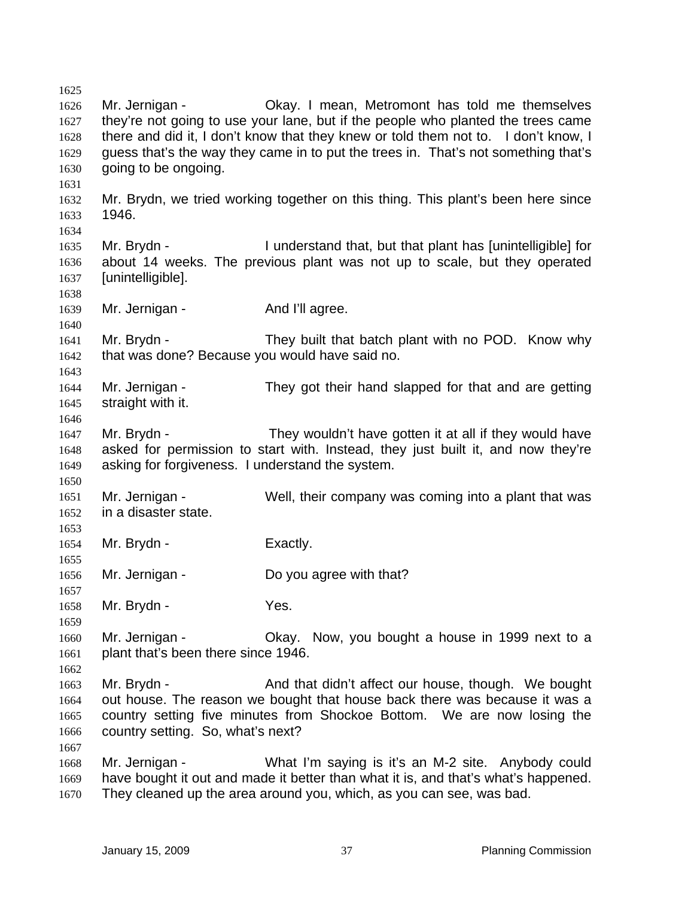1625 1626 1627 1628 1629 1630 1631 1632 1633 1634 1635 1636 1637 1638 1639 1640 1641 1642 1643 1644 1645 1646 1647 1648 1649 1650 1651 1652 1653 1654 1655 1656 1657 1658 1659 1660 1661 1662 1663 1664 1665 1666 1667 1668 1669 1670 Mr. Jernigan - Ckay. I mean, Metromont has told me themselves they're not going to use your lane, but if the people who planted the trees came there and did it, I don't know that they knew or told them not to. I don't know, I guess that's the way they came in to put the trees in. That's not something that's going to be ongoing. Mr. Brydn, we tried working together on this thing. This plant's been here since 1946. Mr. Brydn - I understand that, but that plant has [unintelligible] for about 14 weeks. The previous plant was not up to scale, but they operated [unintelligible]. Mr. Jernigan - And I'll agree. Mr. Brydn - They built that batch plant with no POD. Know why that was done? Because you would have said no. Mr. Jernigan - They got their hand slapped for that and are getting straight with it. Mr. Brydn - They wouldn't have gotten it at all if they would have asked for permission to start with. Instead, they just built it, and now they're asking for forgiveness. I understand the system. Mr. Jernigan - Well, their company was coming into a plant that was in a disaster state. Mr. Brydn - Exactly. Mr. Jernigan - Do you agree with that? Mr. Brydn - Yes. Mr. Jernigan - Okay. Now, you bought a house in 1999 next to a plant that's been there since 1946. Mr. Brydn - And that didn't affect our house, though. We bought out house. The reason we bought that house back there was because it was a country setting five minutes from Shockoe Bottom. We are now losing the country setting. So, what's next? Mr. Jernigan - What I'm saying is it's an M-2 site. Anybody could have bought it out and made it better than what it is, and that's what's happened. They cleaned up the area around you, which, as you can see, was bad.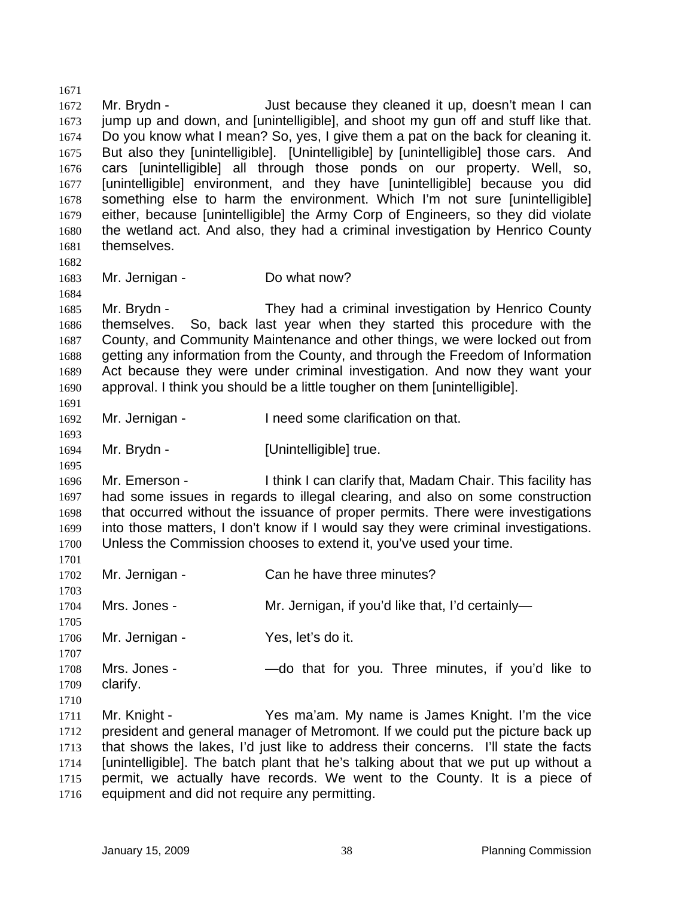1672 1673 1674 1675 1676 1677 1678 1679 1680 1681 1682 1683 1684 1685 1686 1687 1688 1689 1690 1691 1692 1693 1694 1695 1696 1697 1698 1699 1700 1701 1702 1703 1704 1705 1706 1707 1708 1709 1710 1711 1712 1713 1714 1715 Mr. Brydn - Just because they cleaned it up, doesn't mean I can jump up and down, and [unintelligible], and shoot my gun off and stuff like that. Do you know what I mean? So, yes, I give them a pat on the back for cleaning it. But also they [unintelligible]. [Unintelligible] by [unintelligible] those cars. And cars [unintelligible] all through those ponds on our property. Well, so, [unintelligible] environment, and they have [unintelligible] because you did something else to harm the environment. Which I'm not sure [unintelligible] either, because [unintelligible] the Army Corp of Engineers, so they did violate the wetland act. And also, they had a criminal investigation by Henrico County themselves. Mr. Jernigan - Do what now? Mr. Brydn - They had a criminal investigation by Henrico County themselves. So, back last year when they started this procedure with the County, and Community Maintenance and other things, we were locked out from getting any information from the County, and through the Freedom of Information Act because they were under criminal investigation. And now they want your approval. I think you should be a little tougher on them [unintelligible]. Mr. Jernigan - Theed some clarification on that. Mr. Brydn - [Unintelligible] true. Mr. Emerson - I think I can clarify that, Madam Chair. This facility has had some issues in regards to illegal clearing, and also on some construction that occurred without the issuance of proper permits. There were investigations into those matters, I don't know if I would say they were criminal investigations. Unless the Commission chooses to extend it, you've used your time. Mr. Jernigan - Can he have three minutes? Mrs. Jones - Mr. Jernigan, if you'd like that, I'd certainly-Mr. Jernigan - Yes, let's do it. Mrs. Jones - — — do that for you. Three minutes, if you'd like to clarify. Mr. Knight - Yes ma'am. My name is James Knight. I'm the vice president and general manager of Metromont. If we could put the picture back up that shows the lakes, I'd just like to address their concerns. I'll state the facts [unintelligible]. The batch plant that he's talking about that we put up without a permit, we actually have records. We went to the County. It is a piece of

1716 equipment and did not require any permitting.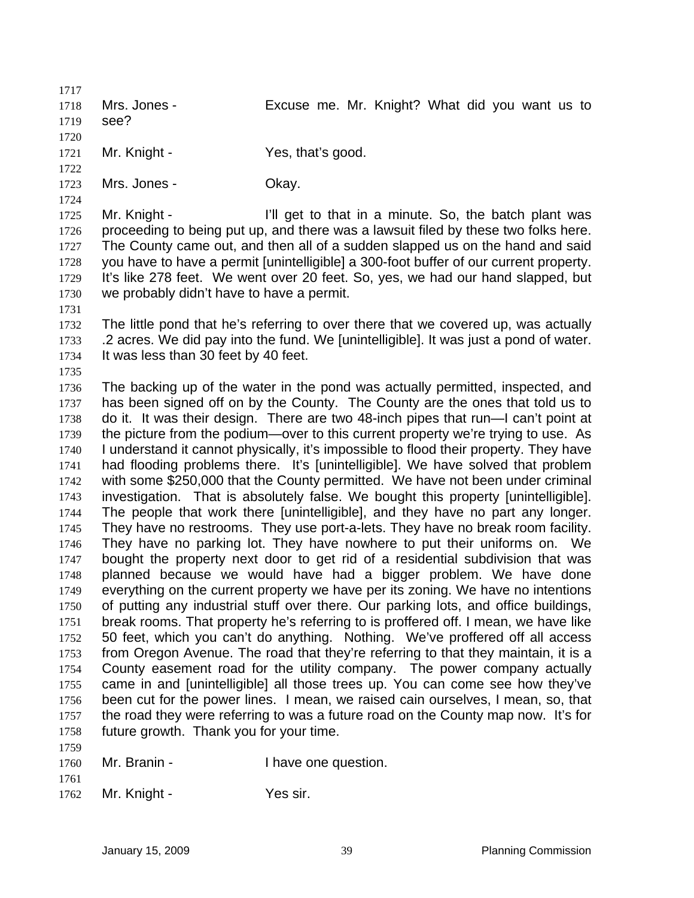1717 1718 1719 1720 1721 Mrs. Jones - Excuse me. Mr. Knight? What did you want us to see? Mr. Knight - Yes, that's good.

1723 Mrs. Jones - Ckay.

1725 1726 1727 1728 1729 1730 Mr. Knight - I'll get to that in a minute. So, the batch plant was proceeding to being put up, and there was a lawsuit filed by these two folks here. The County came out, and then all of a sudden slapped us on the hand and said you have to have a permit [unintelligible] a 300-foot buffer of our current property. It's like 278 feet. We went over 20 feet. So, yes, we had our hand slapped, but we probably didn't have to have a permit.

1731

1735

1722

1724

1732 1733 1734 The little pond that he's referring to over there that we covered up, was actually .2 acres. We did pay into the fund. We [unintelligible]. It was just a pond of water. It was less than 30 feet by 40 feet.

1736 1737 1738 1739 1740 1741 1742 1743 1744 1745 1746 1747 1748 1749 1750 1751 1752 1753 1754 1755 1756 1757 1758 The backing up of the water in the pond was actually permitted, inspected, and has been signed off on by the County. The County are the ones that told us to do it. It was their design. There are two 48-inch pipes that run—I can't point at the picture from the podium—over to this current property we're trying to use. As I understand it cannot physically, it's impossible to flood their property. They have had flooding problems there. It's [unintelligible]. We have solved that problem with some \$250,000 that the County permitted. We have not been under criminal investigation. That is absolutely false. We bought this property [unintelligible]. The people that work there [unintelligible], and they have no part any longer. They have no restrooms. They use port-a-lets. They have no break room facility. They have no parking lot. They have nowhere to put their uniforms on. We bought the property next door to get rid of a residential subdivision that was planned because we would have had a bigger problem. We have done everything on the current property we have per its zoning. We have no intentions of putting any industrial stuff over there. Our parking lots, and office buildings, break rooms. That property he's referring to is proffered off. I mean, we have like 50 feet, which you can't do anything. Nothing. We've proffered off all access from Oregon Avenue. The road that they're referring to that they maintain, it is a County easement road for the utility company. The power company actually came in and [unintelligible] all those trees up. You can come see how they've been cut for the power lines. I mean, we raised cain ourselves, I mean, so, that the road they were referring to was a future road on the County map now. It's for future growth. Thank you for your time.

- 1760 Mr. Branin - Thave one question.
- 1761

1759

1762 Mr. Knight - Yes sir.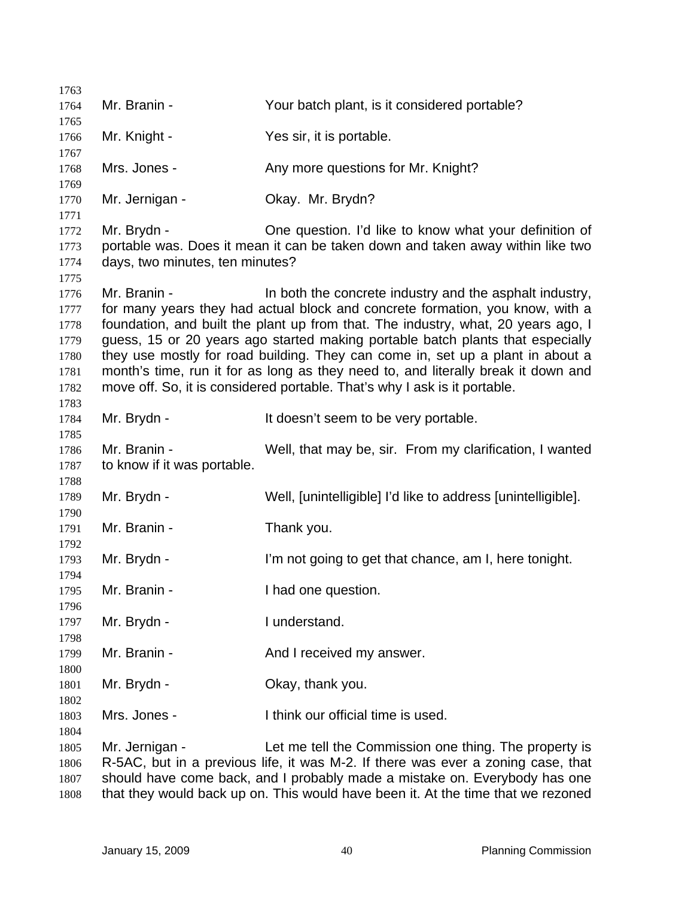| 1763                                                                                                                                                                                                                                                                                                                                                                                                                                                                                                                                                                                     |                                                |                                                                                                                                                                                                                                                                                                             |
|------------------------------------------------------------------------------------------------------------------------------------------------------------------------------------------------------------------------------------------------------------------------------------------------------------------------------------------------------------------------------------------------------------------------------------------------------------------------------------------------------------------------------------------------------------------------------------------|------------------------------------------------|-------------------------------------------------------------------------------------------------------------------------------------------------------------------------------------------------------------------------------------------------------------------------------------------------------------|
| 1764                                                                                                                                                                                                                                                                                                                                                                                                                                                                                                                                                                                     | Mr. Branin -                                   | Your batch plant, is it considered portable?                                                                                                                                                                                                                                                                |
| 1765                                                                                                                                                                                                                                                                                                                                                                                                                                                                                                                                                                                     | Mr. Knight -                                   | Yes sir, it is portable.                                                                                                                                                                                                                                                                                    |
| 1766<br>1767                                                                                                                                                                                                                                                                                                                                                                                                                                                                                                                                                                             |                                                |                                                                                                                                                                                                                                                                                                             |
| 1768<br>1769                                                                                                                                                                                                                                                                                                                                                                                                                                                                                                                                                                             | Mrs. Jones -                                   | Any more questions for Mr. Knight?                                                                                                                                                                                                                                                                          |
| 1770<br>1771                                                                                                                                                                                                                                                                                                                                                                                                                                                                                                                                                                             | Mr. Jernigan -                                 | Okay. Mr. Brydn?                                                                                                                                                                                                                                                                                            |
| 1772<br>1773<br>1774                                                                                                                                                                                                                                                                                                                                                                                                                                                                                                                                                                     | Mr. Brydn -<br>days, two minutes, ten minutes? | One question. I'd like to know what your definition of<br>portable was. Does it mean it can be taken down and taken away within like two                                                                                                                                                                    |
| 1775<br>Mr. Branin -<br>1776<br>for many years they had actual block and concrete formation, you know, with a<br>1777<br>foundation, and built the plant up from that. The industry, what, 20 years ago, I<br>1778<br>guess, 15 or 20 years ago started making portable batch plants that especially<br>1779<br>they use mostly for road building. They can come in, set up a plant in about a<br>1780<br>month's time, run it for as long as they need to, and literally break it down and<br>1781<br>move off. So, it is considered portable. That's why I ask is it portable.<br>1782 |                                                | In both the concrete industry and the asphalt industry,                                                                                                                                                                                                                                                     |
| 1783<br>1784<br>1785                                                                                                                                                                                                                                                                                                                                                                                                                                                                                                                                                                     | Mr. Brydn -                                    | It doesn't seem to be very portable.                                                                                                                                                                                                                                                                        |
| 1786<br>1787<br>1788                                                                                                                                                                                                                                                                                                                                                                                                                                                                                                                                                                     | Mr. Branin -<br>to know if it was portable.    | Well, that may be, sir. From my clarification, I wanted                                                                                                                                                                                                                                                     |
| 1789<br>1790                                                                                                                                                                                                                                                                                                                                                                                                                                                                                                                                                                             | Mr. Brydn -                                    | Well, [unintelligible] I'd like to address [unintelligible].                                                                                                                                                                                                                                                |
| 1791<br>1792                                                                                                                                                                                                                                                                                                                                                                                                                                                                                                                                                                             | Mr. Branin -                                   | Thank you.                                                                                                                                                                                                                                                                                                  |
| 1793<br>1794                                                                                                                                                                                                                                                                                                                                                                                                                                                                                                                                                                             | Mr. Brydn -                                    | I'm not going to get that chance, am I, here tonight.                                                                                                                                                                                                                                                       |
| 1795<br>1796                                                                                                                                                                                                                                                                                                                                                                                                                                                                                                                                                                             | Mr. Branin -                                   | I had one question.                                                                                                                                                                                                                                                                                         |
| 1797<br>1798                                                                                                                                                                                                                                                                                                                                                                                                                                                                                                                                                                             | Mr. Brydn -                                    | I understand.                                                                                                                                                                                                                                                                                               |
| 1799<br>1800                                                                                                                                                                                                                                                                                                                                                                                                                                                                                                                                                                             | Mr. Branin -                                   | And I received my answer.                                                                                                                                                                                                                                                                                   |
| 1801                                                                                                                                                                                                                                                                                                                                                                                                                                                                                                                                                                                     | Mr. Brydn -                                    | Okay, thank you.                                                                                                                                                                                                                                                                                            |
| 1802<br>1803                                                                                                                                                                                                                                                                                                                                                                                                                                                                                                                                                                             | Mrs. Jones -                                   | I think our official time is used.                                                                                                                                                                                                                                                                          |
| 1804<br>1805<br>1806<br>1807<br>1808                                                                                                                                                                                                                                                                                                                                                                                                                                                                                                                                                     | Mr. Jernigan -                                 | Let me tell the Commission one thing. The property is<br>R-5AC, but in a previous life, it was M-2. If there was ever a zoning case, that<br>should have come back, and I probably made a mistake on. Everybody has one<br>that they would back up on. This would have been it. At the time that we rezoned |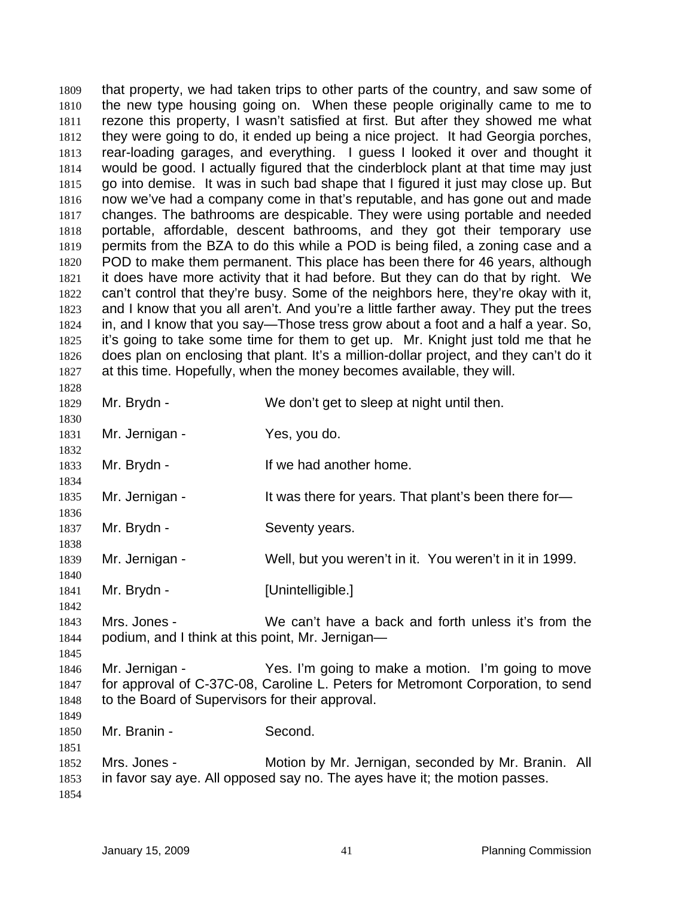that property, we had taken trips to other parts of the country, and saw some of the new type housing going on. When these people originally came to me to rezone this property, I wasn't satisfied at first. But after they showed me what they were going to do, it ended up being a nice project. It had Georgia porches, rear-loading garages, and everything. I guess I looked it over and thought it would be good. I actually figured that the cinderblock plant at that time may just go into demise. It was in such bad shape that I figured it just may close up. But now we've had a company come in that's reputable, and has gone out and made changes. The bathrooms are despicable. They were using portable and needed portable, affordable, descent bathrooms, and they got their temporary use permits from the BZA to do this while a POD is being filed, a zoning case and a POD to make them permanent. This place has been there for 46 years, although it does have more activity that it had before. But they can do that by right. We can't control that they're busy. Some of the neighbors here, they're okay with it, and I know that you all aren't. And you're a little farther away. They put the trees in, and I know that you say—Those tress grow about a foot and a half a year. So, it's going to take some time for them to get up. Mr. Knight just told me that he does plan on enclosing that plant. It's a million-dollar project, and they can't do it at this time. Hopefully, when the money becomes available, they will. 1809 1810 1811 1812 1813 1814 1815 1816 1817 1818 1819 1820 1821 1822 1823 1824 1825 1826 1827 1828 1829 1830 1831 1832 1833 1834 1835 1836 1837 1838 1839 1840 1841 1842 1843 1844 1845 1846 1847 1848 1849 1850 1851 1852 1853 1854 Mr. Brydn - We don't get to sleep at night until then. Mr. Jernigan - Yes, you do. Mr. Brydn - The Music Hi we had another home. Mr. Jernigan - That it was there for years. That plant's been there for-Mr. Brydn - Seventy years. Mr. Jernigan - Well, but you weren't in it. You weren't in it in 1999. Mr. Brydn - [Unintelligible.] Mrs. Jones - We can't have a back and forth unless it's from the podium, and I think at this point, Mr. Jernigan— Mr. Jernigan - Yes. I'm going to make a motion. I'm going to move for approval of C-37C-08, Caroline L. Peters for Metromont Corporation, to send to the Board of Supervisors for their approval. Mr. Branin - Second. Mrs. Jones - Motion by Mr. Jernigan, seconded by Mr. Branin. All in favor say aye. All opposed say no. The ayes have it; the motion passes.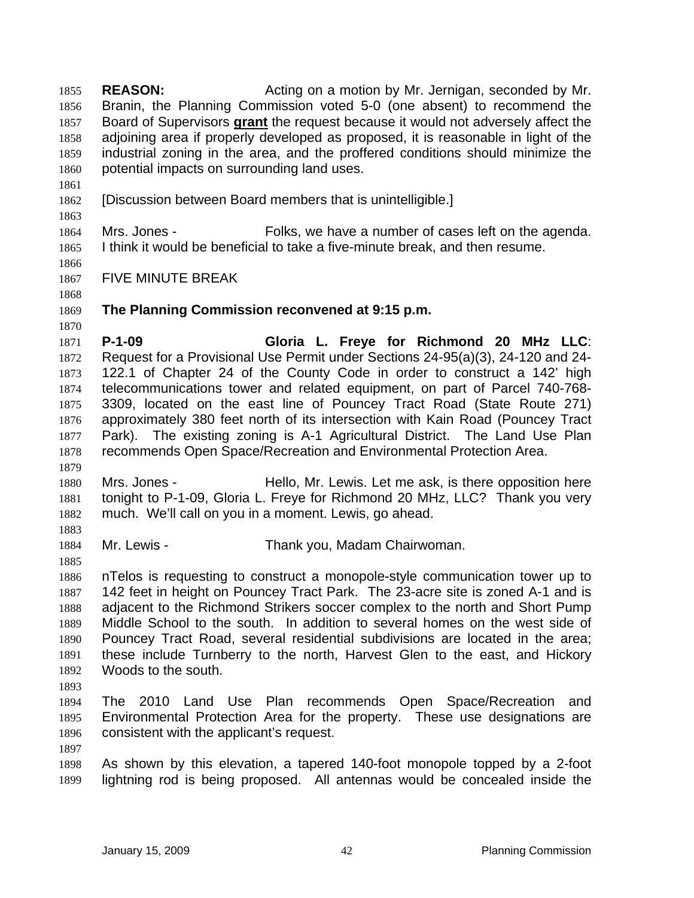**REASON:** Acting on a motion by Mr. Jernigan, seconded by Mr. Branin, the Planning Commission voted 5-0 (one absent) to recommend the Board of Supervisors **grant** the request because it would not adversely affect the 1855 1856 adjoining area if properly developed as proposed, it is reasonable in light of the industrial zoning in the area, and the proffered conditions should minimize the potential impacts on surrounding land uses. 1857 1858 1859 1860 1861

1862 [Discussion between Board members that is unintelligible.]

1864 1865 Mrs. Jones - Folks, we have a number of cases left on the agenda. I think it would be beneficial to take a five-minute break, and then resume.

- 1867 FIVE MINUTE BREAK
- 1868 1869

1870

1863

1866

## **The Planning Commission reconvened at 9:15 p.m.**

1871 1872 1873 1874 1875 1876 1877 1878 **P-1-09 Gloria L. Freye for Richmond 20 MHz LLC**: Request for a Provisional Use Permit under Sections 24-95(a)(3), 24-120 and 24- 122.1 of Chapter 24 of the County Code in order to construct a 142' high telecommunications tower and related equipment, on part of Parcel 740-768- 3309, located on the east line of Pouncey Tract Road (State Route 271) approximately 380 feet north of its intersection with Kain Road (Pouncey Tract Park). The existing zoning is A-1 Agricultural District. The Land Use Plan recommends Open Space/Recreation and Environmental Protection Area.

1880 1881 1882 Mrs. Jones - Hello, Mr. Lewis. Let me ask, is there opposition here tonight to P-1-09, Gloria L. Freye for Richmond 20 MHz, LLC? Thank you very much. We'll call on you in a moment. Lewis, go ahead.

1883 1884

1879

- Mr. Lewis Thank you, Madam Chairwoman.
- 1885

1886 1887 1888 1889 1890 1891 1892 nTelos is requesting to construct a monopole-style communication tower up to 142 feet in height on Pouncey Tract Park. The 23-acre site is zoned A-1 and is adjacent to the Richmond Strikers soccer complex to the north and Short Pump Middle School to the south. In addition to several homes on the west side of Pouncey Tract Road, several residential subdivisions are located in the area; these include Turnberry to the north, Harvest Glen to the east, and Hickory Woods to the south.

1893

- 1894 1895 1896 The 2010 Land Use Plan recommends Open Space/Recreation and Environmental Protection Area for the property. These use designations are consistent with the applicant's request.
- 1897

1898 1899 As shown by this elevation, a tapered 140-foot monopole topped by a 2-foot lightning rod is being proposed. All antennas would be concealed inside the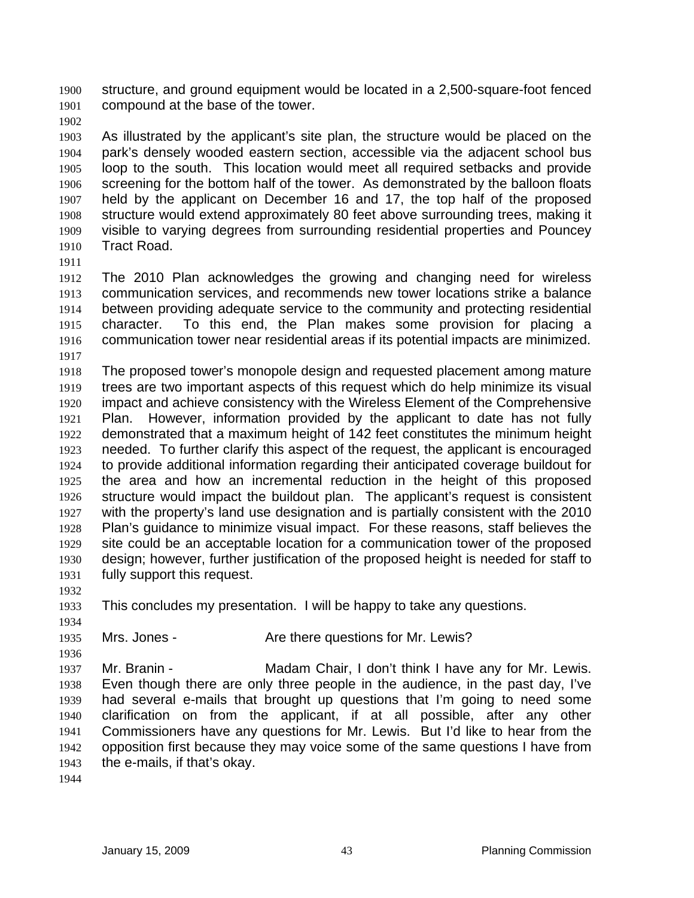structure, and ground equipment would be located in a 2,500-square-foot fenced compound at the base of the tower. 1900 1901

1902

1903 1904 1905 1906 1907 1908 1909 1910 As illustrated by the applicant's site plan, the structure would be placed on the park's densely wooded eastern section, accessible via the adjacent school bus loop to the south. This location would meet all required setbacks and provide screening for the bottom half of the tower. As demonstrated by the balloon floats held by the applicant on December 16 and 17, the top half of the proposed structure would extend approximately 80 feet above surrounding trees, making it visible to varying degrees from surrounding residential properties and Pouncey Tract Road.

1911

1912 1913 1914 1915 1916 1917 The 2010 Plan acknowledges the growing and changing need for wireless communication services, and recommends new tower locations strike a balance between providing adequate service to the community and protecting residential character. To this end, the Plan makes some provision for placing a communication tower near residential areas if its potential impacts are minimized.

1918 1919 1920 1921 1922 1923 1924 1925 1926 1927 1928 1929 1930 1931 The proposed tower's monopole design and requested placement among mature trees are two important aspects of this request which do help minimize its visual impact and achieve consistency with the Wireless Element of the Comprehensive Plan. However, information provided by the applicant to date has not fully demonstrated that a maximum height of 142 feet constitutes the minimum height needed. To further clarify this aspect of the request, the applicant is encouraged to provide additional information regarding their anticipated coverage buildout for the area and how an incremental reduction in the height of this proposed structure would impact the buildout plan. The applicant's request is consistent with the property's land use designation and is partially consistent with the 2010 Plan's guidance to minimize visual impact. For these reasons, staff believes the site could be an acceptable location for a communication tower of the proposed design; however, further justification of the proposed height is needed for staff to fully support this request.

1932

1933 This concludes my presentation. I will be happy to take any questions.

1934

1935 1936

Mrs. Jones - The Are there questions for Mr. Lewis?

1937 1938 1939 1940 1941 1942 1943 Mr. Branin - **Madam Chair, I don't think I have any for Mr. Lewis.** Even though there are only three people in the audience, in the past day, I've had several e-mails that brought up questions that I'm going to need some clarification on from the applicant, if at all possible, after any other Commissioners have any questions for Mr. Lewis. But I'd like to hear from the opposition first because they may voice some of the same questions I have from the e-mails, if that's okay.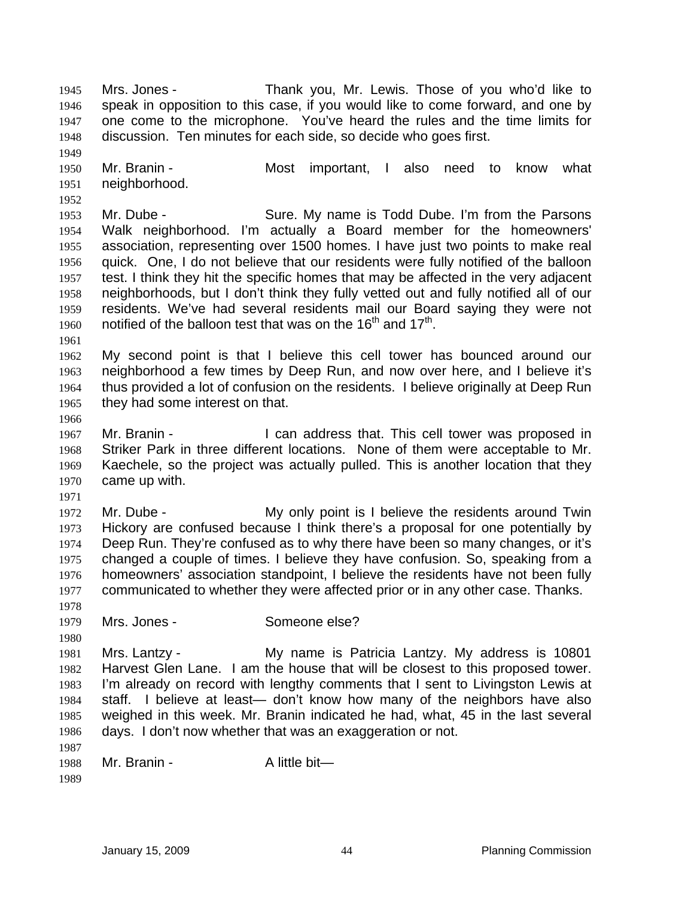Mrs. Jones - Thank you, Mr. Lewis. Those of you who'd like to speak in opposition to this case, if you would like to come forward, and one by one come to the microphone. You've heard the rules and the time limits for discussion. Ten minutes for each side, so decide who goes first. 1945 1946 1947 1948

1950 1951 Mr. Branin - The Most important, I also need to know what neighborhood.

1953 1954 1955 1956 1957 1958 1959 1960 Mr. Dube - Sure. My name is Todd Dube. I'm from the Parsons Walk neighborhood. I'm actually a Board member for the homeowners' association, representing over 1500 homes. I have just two points to make real quick. One, I do not believe that our residents were fully notified of the balloon test. I think they hit the specific homes that may be affected in the very adjacent neighborhoods, but I don't think they fully vetted out and fully notified all of our residents. We've had several residents mail our Board saying they were not notified of the balloon test that was on the  $16<sup>th</sup>$  and  $17<sup>th</sup>$ .

1961

1949

1952

1962 1963 1964 1965 My second point is that I believe this cell tower has bounced around our neighborhood a few times by Deep Run, and now over here, and I believe it's thus provided a lot of confusion on the residents. I believe originally at Deep Run they had some interest on that.

1966

1967 1968 1969 1970 Mr. Branin - The State of I can address that. This cell tower was proposed in Striker Park in three different locations. None of them were acceptable to Mr. Kaechele, so the project was actually pulled. This is another location that they came up with.

1971

1972 1973 1974 1975 1976 1977 1978 Mr. Dube - The My only point is I believe the residents around Twin Hickory are confused because I think there's a proposal for one potentially by Deep Run. They're confused as to why there have been so many changes, or it's changed a couple of times. I believe they have confusion. So, speaking from a homeowners' association standpoint, I believe the residents have not been fully communicated to whether they were affected prior or in any other case. Thanks.

1979 Mrs. Jones - Someone else?

1980 1981 1982 1983 1984 1985 1986 Mrs. Lantzy - My name is Patricia Lantzy. My address is 10801 Harvest Glen Lane. I am the house that will be closest to this proposed tower. I'm already on record with lengthy comments that I sent to Livingston Lewis at staff. I believe at least— don't know how many of the neighbors have also weighed in this week. Mr. Branin indicated he had, what, 45 in the last several days. I don't now whether that was an exaggeration or not.

1987 1988 Mr. Branin - Alittle bit—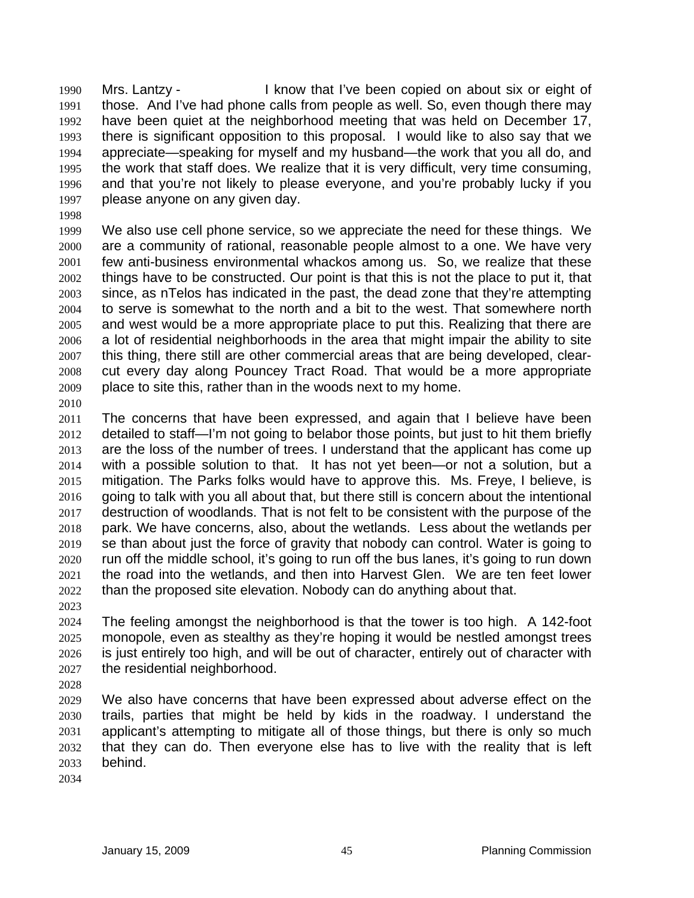Mrs. Lantzy - I know that I've been copied on about six or eight of those. And I've had phone calls from people as well. So, even though there may have been quiet at the neighborhood meeting that was held on December 17, there is significant opposition to this proposal. I would like to also say that we appreciate—speaking for myself and my husband—the work that you all do, and the work that staff does. We realize that it is very difficult, very time consuming, and that you're not likely to please everyone, and you're probably lucky if you please anyone on any given day. 1990 1991 1992 1993 1994 1995 1996 1997

1998

1999 2000 2001 2002 2003 2004 2005 2006 2007 2008 2009 We also use cell phone service, so we appreciate the need for these things. We are a community of rational, reasonable people almost to a one. We have very few anti-business environmental whackos among us. So, we realize that these things have to be constructed. Our point is that this is not the place to put it, that since, as nTelos has indicated in the past, the dead zone that they're attempting to serve is somewhat to the north and a bit to the west. That somewhere north and west would be a more appropriate place to put this. Realizing that there are a lot of residential neighborhoods in the area that might impair the ability to site this thing, there still are other commercial areas that are being developed, clearcut every day along Pouncey Tract Road. That would be a more appropriate place to site this, rather than in the woods next to my home.

2010

2011 2012 2013 2014 2015 2016 2017 2018 2019 2020 2021 2022 The concerns that have been expressed, and again that I believe have been detailed to staff—I'm not going to belabor those points, but just to hit them briefly are the loss of the number of trees. I understand that the applicant has come up with a possible solution to that. It has not yet been—or not a solution, but a mitigation. The Parks folks would have to approve this. Ms. Freye, I believe, is going to talk with you all about that, but there still is concern about the intentional destruction of woodlands. That is not felt to be consistent with the purpose of the park. We have concerns, also, about the wetlands. Less about the wetlands per se than about just the force of gravity that nobody can control. Water is going to run off the middle school, it's going to run off the bus lanes, it's going to run down the road into the wetlands, and then into Harvest Glen. We are ten feet lower than the proposed site elevation. Nobody can do anything about that.

2023

2024 2025 2026 2027 The feeling amongst the neighborhood is that the tower is too high. A 142-foot monopole, even as stealthy as they're hoping it would be nestled amongst trees is just entirely too high, and will be out of character, entirely out of character with the residential neighborhood.

2028

2029 2030 2031 2032 2033 We also have concerns that have been expressed about adverse effect on the trails, parties that might be held by kids in the roadway. I understand the applicant's attempting to mitigate all of those things, but there is only so much that they can do. Then everyone else has to live with the reality that is left behind.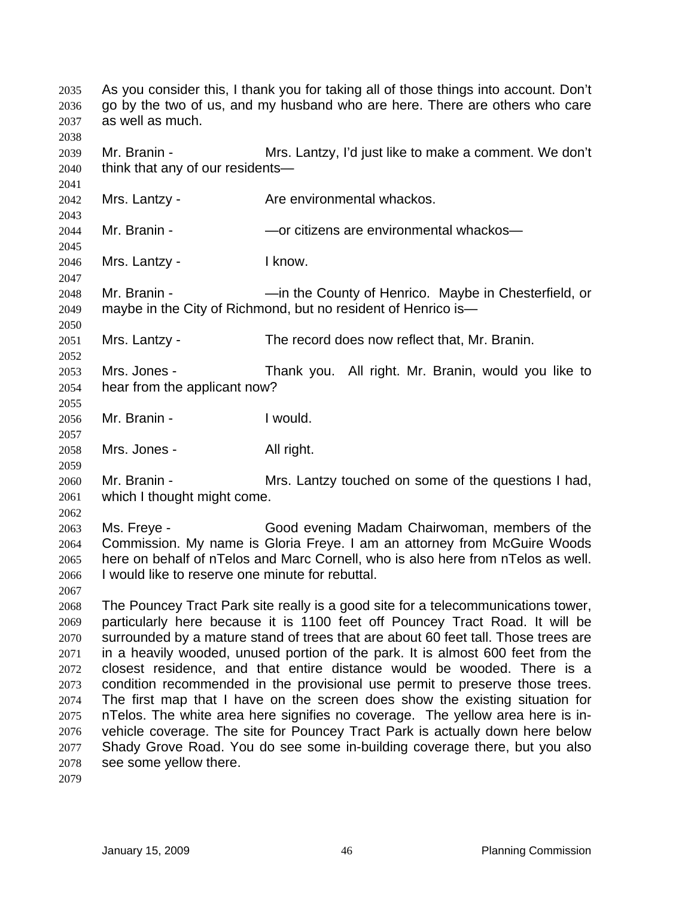As you consider this, I thank you for taking all of those things into account. Don't go by the two of us, and my husband who are here. There are others who care as well as much. 2035 2036 2037 2038 2039 2040 2041 2042 2043 2044 2045 2046 2047 2048 2049 2050 2051 2052 2053 2054 2055 2056 2057 2058 2059 2060 2061 2062 2063 2064 2065 2066 2067 2068 2069 2070 2071 2072 2073 2074 2075 2076 2077 2078 2079 Mr. Branin - **Mrs. Lantzy, I'd just like to make a comment.** We don't think that any of our residents— Mrs. Lantzy - **Are environmental whackos.** Mr. Branin - The South Controllering are environmental whackos— Mrs. Lantzy - Iknow. Mr. Branin - The County of Henrico. Maybe in Chesterfield, or maybe in the City of Richmond, but no resident of Henrico is— Mrs. Lantzy - The record does now reflect that, Mr. Branin. Mrs. Jones - Thank you. All right. Mr. Branin, would you like to hear from the applicant now? Mr. Branin - Twould. Mrs. Jones - All right. Mr. Branin - Mrs. Lantzy touched on some of the questions I had, which I thought might come. Ms. Freye - Good evening Madam Chairwoman, members of the Commission. My name is Gloria Freye. I am an attorney from McGuire Woods here on behalf of nTelos and Marc Cornell, who is also here from nTelos as well. I would like to reserve one minute for rebuttal. The Pouncey Tract Park site really is a good site for a telecommunications tower, particularly here because it is 1100 feet off Pouncey Tract Road. It will be surrounded by a mature stand of trees that are about 60 feet tall. Those trees are in a heavily wooded, unused portion of the park. It is almost 600 feet from the closest residence, and that entire distance would be wooded. There is a condition recommended in the provisional use permit to preserve those trees. The first map that I have on the screen does show the existing situation for nTelos. The white area here signifies no coverage. The yellow area here is invehicle coverage. The site for Pouncey Tract Park is actually down here below Shady Grove Road. You do see some in-building coverage there, but you also see some yellow there.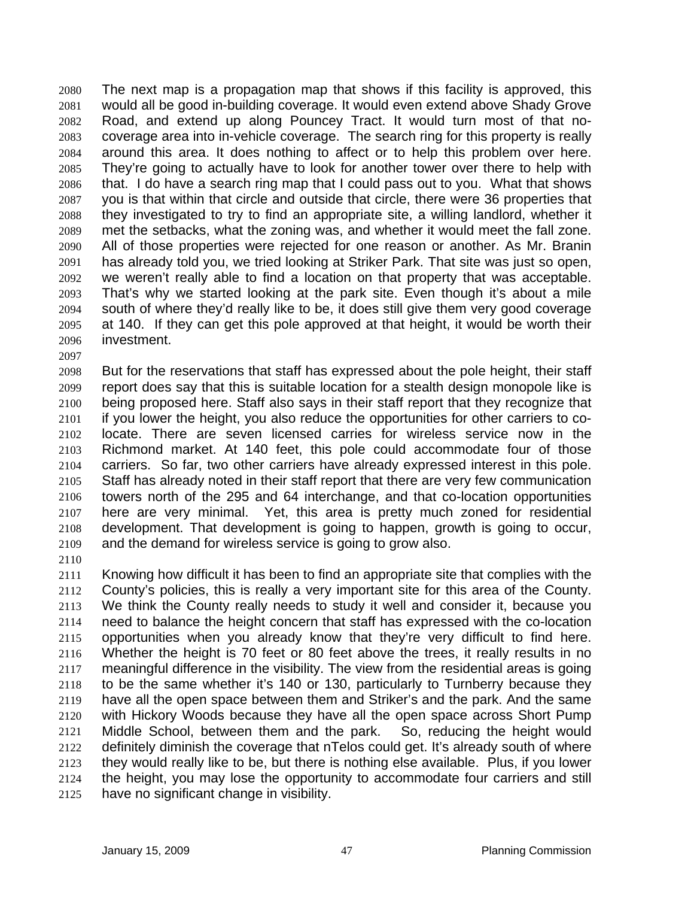The next map is a propagation map that shows if this facility is approved, this would all be good in-building coverage. It would even extend above Shady Grove Road, and extend up along Pouncey Tract. It would turn most of that nocoverage area into in-vehicle coverage. The search ring for this property is really around this area. It does nothing to affect or to help this problem over here. They're going to actually have to look for another tower over there to help with that. I do have a search ring map that I could pass out to you. What that shows you is that within that circle and outside that circle, there were 36 properties that they investigated to try to find an appropriate site, a willing landlord, whether it met the setbacks, what the zoning was, and whether it would meet the fall zone. All of those properties were rejected for one reason or another. As Mr. Branin has already told you, we tried looking at Striker Park. That site was just so open, we weren't really able to find a location on that property that was acceptable. That's why we started looking at the park site. Even though it's about a mile south of where they'd really like to be, it does still give them very good coverage at 140. If they can get this pole approved at that height, it would be worth their investment. 2080 2081 2082 2083 2084 2085 2086 2087 2088 2089 2090 2091 2092 2093 2094 2095 2096 2097

2098 2099 2100 2101 2102 2103 2104 2105 2106 2107 2108 2109 But for the reservations that staff has expressed about the pole height, their staff report does say that this is suitable location for a stealth design monopole like is being proposed here. Staff also says in their staff report that they recognize that if you lower the height, you also reduce the opportunities for other carriers to colocate. There are seven licensed carries for wireless service now in the Richmond market. At 140 feet, this pole could accommodate four of those carriers. So far, two other carriers have already expressed interest in this pole. Staff has already noted in their staff report that there are very few communication towers north of the 295 and 64 interchange, and that co-location opportunities here are very minimal. Yet, this area is pretty much zoned for residential development. That development is going to happen, growth is going to occur, and the demand for wireless service is going to grow also.

2110

2111 2112 2113 2114 2115 2116 2117 2118 2119 2120 2121 2122 2123 2124 2125 Knowing how difficult it has been to find an appropriate site that complies with the County's policies, this is really a very important site for this area of the County. We think the County really needs to study it well and consider it, because you need to balance the height concern that staff has expressed with the co-location opportunities when you already know that they're very difficult to find here. Whether the height is 70 feet or 80 feet above the trees, it really results in no meaningful difference in the visibility. The view from the residential areas is going to be the same whether it's 140 or 130, particularly to Turnberry because they have all the open space between them and Striker's and the park. And the same with Hickory Woods because they have all the open space across Short Pump Middle School, between them and the park. So, reducing the height would definitely diminish the coverage that nTelos could get. It's already south of where they would really like to be, but there is nothing else available. Plus, if you lower the height, you may lose the opportunity to accommodate four carriers and still have no significant change in visibility.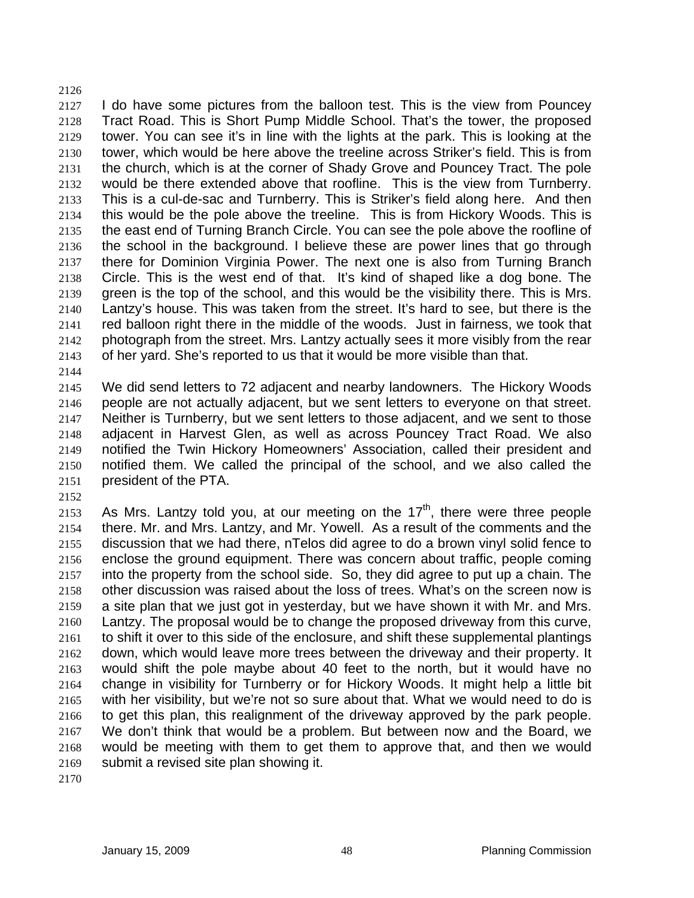2127 2128 2129 2130 2131 2132 2133 2134 2135 2136 2137 2138 2139 2140 2141 2142 2143 2144 I do have some pictures from the balloon test. This is the view from Pouncey Tract Road. This is Short Pump Middle School. That's the tower, the proposed tower. You can see it's in line with the lights at the park. This is looking at the tower, which would be here above the treeline across Striker's field. This is from the church, which is at the corner of Shady Grove and Pouncey Tract. The pole would be there extended above that roofline. This is the view from Turnberry. This is a cul-de-sac and Turnberry. This is Striker's field along here. And then this would be the pole above the treeline. This is from Hickory Woods. This is the east end of Turning Branch Circle. You can see the pole above the roofline of the school in the background. I believe these are power lines that go through there for Dominion Virginia Power. The next one is also from Turning Branch Circle. This is the west end of that. It's kind of shaped like a dog bone. The green is the top of the school, and this would be the visibility there. This is Mrs. Lantzy's house. This was taken from the street. It's hard to see, but there is the red balloon right there in the middle of the woods. Just in fairness, we took that photograph from the street. Mrs. Lantzy actually sees it more visibly from the rear of her yard. She's reported to us that it would be more visible than that.

2145 2146 2147 2148 2149 2150 2151 We did send letters to 72 adjacent and nearby landowners. The Hickory Woods people are not actually adjacent, but we sent letters to everyone on that street. Neither is Turnberry, but we sent letters to those adjacent, and we sent to those adjacent in Harvest Glen, as well as across Pouncey Tract Road. We also notified the Twin Hickory Homeowners' Association, called their president and notified them. We called the principal of the school, and we also called the president of the PTA.

2152

2126

2153 2154 2155 2156 2157 2158 2159 2160 2161 2162 2163 2164 2165 2166 2167 2168 2169 As Mrs. Lantzy told you, at our meeting on the  $17<sup>th</sup>$ , there were three people there. Mr. and Mrs. Lantzy, and Mr. Yowell. As a result of the comments and the discussion that we had there, nTelos did agree to do a brown vinyl solid fence to enclose the ground equipment. There was concern about traffic, people coming into the property from the school side. So, they did agree to put up a chain. The other discussion was raised about the loss of trees. What's on the screen now is a site plan that we just got in yesterday, but we have shown it with Mr. and Mrs. Lantzy. The proposal would be to change the proposed driveway from this curve, to shift it over to this side of the enclosure, and shift these supplemental plantings down, which would leave more trees between the driveway and their property. It would shift the pole maybe about 40 feet to the north, but it would have no change in visibility for Turnberry or for Hickory Woods. It might help a little bit with her visibility, but we're not so sure about that. What we would need to do is to get this plan, this realignment of the driveway approved by the park people. We don't think that would be a problem. But between now and the Board, we would be meeting with them to get them to approve that, and then we would submit a revised site plan showing it.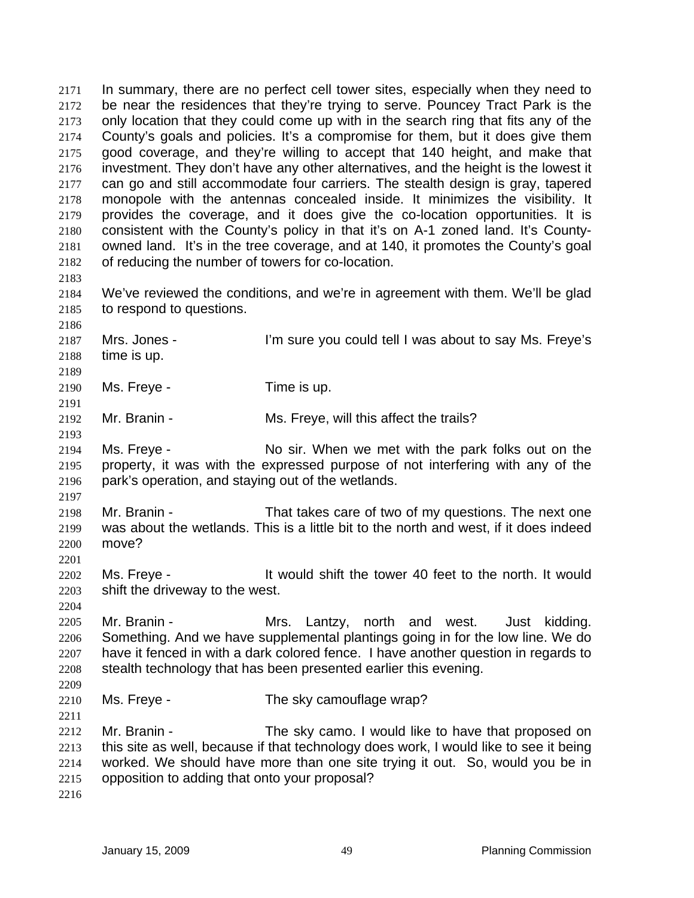In summary, there are no perfect cell tower sites, especially when they need to be near the residences that they're trying to serve. Pouncey Tract Park is the only location that they could come up with in the search ring that fits any of the County's goals and policies. It's a compromise for them, but it does give them good coverage, and they're willing to accept that 140 height, and make that investment. They don't have any other alternatives, and the height is the lowest it can go and still accommodate four carriers. The stealth design is gray, tapered monopole with the antennas concealed inside. It minimizes the visibility. It provides the coverage, and it does give the co-location opportunities. It is consistent with the County's policy in that it's on A-1 zoned land. It's Countyowned land. It's in the tree coverage, and at 140, it promotes the County's goal of reducing the number of towers for co-location. 2171 2172 2173 2174 2175 2176 2177 2178 2179 2180 2181 2182 2183 2184 2185 2186 2187 2188 2189 2190 2191 2192 2193 2194 2195 2196 2197 2198 2199 2200 2201 2202 2203 2204 2205 2206 2207 2208 2209 2210 2211 2212 2213 2214 2215 2216 We've reviewed the conditions, and we're in agreement with them. We'll be glad to respond to questions. Mrs. Jones - I'm sure you could tell I was about to say Ms. Freye's time is up. Ms. Freye - Time is up. Mr. Branin - Ms. Freye, will this affect the trails? Ms. Freye - No sir. When we met with the park folks out on the property, it was with the expressed purpose of not interfering with any of the park's operation, and staying out of the wetlands. Mr. Branin - That takes care of two of my questions. The next one was about the wetlands. This is a little bit to the north and west, if it does indeed move? Ms. Freye - It would shift the tower 40 feet to the north. It would shift the driveway to the west. Mr. Branin - Mrs. Lantzy, north and west. Just kidding. Something. And we have supplemental plantings going in for the low line. We do have it fenced in with a dark colored fence. I have another question in regards to stealth technology that has been presented earlier this evening. Ms. Freye - The sky camouflage wrap? Mr. Branin - The sky camo. I would like to have that proposed on this site as well, because if that technology does work, I would like to see it being worked. We should have more than one site trying it out. So, would you be in opposition to adding that onto your proposal?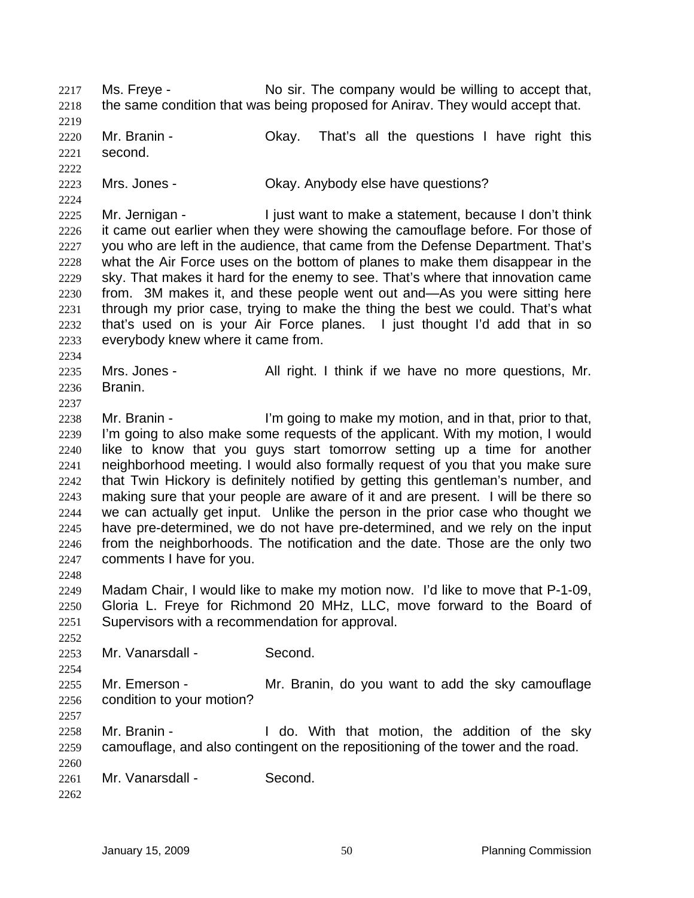2219 2220 2221 2222 2223 2224 2225 2226 2227 2228 2229 2230 2231 2232 2233 2234 2235 2236 2237 2238 2239 2240 2241 2242 2243 2244 2245 2246 2247 2248 2249 2250 2251 2252 2253 2254 2255 2256 2257 2258 2259 2260 Mr. Branin - Chay. That's all the questions I have right this second. Mrs. Jones - Ckay. Anybody else have questions? Mr. Jernigan - Tiust want to make a statement, because I don't think it came out earlier when they were showing the camouflage before. For those of you who are left in the audience, that came from the Defense Department. That's what the Air Force uses on the bottom of planes to make them disappear in the sky. That makes it hard for the enemy to see. That's where that innovation came from. 3M makes it, and these people went out and—As you were sitting here through my prior case, trying to make the thing the best we could. That's what that's used on is your Air Force planes. I just thought I'd add that in so everybody knew where it came from. Mrs. Jones - All right. I think if we have no more questions, Mr. Branin. Mr. Branin - I'm going to make my motion, and in that, prior to that, I'm going to also make some requests of the applicant. With my motion, I would like to know that you guys start tomorrow setting up a time for another neighborhood meeting. I would also formally request of you that you make sure that Twin Hickory is definitely notified by getting this gentleman's number, and making sure that your people are aware of it and are present. I will be there so we can actually get input. Unlike the person in the prior case who thought we have pre-determined, we do not have pre-determined, and we rely on the input from the neighborhoods. The notification and the date. Those are the only two comments I have for you. Madam Chair, I would like to make my motion now. I'd like to move that P-1-09, Gloria L. Freye for Richmond 20 MHz, LLC, move forward to the Board of Supervisors with a recommendation for approval. Mr. Vanarsdall - Second. Mr. Emerson - Mr. Branin, do you want to add the sky camouflage condition to your motion? Mr. Branin - The Middler Co. With that motion, the addition of the sky camouflage, and also contingent on the repositioning of the tower and the road.

Ms. Freye - No sir. The company would be willing to accept that, the same condition that was being proposed for Anirav. They would accept that.

2261 Mr. Vanarsdall - Second.

2262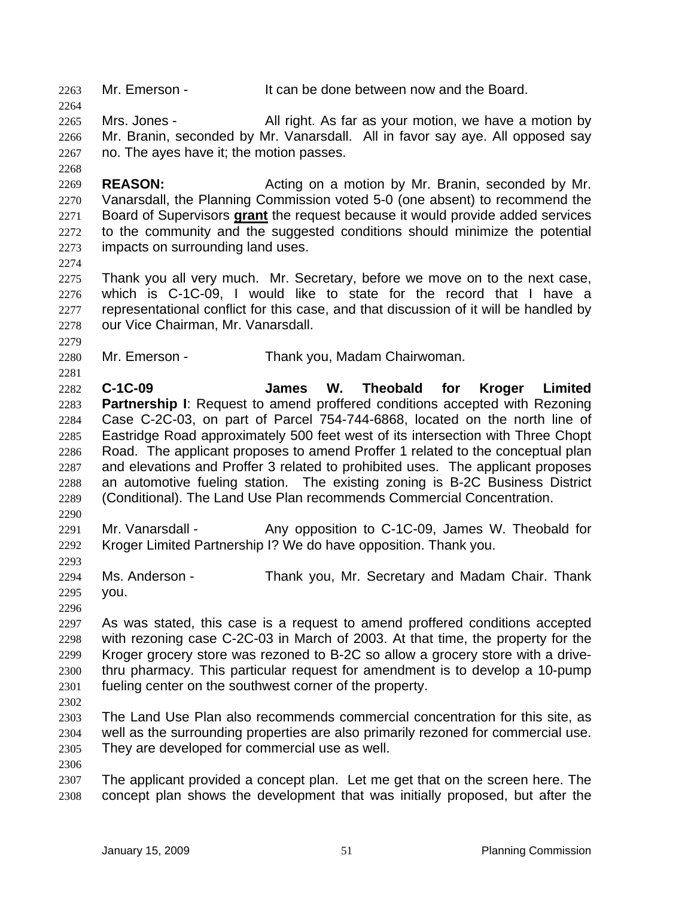2263 Mr. Emerson - It can be done between now and the Board.

2265 2266 2267 Mrs. Jones - All right. As far as your motion, we have a motion by Mr. Branin, seconded by Mr. Vanarsdall. All in favor say aye. All opposed say no. The ayes have it; the motion passes.

2269 2270 **REASON:** Acting on a motion by Mr. Branin, seconded by Mr. Vanarsdall, the Planning Commission voted 5-0 (one absent) to recommend the Board of Supervisors **grant** the request because it would provide added services to the community and the suggested conditions should minimize the potential impacts on surrounding land uses. 2271 2272 2273

2274

2279

2281

2264

2268

2275 2276 2277 2278 Thank you all very much. Mr. Secretary, before we move on to the next case, which is C-1C-09, I would like to state for the record that I have a representational conflict for this case, and that discussion of it will be handled by our Vice Chairman, Mr. Vanarsdall.

2280 Mr. Emerson - Thank you, Madam Chairwoman.

2282 2283 2284 2285 2286 2287 2288 2289 **C-1C-09 James W. Theobald for Kroger Limited Partnership I:** Request to amend proffered conditions accepted with Rezoning Case C-2C-03, on part of Parcel 754-744-6868, located on the north line of Eastridge Road approximately 500 feet west of its intersection with Three Chopt Road. The applicant proposes to amend Proffer 1 related to the conceptual plan and elevations and Proffer 3 related to prohibited uses. The applicant proposes an automotive fueling station. The existing zoning is B-2C Business District (Conditional). The Land Use Plan recommends Commercial Concentration.

2290

2293

2291 2292 Mr. Vanarsdall - Any opposition to C-1C-09, James W. Theobald for Kroger Limited Partnership I? We do have opposition. Thank you.

2294 2295 Ms. Anderson - Thank you, Mr. Secretary and Madam Chair. Thank you.

2296

2297 2298 2299 2300 2301 As was stated, this case is a request to amend proffered conditions accepted with rezoning case C-2C-03 in March of 2003. At that time, the property for the Kroger grocery store was rezoned to B-2C so allow a grocery store with a drivethru pharmacy. This particular request for amendment is to develop a 10-pump fueling center on the southwest corner of the property.

2302

2303 2304 2305 The Land Use Plan also recommends commercial concentration for this site, as well as the surrounding properties are also primarily rezoned for commercial use. They are developed for commercial use as well.

2306

2307 2308 The applicant provided a concept plan. Let me get that on the screen here. The concept plan shows the development that was initially proposed, but after the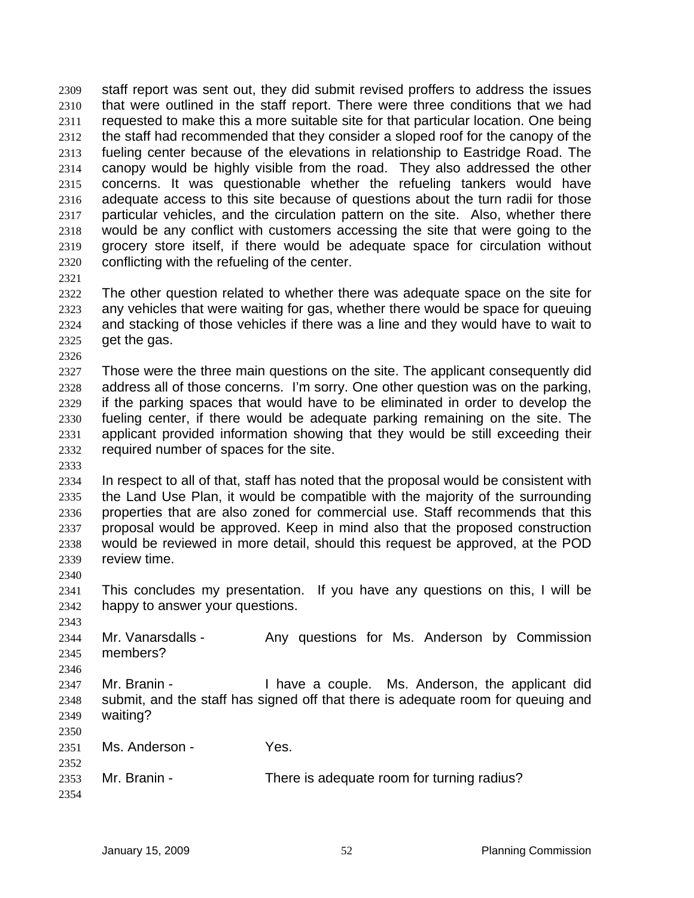staff report was sent out, they did submit revised proffers to address the issues that were outlined in the staff report. There were three conditions that we had requested to make this a more suitable site for that particular location. One being the staff had recommended that they consider a sloped roof for the canopy of the fueling center because of the elevations in relationship to Eastridge Road. The canopy would be highly visible from the road. They also addressed the other concerns. It was questionable whether the refueling tankers would have adequate access to this site because of questions about the turn radii for those particular vehicles, and the circulation pattern on the site. Also, whether there would be any conflict with customers accessing the site that were going to the grocery store itself, if there would be adequate space for circulation without conflicting with the refueling of the center. 2309 2310 2311 2312 2313 2314 2315 2316 2317 2318 2319 2320

2321

2322 2323 2324 2325 The other question related to whether there was adequate space on the site for any vehicles that were waiting for gas, whether there would be space for queuing and stacking of those vehicles if there was a line and they would have to wait to get the gas.

2326

2327 2328 2329 2330 2331 2332 Those were the three main questions on the site. The applicant consequently did address all of those concerns. I'm sorry. One other question was on the parking, if the parking spaces that would have to be eliminated in order to develop the fueling center, if there would be adequate parking remaining on the site. The applicant provided information showing that they would be still exceeding their required number of spaces for the site.

2333

2340

2343

2346

2350

2352

2334 2335 2336 2337 2338 2339 In respect to all of that, staff has noted that the proposal would be consistent with the Land Use Plan, it would be compatible with the majority of the surrounding properties that are also zoned for commercial use. Staff recommends that this proposal would be approved. Keep in mind also that the proposed construction would be reviewed in more detail, should this request be approved, at the POD review time.

2341 2342 This concludes my presentation. If you have any questions on this, I will be happy to answer your questions.

2344 2345 Mr. Vanarsdalls - Any questions for Ms. Anderson by Commission members?

2347 2348 2349 Mr. Branin - Thave a couple. Ms. Anderson, the applicant did submit, and the staff has signed off that there is adequate room for queuing and waiting?

- 2351 Ms. Anderson - Yes.
- 2353 2354 Mr. Branin - There is adequate room for turning radius?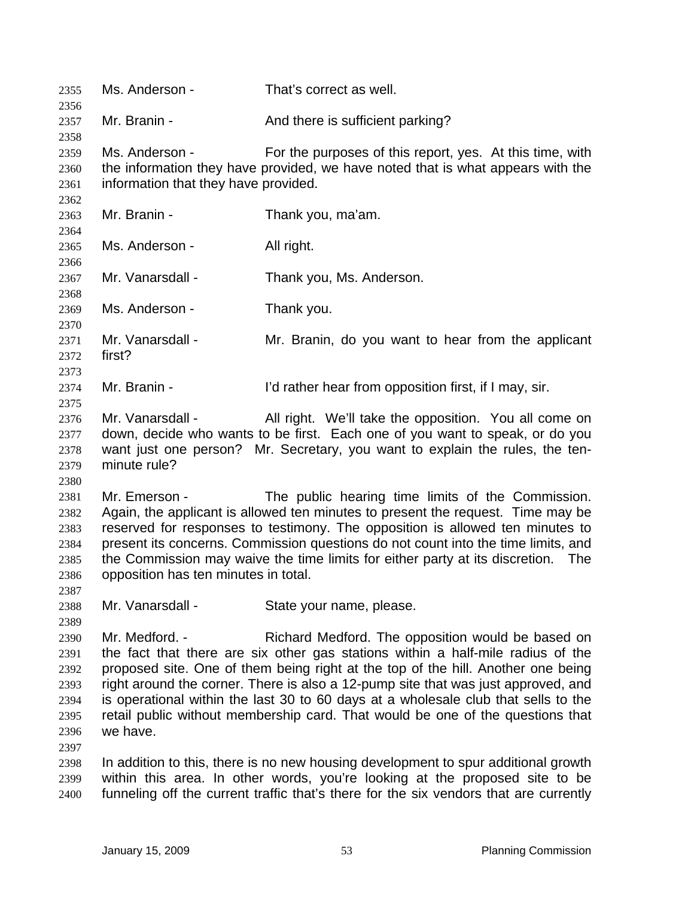| 2355<br>2356                                                         | Ms. Anderson -                                         | That's correct as well.                                                                                                                                                                                                                                                                                                                                                                                                                                                               |
|----------------------------------------------------------------------|--------------------------------------------------------|---------------------------------------------------------------------------------------------------------------------------------------------------------------------------------------------------------------------------------------------------------------------------------------------------------------------------------------------------------------------------------------------------------------------------------------------------------------------------------------|
| 2357<br>2358                                                         | Mr. Branin -                                           | And there is sufficient parking?                                                                                                                                                                                                                                                                                                                                                                                                                                                      |
| 2359<br>2360<br>2361<br>2362                                         | Ms. Anderson -<br>information that they have provided. | For the purposes of this report, yes. At this time, with<br>the information they have provided, we have noted that is what appears with the                                                                                                                                                                                                                                                                                                                                           |
| 2363<br>2364                                                         | Mr. Branin -                                           | Thank you, ma'am.                                                                                                                                                                                                                                                                                                                                                                                                                                                                     |
| 2365<br>2366                                                         | Ms. Anderson -                                         | All right.                                                                                                                                                                                                                                                                                                                                                                                                                                                                            |
| 2367<br>2368                                                         | Mr. Vanarsdall -                                       | Thank you, Ms. Anderson.                                                                                                                                                                                                                                                                                                                                                                                                                                                              |
| 2369<br>2370                                                         | Ms. Anderson -                                         | Thank you.                                                                                                                                                                                                                                                                                                                                                                                                                                                                            |
| 2371<br>2372<br>2373                                                 | Mr. Vanarsdall -<br>first?                             | Mr. Branin, do you want to hear from the applicant                                                                                                                                                                                                                                                                                                                                                                                                                                    |
| 2374<br>2375                                                         | Mr. Branin -                                           | I'd rather hear from opposition first, if I may, sir.                                                                                                                                                                                                                                                                                                                                                                                                                                 |
| 2376<br>2377<br>2378<br>2379<br>2380                                 | Mr. Vanarsdall -<br>minute rule?                       | All right. We'll take the opposition. You all come on<br>down, decide who wants to be first. Each one of you want to speak, or do you<br>want just one person? Mr. Secretary, you want to explain the rules, the ten-                                                                                                                                                                                                                                                                 |
| 2381<br>2382<br>2383<br>2384<br>2385<br>2386<br>2387                 | Mr. Emerson -<br>opposition has ten minutes in total.  | The public hearing time limits of the Commission.<br>Again, the applicant is allowed ten minutes to present the request. Time may be<br>reserved for responses to testimony. The opposition is allowed ten minutes to<br>present its concerns. Commission questions do not count into the time limits, and<br>the Commission may waive the time limits for either party at its discretion.<br>The                                                                                     |
| 2388                                                                 | Mr. Vanarsdall -                                       | State your name, please.                                                                                                                                                                                                                                                                                                                                                                                                                                                              |
| 2389<br>2390<br>2391<br>2392<br>2393<br>2394<br>2395<br>2396<br>2397 | Mr. Medford. -<br>we have.                             | Richard Medford. The opposition would be based on<br>the fact that there are six other gas stations within a half-mile radius of the<br>proposed site. One of them being right at the top of the hill. Another one being<br>right around the corner. There is also a 12-pump site that was just approved, and<br>is operational within the last 30 to 60 days at a wholesale club that sells to the<br>retail public without membership card. That would be one of the questions that |
| 2398<br>2399<br>2400                                                 |                                                        | In addition to this, there is no new housing development to spur additional growth<br>within this area. In other words, you're looking at the proposed site to be<br>funneling off the current traffic that's there for the six vendors that are currently                                                                                                                                                                                                                            |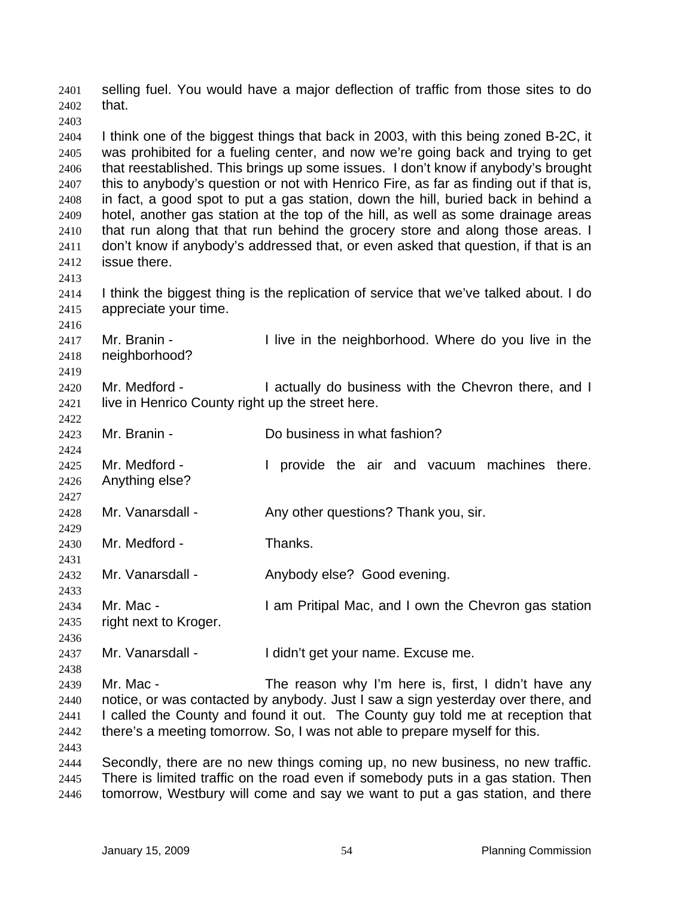selling fuel. You would have a major deflection of traffic from those sites to do that. 2401 2402 2403 2404 2405 2406 2407 2408 2409 2410 2411 2412 2413 2414 2415 2416 2417 2418 2419 2420 2421 2422 2423 2424 2425 2426 2427 2428 2429 2430 2431 2432 2433 2434 2435 2436 2437 2438 2439 2440 2441 2442 2443 2444 2445 2446 I think one of the biggest things that back in 2003, with this being zoned B-2C, it was prohibited for a fueling center, and now we're going back and trying to get that reestablished. This brings up some issues. I don't know if anybody's brought this to anybody's question or not with Henrico Fire, as far as finding out if that is, in fact, a good spot to put a gas station, down the hill, buried back in behind a hotel, another gas station at the top of the hill, as well as some drainage areas that run along that that run behind the grocery store and along those areas. I don't know if anybody's addressed that, or even asked that question, if that is an issue there. I think the biggest thing is the replication of service that we've talked about. I do appreciate your time. Mr. Branin - The in the neighborhood. Where do you live in the neighborhood? Mr. Medford - The actually do business with the Chevron there, and I live in Henrico County right up the street here. Mr. Branin - The Collection Collection Collection and Mr. Branin - The Do business in what fashion? Mr. Medford - I provide the air and vacuum machines there. Anything else? Mr. Vanarsdall - Any other questions? Thank you, sir. Mr. Medford - Thanks. Mr. Vanarsdall - Anybody else? Good evening. Mr. Mac - I am Pritipal Mac, and I own the Chevron gas station right next to Kroger. Mr. Vanarsdall - I didn't get your name. Excuse me. Mr. Mac - The reason why I'm here is, first, I didn't have any notice, or was contacted by anybody. Just I saw a sign yesterday over there, and I called the County and found it out. The County guy told me at reception that there's a meeting tomorrow. So, I was not able to prepare myself for this. Secondly, there are no new things coming up, no new business, no new traffic. There is limited traffic on the road even if somebody puts in a gas station. Then tomorrow, Westbury will come and say we want to put a gas station, and there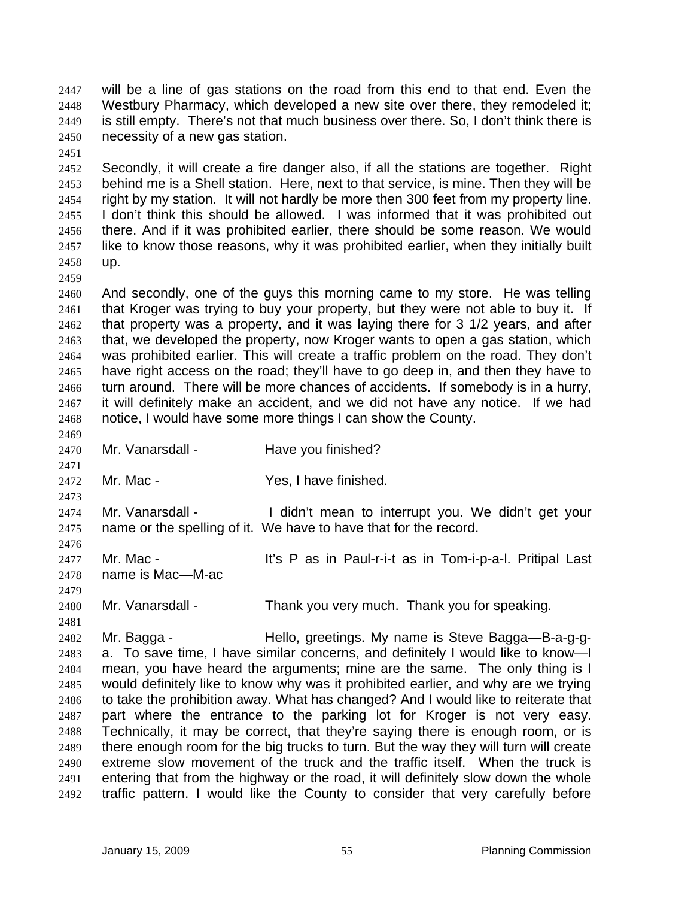will be a line of gas stations on the road from this end to that end. Even the Westbury Pharmacy, which developed a new site over there, they remodeled it; is still empty. There's not that much business over there. So, I don't think there is necessity of a new gas station. 2447 2448 2449 2450

2452 2453 2454 2455 2456 2457 2458 Secondly, it will create a fire danger also, if all the stations are together. Right behind me is a Shell station. Here, next to that service, is mine. Then they will be right by my station. It will not hardly be more then 300 feet from my property line. I don't think this should be allowed. I was informed that it was prohibited out there. And if it was prohibited earlier, there should be some reason. We would like to know those reasons, why it was prohibited earlier, when they initially built up.

2459

2469

2471

2473

2479

2481

2451

2460 2461 2462 2463 2464 2465 2466 2467 2468 And secondly, one of the guys this morning came to my store. He was telling that Kroger was trying to buy your property, but they were not able to buy it. If that property was a property, and it was laying there for 3 1/2 years, and after that, we developed the property, now Kroger wants to open a gas station, which was prohibited earlier. This will create a traffic problem on the road. They don't have right access on the road; they'll have to go deep in, and then they have to turn around. There will be more chances of accidents. If somebody is in a hurry, it will definitely make an accident, and we did not have any notice. If we had notice, I would have some more things I can show the County.

- 2470 Mr. Vanarsdall - Have you finished?
- 2472 Mr. Mac - Yes, I have finished.

2474 2475 2476 Mr. Vanarsdall - The didn't mean to interrupt you. We didn't get your name or the spelling of it. We have to have that for the record.

2477 2478 Mr. Mac - The Mullium of the Sea in Paul-r-i-t as in Tom-i-p-a-l. Pritipal Last name is Mac—M-ac

2480 Mr. Vanarsdall - Thank you very much. Thank you for speaking.

2482 2483 2484 2485 2486 2487 2488 2489 2490 2491 2492 Mr. Bagga - Hello, greetings. My name is Steve Bagga—B-a-g-ga. To save time, I have similar concerns, and definitely I would like to know—I mean, you have heard the arguments; mine are the same. The only thing is I would definitely like to know why was it prohibited earlier, and why are we trying to take the prohibition away. What has changed? And I would like to reiterate that part where the entrance to the parking lot for Kroger is not very easy. Technically, it may be correct, that they're saying there is enough room, or is there enough room for the big trucks to turn. But the way they will turn will create extreme slow movement of the truck and the traffic itself. When the truck is entering that from the highway or the road, it will definitely slow down the whole traffic pattern. I would like the County to consider that very carefully before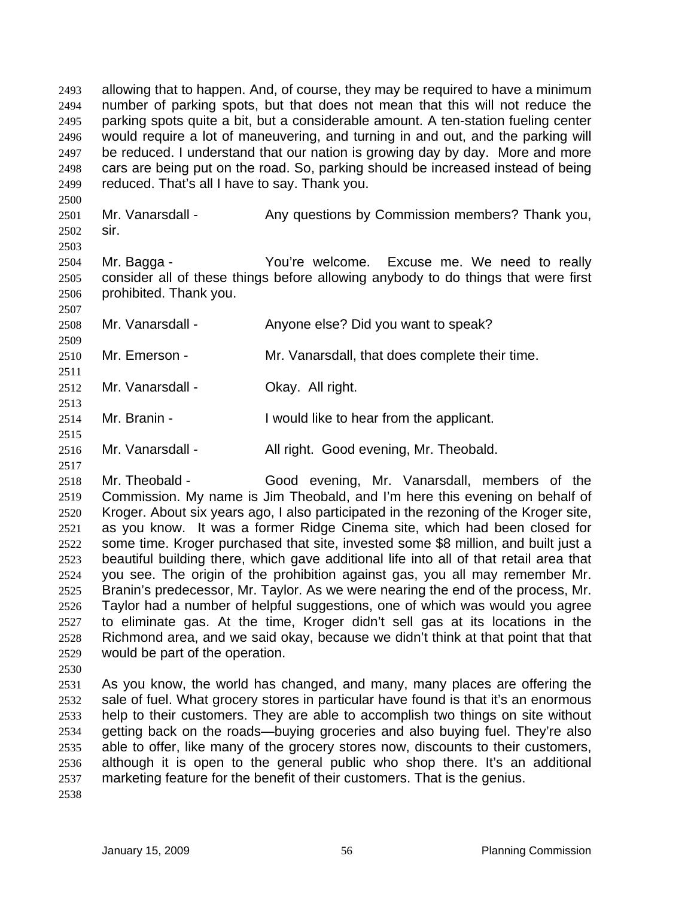allowing that to happen. And, of course, they may be required to have a minimum number of parking spots, but that does not mean that this will not reduce the parking spots quite a bit, but a considerable amount. A ten-station fueling center would require a lot of maneuvering, and turning in and out, and the parking will be reduced. I understand that our nation is growing day by day. More and more cars are being put on the road. So, parking should be increased instead of being reduced. That's all I have to say. Thank you. 2493 2494 2495 2496 2497 2498 2499

2501 2502 Mr. Vanarsdall - Any questions by Commission members? Thank you, sir.

2503

2509

2511

2513

2515

2517

2500

2504 2505 2506 2507 Mr. Bagga - You're welcome. Excuse me. We need to really consider all of these things before allowing anybody to do things that were first prohibited. Thank you.

- 2508 Mr. Vanarsdall - Anyone else? Did you want to speak?
- 2510 Mr. Emerson - Mr. Vanarsdall, that does complete their time.
- 2512 Mr. Vanarsdall - **Okay. All right.**
- 2514 Mr. Branin - Twould like to hear from the applicant.
- 2516 Mr. Vanarsdall - All right. Good evening, Mr. Theobald.

2518 2519 2520 2521 2522 2523 2524 2525 2526 2527 2528 2529 Mr. Theobald - Good evening, Mr. Vanarsdall, members of the Commission. My name is Jim Theobald, and I'm here this evening on behalf of Kroger. About six years ago, I also participated in the rezoning of the Kroger site, as you know. It was a former Ridge Cinema site, which had been closed for some time. Kroger purchased that site, invested some \$8 million, and built just a beautiful building there, which gave additional life into all of that retail area that you see. The origin of the prohibition against gas, you all may remember Mr. Branin's predecessor, Mr. Taylor. As we were nearing the end of the process, Mr. Taylor had a number of helpful suggestions, one of which was would you agree to eliminate gas. At the time, Kroger didn't sell gas at its locations in the Richmond area, and we said okay, because we didn't think at that point that that would be part of the operation.

2530

2531 2532 2533 2534 2535 2536 2537 As you know, the world has changed, and many, many places are offering the sale of fuel. What grocery stores in particular have found is that it's an enormous help to their customers. They are able to accomplish two things on site without getting back on the roads—buying groceries and also buying fuel. They're also able to offer, like many of the grocery stores now, discounts to their customers, although it is open to the general public who shop there. It's an additional marketing feature for the benefit of their customers. That is the genius.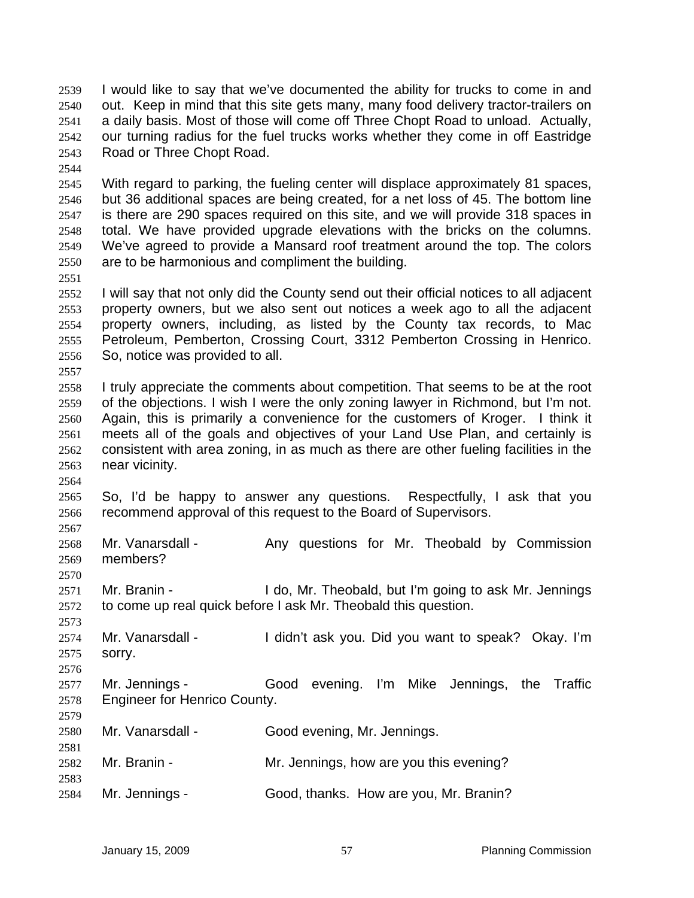I would like to say that we've documented the ability for trucks to come in and out. Keep in mind that this site gets many, many food delivery tractor-trailers on a daily basis. Most of those will come off Three Chopt Road to unload. Actually, our turning radius for the fuel trucks works whether they come in off Eastridge Road or Three Chopt Road. 2539 2540 2541 2542 2543

2544

2551

2557

2564

2567

2570

2576

2579

2581

2583

2545 2546 2547 2548 2549 2550 With regard to parking, the fueling center will displace approximately 81 spaces, but 36 additional spaces are being created, for a net loss of 45. The bottom line is there are 290 spaces required on this site, and we will provide 318 spaces in total. We have provided upgrade elevations with the bricks on the columns. We've agreed to provide a Mansard roof treatment around the top. The colors are to be harmonious and compliment the building.

- 2552 2553 2554 2555 2556 I will say that not only did the County send out their official notices to all adjacent property owners, but we also sent out notices a week ago to all the adjacent property owners, including, as listed by the County tax records, to Mac Petroleum, Pemberton, Crossing Court, 3312 Pemberton Crossing in Henrico. So, notice was provided to all.
- 2558 2559 2560 2561 2562 2563 I truly appreciate the comments about competition. That seems to be at the root of the objections. I wish I were the only zoning lawyer in Richmond, but I'm not. Again, this is primarily a convenience for the customers of Kroger. I think it meets all of the goals and objectives of your Land Use Plan, and certainly is consistent with area zoning, in as much as there are other fueling facilities in the near vicinity.
- 2565 2566 So, I'd be happy to answer any questions. Respectfully, I ask that you recommend approval of this request to the Board of Supervisors.
- 2568 2569 Mr. Vanarsdall - Any questions for Mr. Theobald by Commission members?
- 2571 2572 Mr. Branin - Theobald, but I'm going to ask Mr. Jennings to come up real quick before I ask Mr. Theobald this question.
- 2573 2574 2575 Mr. Vanarsdall - The I didn't ask you. Did you want to speak? Okay. I'm sorry.
- 2577 2578 Mr. Jennings - Good evening. I'm Mike Jennings, the Traffic Engineer for Henrico County.
- 2580 Mr. Vanarsdall - Good evening, Mr. Jennings.
- 2582 Mr. Branin - The Mr. Jennings, how are you this evening?
- 2584 Mr. Jennings - Good, thanks. How are you, Mr. Branin?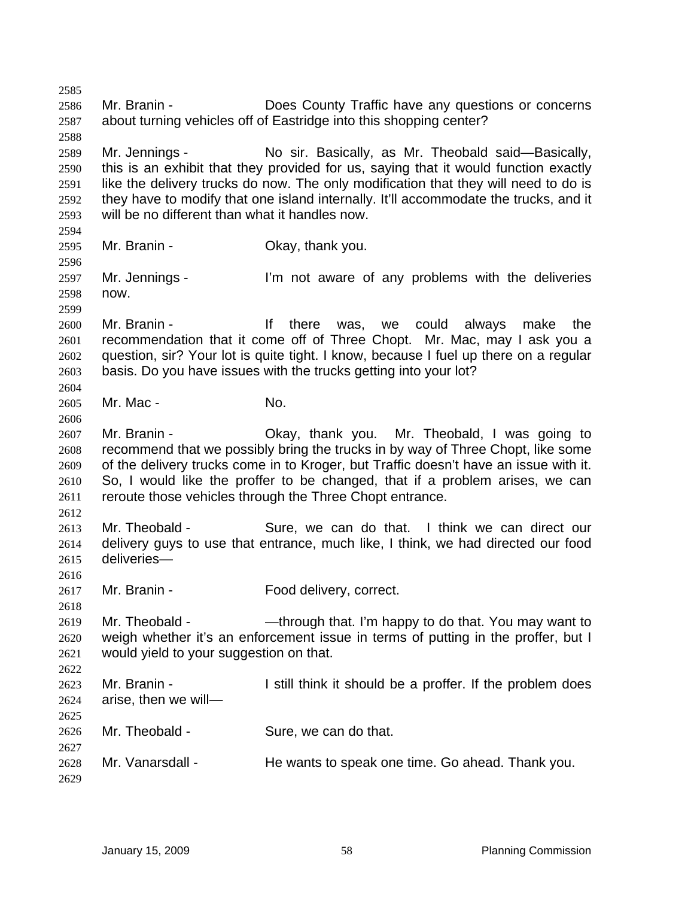2585 2586 2587 2588 2589 2590 2591 2592 2593 2594 2595 2596 2597 2598 2599 2600 2601 2602 2603 2604 2605 2606 2607 2608 2609 2610 2611 2612 2613 2614 2615 2616 2617 2618 2619 2620 2621 2622 2623 2624 2625 2626 2627 2628 2629 Mr. Branin - **Does County Traffic have any questions or concerns** about turning vehicles off of Eastridge into this shopping center? Mr. Jennings - No sir. Basically, as Mr. Theobald said-Basically, this is an exhibit that they provided for us, saying that it would function exactly like the delivery trucks do now. The only modification that they will need to do is they have to modify that one island internally. It'll accommodate the trucks, and it will be no different than what it handles now. Mr. Branin - Ckay, thank you. Mr. Jennings - I'm not aware of any problems with the deliveries now. Mr. Branin - There was, we could always make the recommendation that it come off of Three Chopt. Mr. Mac, may I ask you a question, sir? Your lot is quite tight. I know, because I fuel up there on a regular basis. Do you have issues with the trucks getting into your lot? Mr. Mac - No. Mr. Branin - Okay, thank you. Mr. Theobald, I was going to recommend that we possibly bring the trucks in by way of Three Chopt, like some of the delivery trucks come in to Kroger, but Traffic doesn't have an issue with it. So, I would like the proffer to be changed, that if a problem arises, we can reroute those vehicles through the Three Chopt entrance. Mr. Theobald - Sure, we can do that. I think we can direct our delivery guys to use that entrance, much like, I think, we had directed our food deliveries— Mr. Branin - Food delivery, correct. Mr. Theobald - — —through that. I'm happy to do that. You may want to weigh whether it's an enforcement issue in terms of putting in the proffer, but I would yield to your suggestion on that. Mr. Branin - The still think it should be a proffer. If the problem does arise, then we will— Mr. Theobald - Sure, we can do that. Mr. Vanarsdall - He wants to speak one time. Go ahead. Thank you.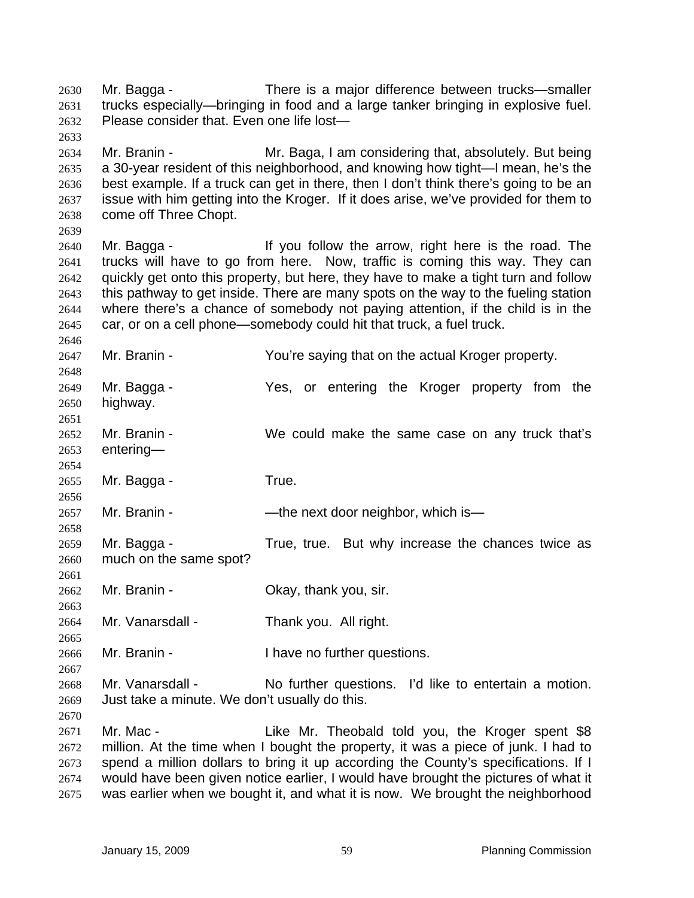Mr. Bagga - There is a major difference between trucks—smaller trucks especially—bringing in food and a large tanker bringing in explosive fuel. Please consider that. Even one life lost— 2630 2631 2632 2633 2634 2635 2636 2637 2638 2639 2640 2641 2642 2643 2644 2645 2646 2647 2648 2649 2650 2651 2652 2653 2654 2655 2656 2657 2658 2659 2660 2661 2662 2663 2664 2665 2666 2667 2668 2669 2670 2671 2672 2673 2674 2675 Mr. Branin - Mr. Baga, I am considering that, absolutely. But being a 30-year resident of this neighborhood, and knowing how tight—I mean, he's the best example. If a truck can get in there, then I don't think there's going to be an issue with him getting into the Kroger. If it does arise, we've provided for them to come off Three Chopt. Mr. Bagga - The Mr ou follow the arrow, right here is the road. The trucks will have to go from here. Now, traffic is coming this way. They can quickly get onto this property, but here, they have to make a tight turn and follow this pathway to get inside. There are many spots on the way to the fueling station where there's a chance of somebody not paying attention, if the child is in the car, or on a cell phone—somebody could hit that truck, a fuel truck. Mr. Branin - The You're saying that on the actual Kroger property. Mr. Bagga - Yes, or entering the Kroger property from the highway. Mr. Branin - We could make the same case on any truck that's entering— Mr. Bagga - True. Mr. Branin - — — — — the next door neighbor, which is Mr. Bagga - True, true. But why increase the chances twice as much on the same spot? Mr. Branin - Ckay, thank you, sir. Mr. Vanarsdall - Thank you. All right. Mr. Branin - Thave no further questions. Mr. Vanarsdall - No further questions. I'd like to entertain a motion. Just take a minute. We don't usually do this. Mr. Mac - The Like Mr. Theobald told you, the Kroger spent \$8 million. At the time when I bought the property, it was a piece of junk. I had to spend a million dollars to bring it up according the County's specifications. If I would have been given notice earlier, I would have brought the pictures of what it was earlier when we bought it, and what it is now. We brought the neighborhood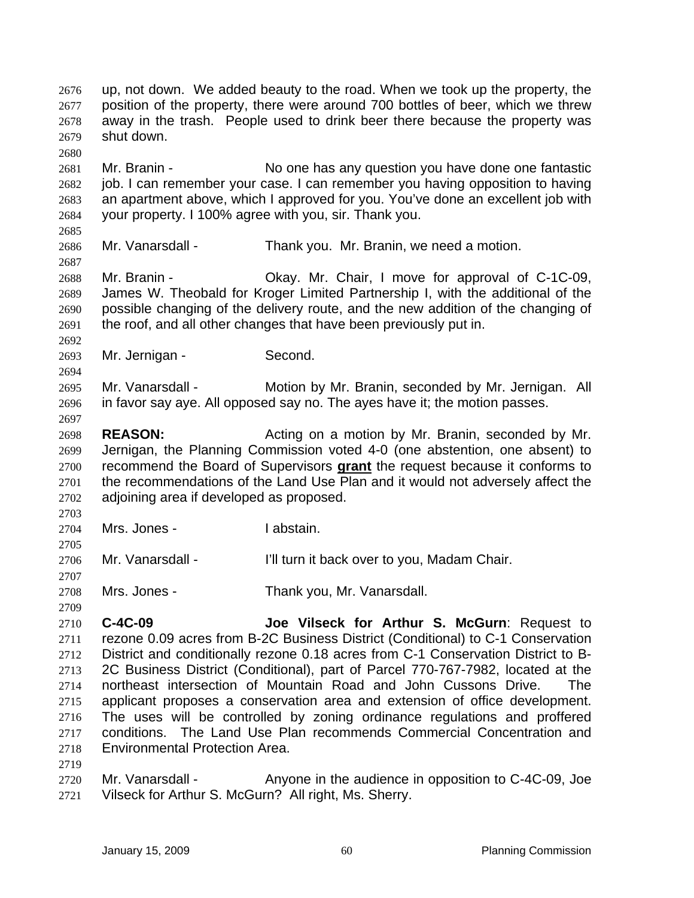up, not down. We added beauty to the road. When we took up the property, the position of the property, there were around 700 bottles of beer, which we threw away in the trash. People used to drink beer there because the property was shut down. 2676 2677 2678 2679 2680 2681 2682 2683 2684 2685 2686 2687 2688 2689 2690 2691 2692 2693 2694 2695 2696 2697 2698 2699 Mr. Branin - No one has any question you have done one fantastic job. I can remember your case. I can remember you having opposition to having an apartment above, which I approved for you. You've done an excellent job with your property. I 100% agree with you, sir. Thank you. Mr. Vanarsdall - Thank you. Mr. Branin, we need a motion. Mr. Branin - Okay. Mr. Chair, I move for approval of C-1C-09, James W. Theobald for Kroger Limited Partnership I, with the additional of the possible changing of the delivery route, and the new addition of the changing of the roof, and all other changes that have been previously put in. Mr. Jernigan - Second. Mr. Vanarsdall - Motion by Mr. Branin, seconded by Mr. Jernigan. All in favor say aye. All opposed say no. The ayes have it; the motion passes. **REASON:** Acting on a motion by Mr. Branin, seconded by Mr. Jernigan, the Planning Commission voted 4-0 (one abstention, one absent) to recommend the Board of Supervisors **grant** the request because it conforms to the recommendations of the Land Use Plan and it would not adversely affect the adjoining area if developed as proposed. 2700 2701 2702 2703 2704 2705 2706 2707 2708 2709 2710 2711 2712 2713 2714 2715 2716 2717 Mrs. Jones - The Instain. Mr. Vanarsdall - I'll turn it back over to you, Madam Chair. Mrs. Jones - Thank you, Mr. Vanarsdall. **C-4C-09 Joe Vilseck for Arthur S. McGurn**: Request to rezone 0.09 acres from B-2C Business District (Conditional) to C-1 Conservation District and conditionally rezone 0.18 acres from C-1 Conservation District to B-2C Business District (Conditional), part of Parcel 770-767-7982, located at the northeast intersection of Mountain Road and John Cussons Drive. applicant proposes a conservation area and extension of office development. The uses will be controlled by zoning ordinance regulations and proffered conditions. The Land Use Plan recommends Commercial Concentration and

- 2718 Environmental Protection Area.
- 2719
- 2720 2721 Mr. Vanarsdall - Anyone in the audience in opposition to C-4C-09, Joe Vilseck for Arthur S. McGurn? All right, Ms. Sherry.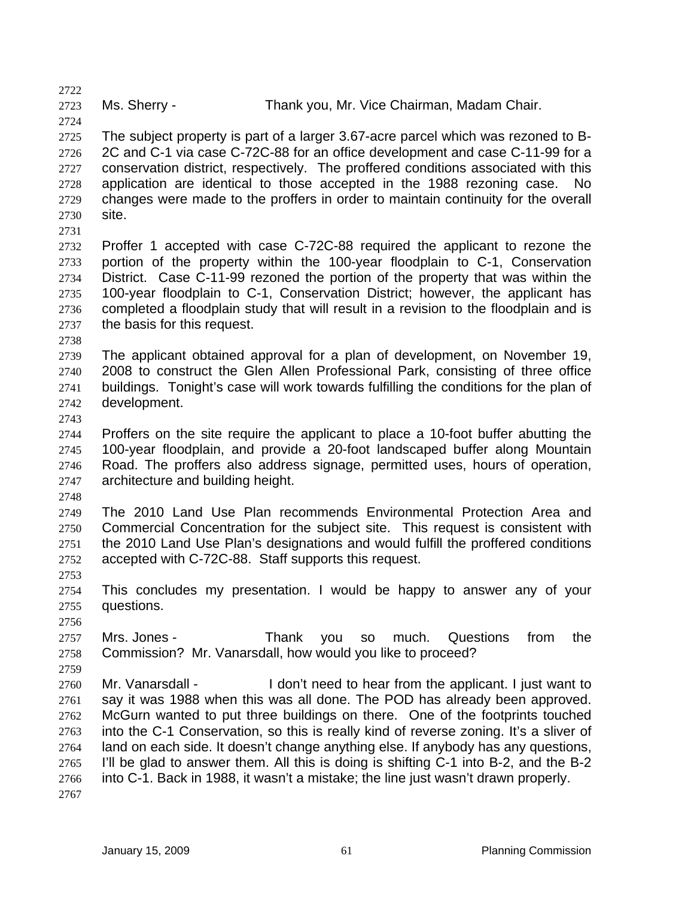2723

Ms. Sherry - Thank you, Mr. Vice Chairman, Madam Chair.

2725 2726 2727 2728 2729 2730 The subject property is part of a larger 3.67-acre parcel which was rezoned to B-2C and C-1 via case C-72C-88 for an office development and case C-11-99 for a conservation district, respectively. The proffered conditions associated with this application are identical to those accepted in the 1988 rezoning case. No changes were made to the proffers in order to maintain continuity for the overall site.

2731

2722

2724

2732 2733 2734 2735 2736 2737 Proffer 1 accepted with case C-72C-88 required the applicant to rezone the portion of the property within the 100-year floodplain to C-1, Conservation District. Case C-11-99 rezoned the portion of the property that was within the 100-year floodplain to C-1, Conservation District; however, the applicant has completed a floodplain study that will result in a revision to the floodplain and is the basis for this request.

2738

2739 2740 2741 2742 The applicant obtained approval for a plan of development, on November 19, 2008 to construct the Glen Allen Professional Park, consisting of three office buildings. Tonight's case will work towards fulfilling the conditions for the plan of development.

2743

2744 2745 2746 2747 Proffers on the site require the applicant to place a 10-foot buffer abutting the 100-year floodplain, and provide a 20-foot landscaped buffer along Mountain Road. The proffers also address signage, permitted uses, hours of operation, architecture and building height.

2748

2749 2750 2751 2752 The 2010 Land Use Plan recommends Environmental Protection Area and Commercial Concentration for the subject site. This request is consistent with the 2010 Land Use Plan's designations and would fulfill the proffered conditions accepted with C-72C-88. Staff supports this request.

2754 2755 This concludes my presentation. I would be happy to answer any of your questions.

2756

2759

2753

2757 2758 Mrs. Jones - Thank you so much. Questions from the Commission? Mr. Vanarsdall, how would you like to proceed?

2760 2761 2762 2763 2764 2765 2766 2767 Mr. Vanarsdall - I don't need to hear from the applicant. I just want to say it was 1988 when this was all done. The POD has already been approved. McGurn wanted to put three buildings on there. One of the footprints touched into the C-1 Conservation, so this is really kind of reverse zoning. It's a sliver of land on each side. It doesn't change anything else. If anybody has any questions, I'll be glad to answer them. All this is doing is shifting C-1 into B-2, and the B-2 into C-1. Back in 1988, it wasn't a mistake; the line just wasn't drawn properly.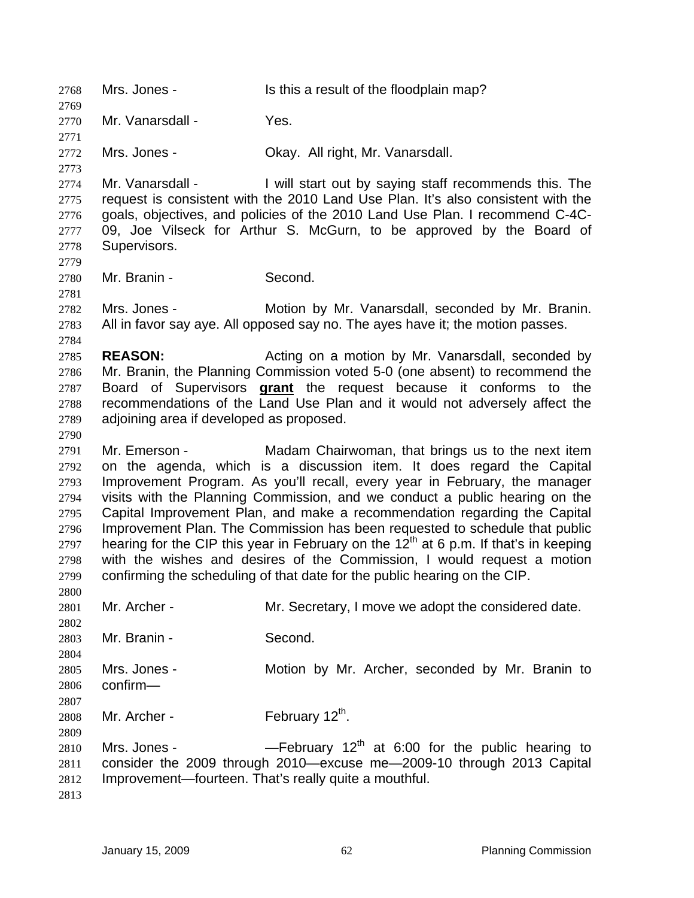2768 Mrs. Jones - Is this a result of the floodplain map? 2769 2770 2771 2772 2773 2774 2775 2776 2777 2778 2779 2780 2781 2782 2783 2784 2785 2786 Mr. Vanarsdall - Yes. Mrs. Jones - Okay. All right, Mr. Vanarsdall. Mr. Vanarsdall - I will start out by saying staff recommends this. The request is consistent with the 2010 Land Use Plan. It's also consistent with the goals, objectives, and policies of the 2010 Land Use Plan. I recommend C-4C-09, Joe Vilseck for Arthur S. McGurn, to be approved by the Board of Supervisors. Mr. Branin - Second. Mrs. Jones - Motion by Mr. Vanarsdall, seconded by Mr. Branin. All in favor say aye. All opposed say no. The ayes have it; the motion passes. **REASON:** Acting on a motion by Mr. Vanarsdall, seconded by Mr. Branin, the Planning Commission voted 5-0 (one absent) to recommend the Board of Supervisors **grant** the request because it conforms to the recommendations of the Land Use Plan and it would not adversely affect the adjoining area if developed as proposed. 2787 2788 2789 2790 2791 2792 2793 2794 2795 2796 2797 2798 2799 2800 2801 2802 2803 2804 2805 2806 2807 2808 2809 2810 2811 2812 2813 Mr. Emerson - The Madam Chairwoman, that brings us to the next item on the agenda, which is a discussion item. It does regard the Capital Improvement Program. As you'll recall, every year in February, the manager visits with the Planning Commission, and we conduct a public hearing on the Capital Improvement Plan, and make a recommendation regarding the Capital Improvement Plan. The Commission has been requested to schedule that public hearing for the CIP this year in February on the  $12<sup>th</sup>$  at 6 p.m. If that's in keeping with the wishes and desires of the Commission, I would request a motion confirming the scheduling of that date for the public hearing on the CIP. Mr. Archer - Mr. Secretary, I move we adopt the considered date. Mr. Branin - Second. Mrs. Jones - **Motion by Mr. Archer, seconded by Mr. Branin to** confirm— Mr. Archer - February  $12^{th}$ . Mrs. Jones -  $-$  February 12<sup>th</sup> at 6:00 for the public hearing to consider the 2009 through 2010—excuse me—2009-10 through 2013 Capital Improvement—fourteen. That's really quite a mouthful.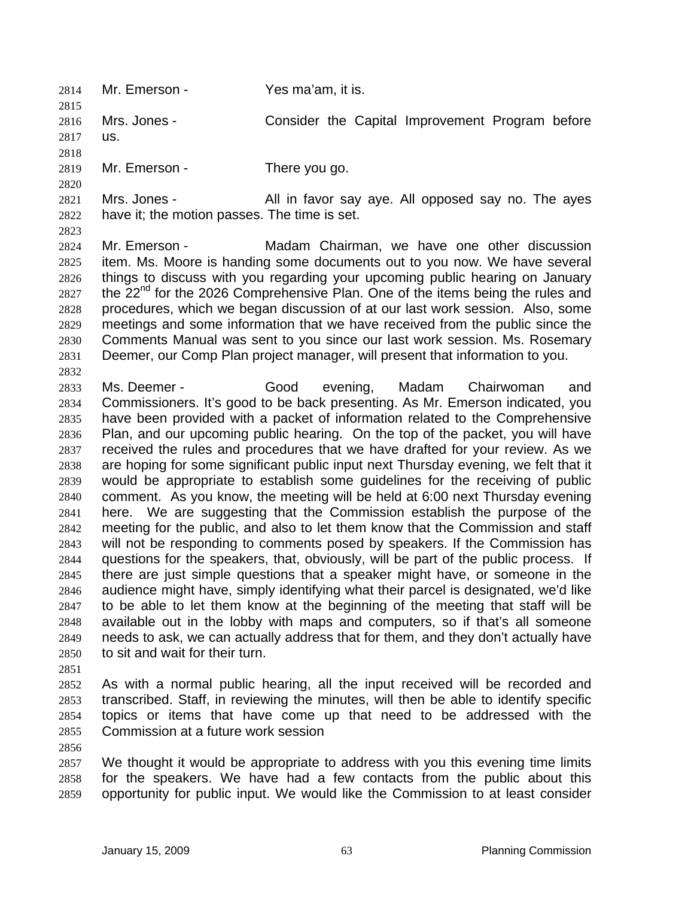2814 Mr. Emerson - Yes ma'am, it is. 2815

2816 2817 Mrs. Jones - Consider the Capital Improvement Program before us.

2818

2820

2819 Mr. Emerson - There you go.

2821 2822 Mrs. Jones - The All in favor say aye. All opposed say no. The ayes have it; the motion passes. The time is set.

2823

2832

2824 2825 2826 2827 2828 2829 2830 2831 Mr. Emerson - Madam Chairman, we have one other discussion item. Ms. Moore is handing some documents out to you now. We have several things to discuss with you regarding your upcoming public hearing on January the  $22<sup>nd</sup>$  for the 2026 Comprehensive Plan. One of the items being the rules and procedures, which we began discussion of at our last work session. Also, some meetings and some information that we have received from the public since the Comments Manual was sent to you since our last work session. Ms. Rosemary Deemer, our Comp Plan project manager, will present that information to you.

2833 2834 2835 2836 2837 2838 2839 2840 2841 2842 2843 2844 2845 2846 2847 2848 2849 2850 Ms. Deemer - Good evening, Madam Chairwoman and Commissioners. It's good to be back presenting. As Mr. Emerson indicated, you have been provided with a packet of information related to the Comprehensive Plan, and our upcoming public hearing. On the top of the packet, you will have received the rules and procedures that we have drafted for your review. As we are hoping for some significant public input next Thursday evening, we felt that it would be appropriate to establish some guidelines for the receiving of public comment. As you know, the meeting will be held at 6:00 next Thursday evening here. We are suggesting that the Commission establish the purpose of the meeting for the public, and also to let them know that the Commission and staff will not be responding to comments posed by speakers. If the Commission has questions for the speakers, that, obviously, will be part of the public process. If there are just simple questions that a speaker might have, or someone in the audience might have, simply identifying what their parcel is designated, we'd like to be able to let them know at the beginning of the meeting that staff will be available out in the lobby with maps and computers, so if that's all someone needs to ask, we can actually address that for them, and they don't actually have to sit and wait for their turn.

2851

2852 2853 2854 2855 As with a normal public hearing, all the input received will be recorded and transcribed. Staff, in reviewing the minutes, will then be able to identify specific topics or items that have come up that need to be addressed with the Commission at a future work session

2856

2857 2858 2859 We thought it would be appropriate to address with you this evening time limits for the speakers. We have had a few contacts from the public about this opportunity for public input. We would like the Commission to at least consider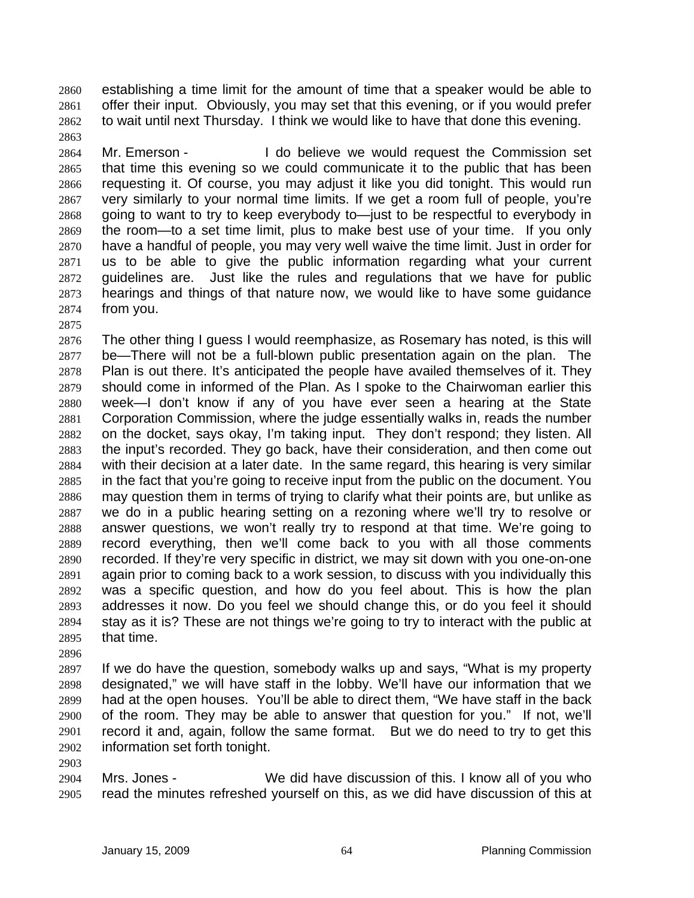establishing a time limit for the amount of time that a speaker would be able to offer their input. Obviously, you may set that this evening, or if you would prefer to wait until next Thursday. I think we would like to have that done this evening. 2860 2861 2862

2864 2865 2866 2867 2868 2869 2870 2871 2872 2873 2874 Mr. Emerson - The Discollet do believe we would request the Commission set that time this evening so we could communicate it to the public that has been requesting it. Of course, you may adjust it like you did tonight. This would run very similarly to your normal time limits. If we get a room full of people, you're going to want to try to keep everybody to—just to be respectful to everybody in the room—to a set time limit, plus to make best use of your time. If you only have a handful of people, you may very well waive the time limit. Just in order for us to be able to give the public information regarding what your current guidelines are. Just like the rules and regulations that we have for public hearings and things of that nature now, we would like to have some guidance from you.

2875

2863

2876 2877 2878 2879 2880 2881 2882 2883 2884 2885 2886 2887 2888 2889 2890 2891 2892 2893 2894 2895 The other thing I guess I would reemphasize, as Rosemary has noted, is this will be—There will not be a full-blown public presentation again on the plan. The Plan is out there. It's anticipated the people have availed themselves of it. They should come in informed of the Plan. As I spoke to the Chairwoman earlier this week—I don't know if any of you have ever seen a hearing at the State Corporation Commission, where the judge essentially walks in, reads the number on the docket, says okay, I'm taking input. They don't respond; they listen. All the input's recorded. They go back, have their consideration, and then come out with their decision at a later date. In the same regard, this hearing is very similar in the fact that you're going to receive input from the public on the document. You may question them in terms of trying to clarify what their points are, but unlike as we do in a public hearing setting on a rezoning where we'll try to resolve or answer questions, we won't really try to respond at that time. We're going to record everything, then we'll come back to you with all those comments recorded. If they're very specific in district, we may sit down with you one-on-one again prior to coming back to a work session, to discuss with you individually this was a specific question, and how do you feel about. This is how the plan addresses it now. Do you feel we should change this, or do you feel it should stay as it is? These are not things we're going to try to interact with the public at that time.

2896

2903

2897 2898 2899 2900 2901 2902 If we do have the question, somebody walks up and says, "What is my property designated," we will have staff in the lobby. We'll have our information that we had at the open houses. You'll be able to direct them, "We have staff in the back of the room. They may be able to answer that question for you." If not, we'll record it and, again, follow the same format. But we do need to try to get this information set forth tonight.

2904 2905 Mrs. Jones - We did have discussion of this. I know all of you who read the minutes refreshed yourself on this, as we did have discussion of this at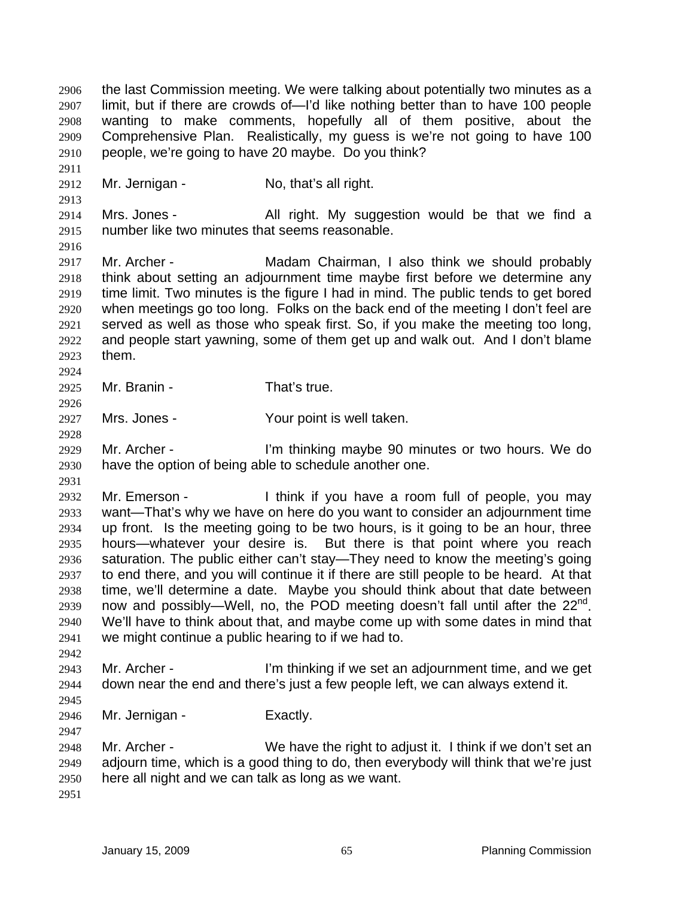the last Commission meeting. We were talking about potentially two minutes as a limit, but if there are crowds of—I'd like nothing better than to have 100 people wanting to make comments, hopefully all of them positive, about the Comprehensive Plan. Realistically, my guess is we're not going to have 100 people, we're going to have 20 maybe. Do you think? 2906 2907 2908 2909 2910 2911 2912 2913 2914 2915 2916 2917 2918 2919 2920 2921 2922 2923 2924 2925 2926 2927 2928 2929 2930 2931 2932 2933 2934 2935 2936 2937 2938 2939 2940 2941 2942 2943 2944 2945 2946 2947 2948 2949 2950 2951 Mr. Jernigan - No, that's all right. Mrs. Jones - All right. My suggestion would be that we find a number like two minutes that seems reasonable. Mr. Archer - Madam Chairman, I also think we should probably think about setting an adjournment time maybe first before we determine any time limit. Two minutes is the figure I had in mind. The public tends to get bored when meetings go too long. Folks on the back end of the meeting I don't feel are served as well as those who speak first. So, if you make the meeting too long, and people start yawning, some of them get up and walk out. And I don't blame them. Mr. Branin - That's true. Mrs. Jones - Your point is well taken. Mr. Archer - The Text I'm thinking maybe 90 minutes or two hours. We do have the option of being able to schedule another one. Mr. Emerson - I think if you have a room full of people, you may want—That's why we have on here do you want to consider an adjournment time up front. Is the meeting going to be two hours, is it going to be an hour, three hours—whatever your desire is. But there is that point where you reach saturation. The public either can't stay—They need to know the meeting's going to end there, and you will continue it if there are still people to be heard. At that time, we'll determine a date. Maybe you should think about that date between now and possibly—Well, no, the POD meeting doesn't fall until after the 22<sup>nd</sup>. We'll have to think about that, and maybe come up with some dates in mind that we might continue a public hearing to if we had to. Mr. Archer - I'm thinking if we set an adjournment time, and we get down near the end and there's just a few people left, we can always extend it. Mr. Jernigan - Exactly. Mr. Archer - We have the right to adjust it. I think if we don't set an adjourn time, which is a good thing to do, then everybody will think that we're just here all night and we can talk as long as we want.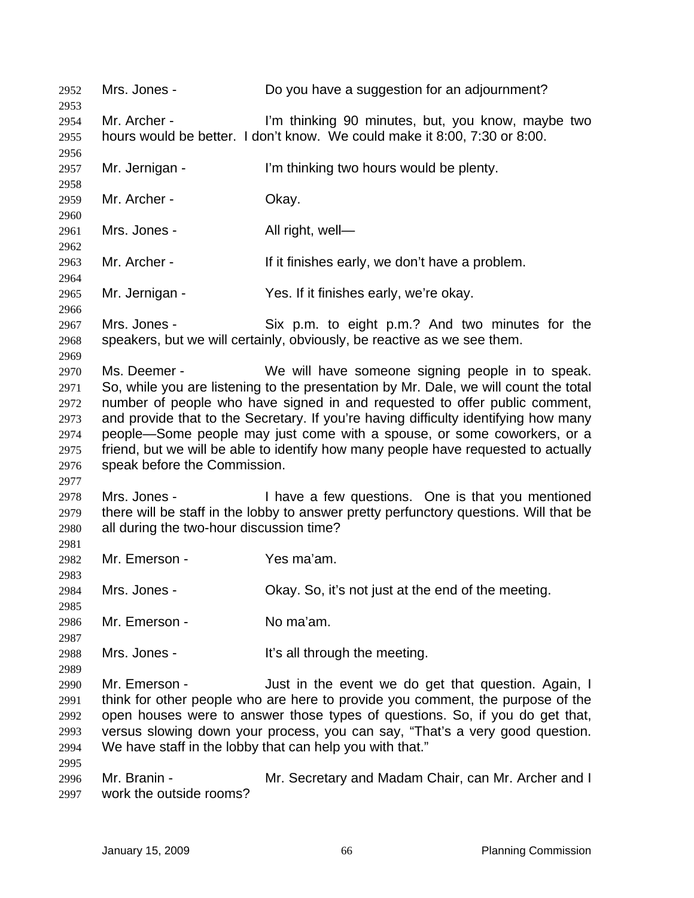2952 Mrs. Jones - Do you have a suggestion for an adjournment? 2953 2954 2955 2956 2957 2958 2959 2960 2961 2962 2963 2964 2965 2966 2967 2968 2969 2970 2971 2972 2973 2974 2975 2976 2977 2978 2979 2980 2981 2982 2983 2984 2985 2986 2987 2988 2989 2990 2991 2992 2993 2994 2995 2996 2997 Mr. Archer - I'm thinking 90 minutes, but, you know, maybe two hours would be better. I don't know. We could make it 8:00, 7:30 or 8:00. Mr. Jernigan - I'm thinking two hours would be plenty. Mr. Archer - Okay. Mrs. Jones - All right, well-Mr. Archer - The Multimishes early, we don't have a problem. Mr. Jernigan - Yes. If it finishes early, we're okay. Mrs. Jones - Six p.m. to eight p.m.? And two minutes for the speakers, but we will certainly, obviously, be reactive as we see them. Ms. Deemer - We will have someone signing people in to speak. So, while you are listening to the presentation by Mr. Dale, we will count the total number of people who have signed in and requested to offer public comment, and provide that to the Secretary. If you're having difficulty identifying how many people—Some people may just come with a spouse, or some coworkers, or a friend, but we will be able to identify how many people have requested to actually speak before the Commission. Mrs. Jones - Thave a few questions. One is that you mentioned there will be staff in the lobby to answer pretty perfunctory questions. Will that be all during the two-hour discussion time? Mr. Emerson - Yes ma'am. Mrs. Jones - Chay. So, it's not just at the end of the meeting. Mr. Emerson - No ma'am. Mrs. Jones - The Mrs all through the meeting. Mr. Emerson - The Just in the event we do get that question. Again, I think for other people who are here to provide you comment, the purpose of the open houses were to answer those types of questions. So, if you do get that, versus slowing down your process, you can say, "That's a very good question. We have staff in the lobby that can help you with that." Mr. Branin - The Mr. Secretary and Madam Chair, can Mr. Archer and I work the outside rooms?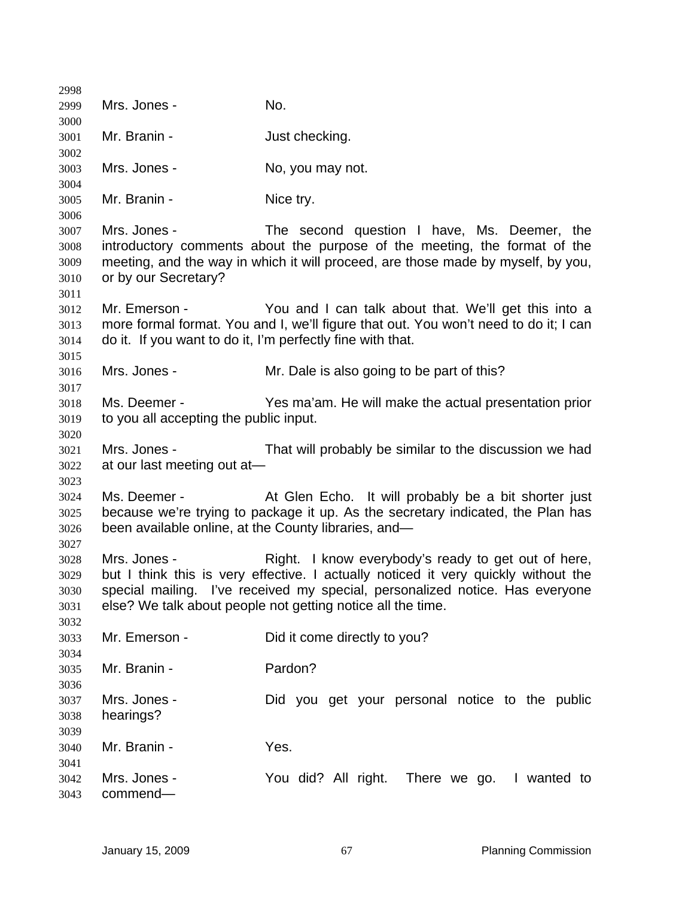| 2998                                 |                                                        |                                                                                                                                                                                                                                                                                          |
|--------------------------------------|--------------------------------------------------------|------------------------------------------------------------------------------------------------------------------------------------------------------------------------------------------------------------------------------------------------------------------------------------------|
| 2999                                 | Mrs. Jones -                                           | No.                                                                                                                                                                                                                                                                                      |
| 3000                                 | Mr. Branin -                                           |                                                                                                                                                                                                                                                                                          |
| 3001<br>3002                         |                                                        | Just checking.                                                                                                                                                                                                                                                                           |
| 3003<br>3004                         | Mrs. Jones -                                           | No, you may not.                                                                                                                                                                                                                                                                         |
| 3005<br>3006                         | Mr. Branin -                                           | Nice try.                                                                                                                                                                                                                                                                                |
| 3007<br>3008<br>3009<br>3010<br>3011 | Mrs. Jones -<br>or by our Secretary?                   | The second question I have, Ms. Deemer, the<br>introductory comments about the purpose of the meeting, the format of the<br>meeting, and the way in which it will proceed, are those made by myself, by you,                                                                             |
| 3012<br>3013<br>3014<br>3015         | Mr. Emerson -                                          | You and I can talk about that. We'll get this into a<br>more formal format. You and I, we'll figure that out. You won't need to do it; I can<br>do it. If you want to do it, I'm perfectly fine with that.                                                                               |
| 3016<br>3017                         | Mrs. Jones -                                           | Mr. Dale is also going to be part of this?                                                                                                                                                                                                                                               |
| 3018<br>3019<br>3020                 | Ms. Deemer -<br>to you all accepting the public input. | Yes ma'am. He will make the actual presentation prior                                                                                                                                                                                                                                    |
| 3021<br>3022<br>3023                 | Mrs. Jones -<br>at our last meeting out at-            | That will probably be similar to the discussion we had                                                                                                                                                                                                                                   |
| 3024<br>3025<br>3026<br>3027         | Ms. Deemer -                                           | At Glen Echo. It will probably be a bit shorter just<br>because we're trying to package it up. As the secretary indicated, the Plan has<br>been available online, at the County libraries, and-                                                                                          |
| 3028<br>3029<br>3030<br>3031<br>3032 | Mrs. Jones -                                           | Right. I know everybody's ready to get out of here,<br>but I think this is very effective. I actually noticed it very quickly without the<br>special mailing. I've received my special, personalized notice. Has everyone<br>else? We talk about people not getting notice all the time. |
| 3033<br>3034                         | Mr. Emerson -                                          | Did it come directly to you?                                                                                                                                                                                                                                                             |
| 3035<br>3036                         | Mr. Branin -                                           | Pardon?                                                                                                                                                                                                                                                                                  |
| 3037<br>3038<br>3039                 | Mrs. Jones -<br>hearings?                              | Did you get your personal notice to the public                                                                                                                                                                                                                                           |
| 3040<br>3041                         | Mr. Branin -                                           | Yes.                                                                                                                                                                                                                                                                                     |
| 3042<br>3043                         | Mrs. Jones -<br>commend-                               | You did? All right. There we go. I wanted to                                                                                                                                                                                                                                             |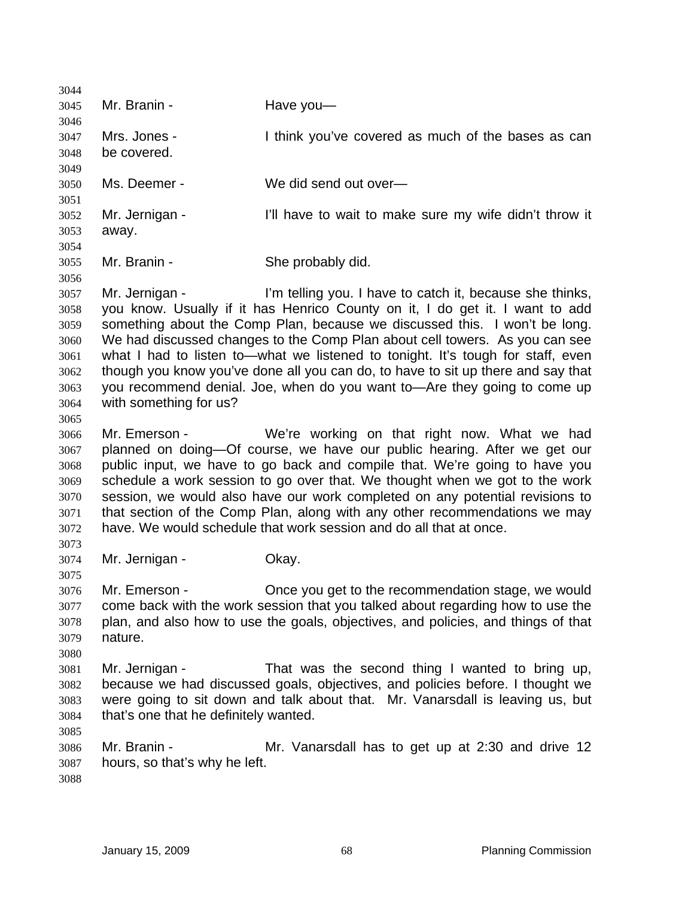3044 3045 3046 3047 3048 3049 3050 3051 3052 3053 3054 3055 3056 3057 3058 3059 3060 3061 3062 3063 3064 3065 3066 3067 3068 3069 3070 3071 3072 3073 3074 3075 3076 3077 3078 3079 3080 3081 3082 3083 3084 3085 3086 3087 3088 Mr. Branin - **Have you** Mrs. Jones - Think you've covered as much of the bases as can be covered. Ms. Deemer - We did send out over— Mr. Jernigan - The I'll have to wait to make sure my wife didn't throw it away. Mr. Branin - She probably did. Mr. Jernigan - I'm telling you. I have to catch it, because she thinks, you know. Usually if it has Henrico County on it, I do get it. I want to add something about the Comp Plan, because we discussed this. I won't be long. We had discussed changes to the Comp Plan about cell towers. As you can see what I had to listen to—what we listened to tonight. It's tough for staff, even though you know you've done all you can do, to have to sit up there and say that you recommend denial. Joe, when do you want to—Are they going to come up with something for us? Mr. Emerson - We're working on that right now. What we had planned on doing—Of course, we have our public hearing. After we get our public input, we have to go back and compile that. We're going to have you schedule a work session to go over that. We thought when we got to the work session, we would also have our work completed on any potential revisions to that section of the Comp Plan, along with any other recommendations we may have. We would schedule that work session and do all that at once. Mr. Jernigan - **Okay.** Mr. Emerson - Once you get to the recommendation stage, we would come back with the work session that you talked about regarding how to use the plan, and also how to use the goals, objectives, and policies, and things of that nature. Mr. Jernigan - That was the second thing I wanted to bring up, because we had discussed goals, objectives, and policies before. I thought we were going to sit down and talk about that. Mr. Vanarsdall is leaving us, but that's one that he definitely wanted. Mr. Branin - **Mr. Vanarsdall has to get up at 2:30 and drive 12** hours, so that's why he left.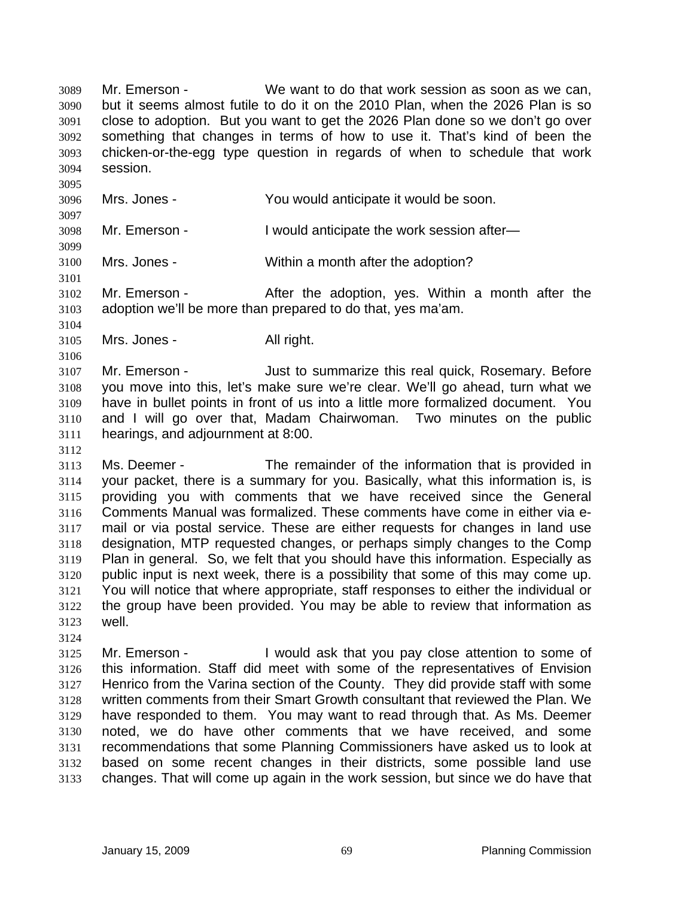Mr. Emerson - We want to do that work session as soon as we can, but it seems almost futile to do it on the 2010 Plan, when the 2026 Plan is so close to adoption. But you want to get the 2026 Plan done so we don't go over something that changes in terms of how to use it. That's kind of been the chicken-or-the-egg type question in regards of when to schedule that work session. 3089 3090 3091 3092 3093 3094

3096 Mrs. Jones - You would anticipate it would be soon.

3098 Mr. Emerson - I would anticipate the work session after-

3100 Mrs. Jones - Within a month after the adoption?

3102 3103 Mr. Emerson - The After the adoption, yes. Within a month after the adoption we'll be more than prepared to do that, yes ma'am.

3105 Mrs. Jones - All right.

3095

3097

3099

3101

3104

3106

3112

3124

3107 3108 3109 3110 3111 Mr. Emerson - **Just to summarize this real quick, Rosemary. Before** you move into this, let's make sure we're clear. We'll go ahead, turn what we have in bullet points in front of us into a little more formalized document. You and I will go over that, Madam Chairwoman. Two minutes on the public hearings, and adjournment at 8:00.

3113 3114 3115 3116 3117 3118 3119 3120 3121 3122 3123 Ms. Deemer - The remainder of the information that is provided in your packet, there is a summary for you. Basically, what this information is, is providing you with comments that we have received since the General Comments Manual was formalized. These comments have come in either via email or via postal service. These are either requests for changes in land use designation, MTP requested changes, or perhaps simply changes to the Comp Plan in general. So, we felt that you should have this information. Especially as public input is next week, there is a possibility that some of this may come up. You will notice that where appropriate, staff responses to either the individual or the group have been provided. You may be able to review that information as well.

3125 3126 3127 3128 3129 3130 3131 3132 3133 Mr. Emerson - I would ask that you pay close attention to some of this information. Staff did meet with some of the representatives of Envision Henrico from the Varina section of the County. They did provide staff with some written comments from their Smart Growth consultant that reviewed the Plan. We have responded to them. You may want to read through that. As Ms. Deemer noted, we do have other comments that we have received, and some recommendations that some Planning Commissioners have asked us to look at based on some recent changes in their districts, some possible land use changes. That will come up again in the work session, but since we do have that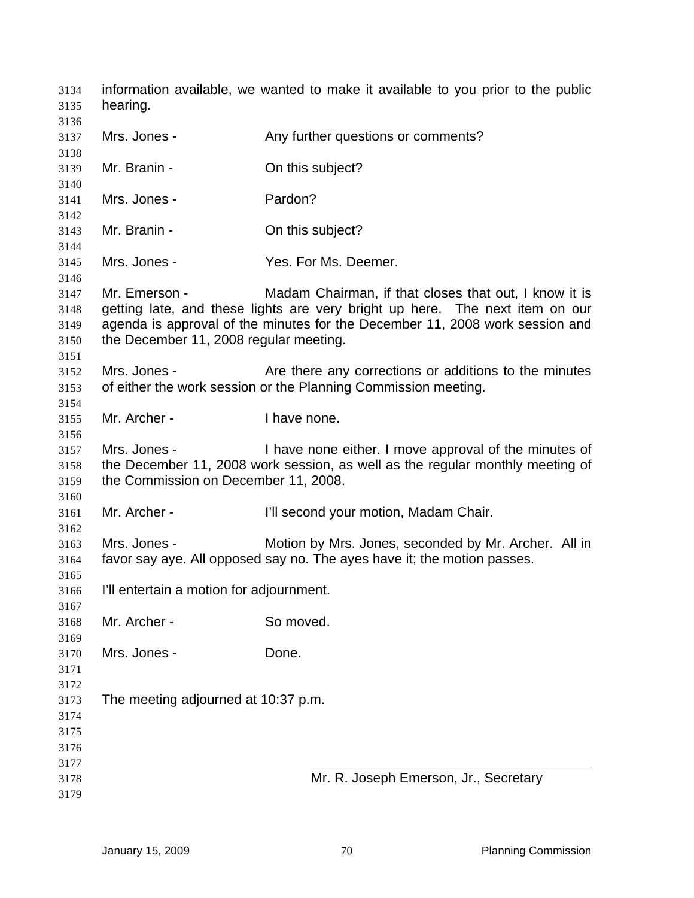information available, we wanted to make it available to you prior to the public hearing. Mrs. Jones - The Any further questions or comments? Mr. Branin - Con this subject? Mrs. Jones - Pardon? Mr. Branin - Con this subject? Mrs. Jones - The Mes. For Ms. Deemer. Mr. Emerson - Madam Chairman, if that closes that out, I know it is getting late, and these lights are very bright up here. The next item on our agenda is approval of the minutes for the December 11, 2008 work session and the December 11, 2008 regular meeting. Mrs. Jones - Are there any corrections or additions to the minutes of either the work session or the Planning Commission meeting. Mr. Archer - I have none. Mrs. Jones - I have none either. I move approval of the minutes of the December 11, 2008 work session, as well as the regular monthly meeting of the Commission on December 11, 2008. Mr. Archer - **I'll second your motion, Madam Chair.** Mrs. Jones - Motion by Mrs. Jones, seconded by Mr. Archer. All in favor say aye. All opposed say no. The ayes have it; the motion passes. I'll entertain a motion for adjournment. Mr. Archer - So moved. Mrs. Jones - Done. The meeting adjourned at 10:37 p.m. Mr. R. Joseph Emerson, Jr., Secretary